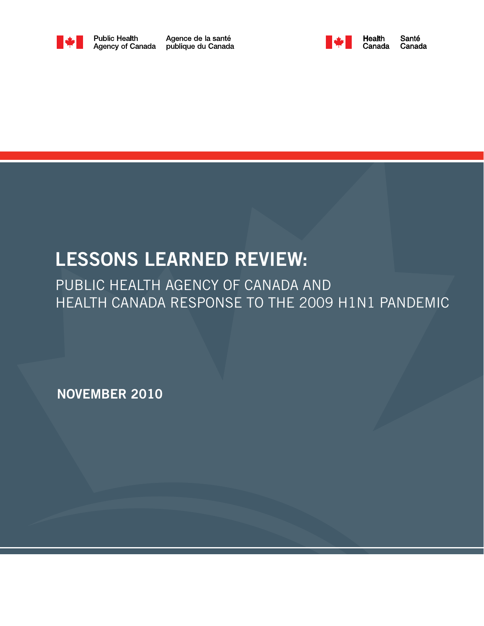

Agence de la santé publique du Canada



# LESSONS LEARNED REVIEW:

PUBLIC HEALTH AGENCY OF CANADA AND HEALTH CANADA RESPONSE TO THE 2009 H1N1 PANDEMIC

NOVEMBER 2010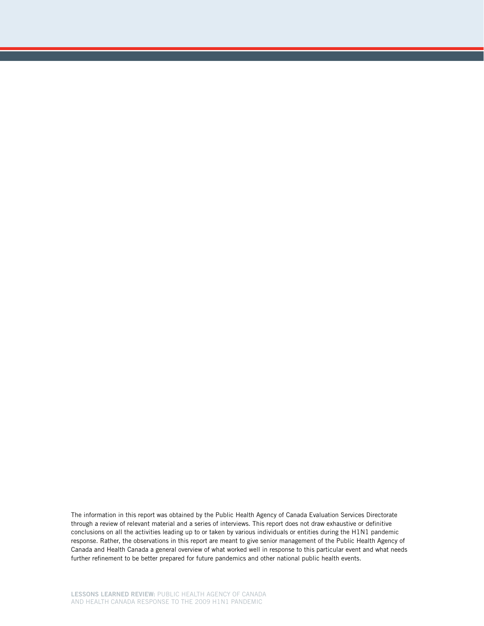The information in this report was obtained by the Public Health Agency of Canada Evaluation Services Directorate through a review of relevant material and a series of interviews. This report does not draw exhaustive or definitive conclusions on all the activities leading up to or taken by various individuals or entities during the H1N1 pandemic response. Rather, the observations in this report are meant to give senior management of the Public Health Agency of Canada and Health Canada a general overview of what worked well in response to this particular event and what needs further refinement to be better prepared for future pandemics and other national public health events.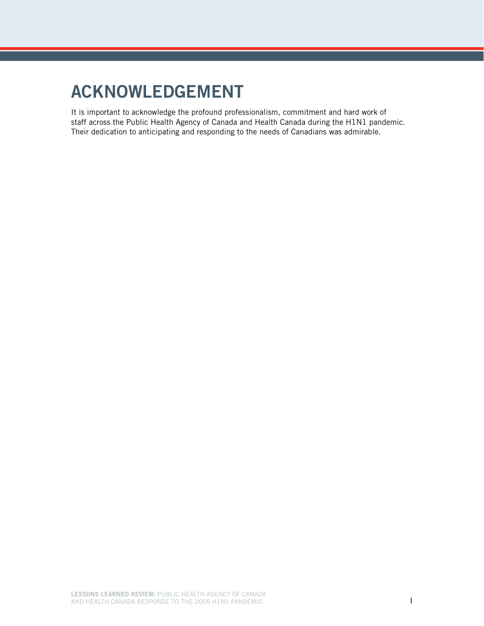# Acknowledgement

It is important to acknowledge the profound professionalism, commitment and hard work of staff across the Public Health Agency of Canada and Health Canada during the H1N1 pandemic. Their dedication to anticipating and responding to the needs of Canadians was admirable.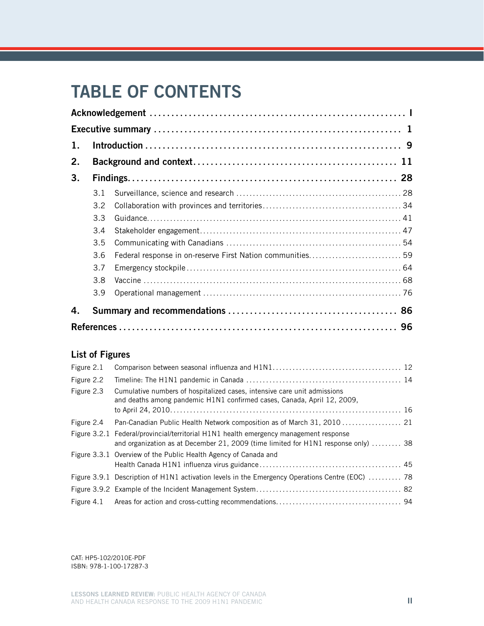# TABLE OF CONTENTS

| 1. |     |  |  |  |  |  |
|----|-----|--|--|--|--|--|
| 2. |     |  |  |  |  |  |
| 3. |     |  |  |  |  |  |
|    | 3.1 |  |  |  |  |  |
|    | 3.2 |  |  |  |  |  |
|    | 3.3 |  |  |  |  |  |
|    | 3.4 |  |  |  |  |  |
|    | 3.5 |  |  |  |  |  |
|    | 3.6 |  |  |  |  |  |
|    | 3.7 |  |  |  |  |  |
|    | 3.8 |  |  |  |  |  |
|    | 3.9 |  |  |  |  |  |
| 4. |     |  |  |  |  |  |
|    |     |  |  |  |  |  |

## List of Figures

| Figure 2.1 |                                                                                                                                                     |  |
|------------|-----------------------------------------------------------------------------------------------------------------------------------------------------|--|
| Figure 2.2 |                                                                                                                                                     |  |
| Figure 2.3 | Cumulative numbers of hospitalized cases, intensive care unit admissions<br>and deaths among pandemic H1N1 confirmed cases, Canada, April 12, 2009, |  |
| Figure 2.4 |                                                                                                                                                     |  |
|            | Figure 3.2.1 Federal/provincial/territorial H1N1 health emergency management response                                                               |  |
|            | and organization as at December 21, 2009 (time limited for H1N1 response only)  38                                                                  |  |
|            | Figure 3.3.1 Overview of the Public Health Agency of Canada and                                                                                     |  |
|            |                                                                                                                                                     |  |
|            | Figure 3.9.1 Description of H1N1 activation levels in the Emergency Operations Centre (EOC)  78                                                     |  |
|            |                                                                                                                                                     |  |
| Figure 4.1 |                                                                                                                                                     |  |

CAT: HP5-102/2010E-PDF ISBN: 978-1-100-17287-3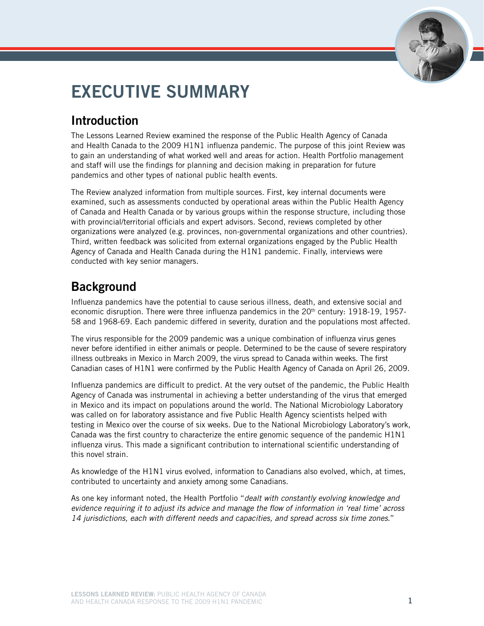

# Executive summary

# Introduction

The Lessons Learned Review examined the response of the Public Health Agency of Canada and Health Canada to the 2009 H1N1 influenza pandemic. The purpose of this joint Review was to gain an understanding of what worked well and areas for action. Health Portfolio management and staff will use the findings for planning and decision making in preparation for future pandemics and other types of national public health events.

The Review analyzed information from multiple sources. First, key internal documents were examined, such as assessments conducted by operational areas within the Public Health Agency of Canada and Health Canada or by various groups within the response structure, including those with provincial/territorial officials and expert advisors. Second, reviews completed by other organizations were analyzed (e.g. provinces, non-governmental organizations and other countries). Third, written feedback was solicited from external organizations engaged by the Public Health Agency of Canada and Health Canada during the H1N1 pandemic. Finally, interviews were conducted with key senior managers.

# **Background**

Influenza pandemics have the potential to cause serious illness, death, and extensive social and economic disruption. There were three influenza pandemics in the  $20<sup>th</sup>$  century: 1918-19, 1957-58 and 1968-69. Each pandemic differed in severity, duration and the populations most affected.

The virus responsible for the 2009 pandemic was a unique combination of influenza virus genes never before identified in either animals or people. Determined to be the cause of severe respiratory illness outbreaks in Mexico in March 2009, the virus spread to Canada within weeks. The first Canadian cases of H1N1 were confirmed by the Public Health Agency of Canada on April 26, 2009.

Influenza pandemics are difficult to predict. At the very outset of the pandemic, the Public Health Agency of Canada was instrumental in achieving a better understanding of the virus that emerged in Mexico and its impact on populations around the world. The National Microbiology Laboratory was called on for laboratory assistance and five Public Health Agency scientists helped with testing in Mexico over the course of six weeks. Due to the National Microbiology Laboratory's work, Canada was the first country to characterize the entire genomic sequence of the pandemic H1N1 influenza virus. This made a significant contribution to international scientific understanding of this novel strain.

As knowledge of the H1N1 virus evolved, information to Canadians also evolved, which, at times, contributed to uncertainty and anxiety among some Canadians.

As one key informant noted, the Health Portfolio "*dealt with constantly evolving knowledge and evidence requiring it to adjust its advice and manage the flow of information in 'real time' across 14 jurisdictions, each with different needs and capacities, and spread across six time zones*."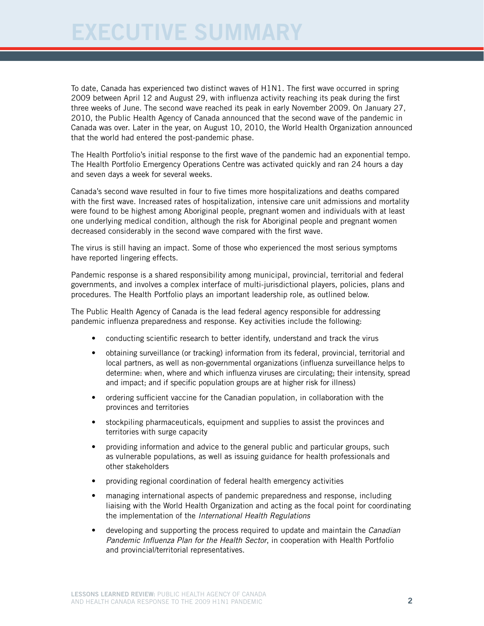To date, Canada has experienced two distinct waves of H1N1. The first wave occurred in spring 2009 between April 12 and August 29, with influenza activity reaching its peak during the first three weeks of June. The second wave reached its peak in early November 2009. On January 27, 2010, the Public Health Agency of Canada announced that the second wave of the pandemic in Canada was over. Later in the year, on August 10, 2010, the World Health Organization announced that the world had entered the post-pandemic phase.

The Health Portfolio's initial response to the first wave of the pandemic had an exponential tempo. The Health Portfolio Emergency Operations Centre was activated quickly and ran 24 hours a day and seven days a week for several weeks.

Canada's second wave resulted in four to five times more hospitalizations and deaths compared with the first wave. Increased rates of hospitalization, intensive care unit admissions and mortality were found to be highest among Aboriginal people, pregnant women and individuals with at least one underlying medical condition, although the risk for Aboriginal people and pregnant women decreased considerably in the second wave compared with the first wave.

The virus is still having an impact. Some of those who experienced the most serious symptoms have reported lingering effects.

Pandemic response is a shared responsibility among municipal, provincial, territorial and federal governments, and involves a complex interface of multi-jurisdictional players, policies, plans and procedures. The Health Portfolio plays an important leadership role, as outlined below.

The Public Health Agency of Canada is the lead federal agency responsible for addressing pandemic influenza preparedness and response. Key activities include the following:

- conducting scientific research to better identify, understand and track the virus
- obtaining surveillance (or tracking) information from its federal, provincial, territorial and local partners, as well as non-governmental organizations (influenza surveillance helps to determine: when, where and which influenza viruses are circulating; their intensity, spread and impact; and if specific population groups are at higher risk for illness)
- ordering sufficient vaccine for the Canadian population, in collaboration with the provinces and territories
- stockpiling pharmaceuticals, equipment and supplies to assist the provinces and territories with surge capacity
- providing information and advice to the general public and particular groups, such as vulnerable populations, as well as issuing guidance for health professionals and other stakeholders
- providing regional coordination of federal health emergency activities
- managing international aspects of pandemic preparedness and response, including liaising with the World Health Organization and acting as the focal point for coordinating the implementation of the *International Health Regulations*
- developing and supporting the process required to update and maintain the *Canadian Pandemic Influenza Plan for the Health Sector*, in cooperation with Health Portfolio and provincial/territorial representatives.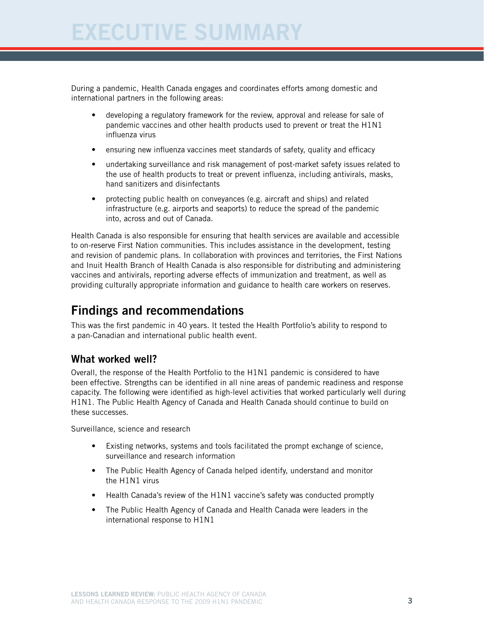During a pandemic, Health Canada engages and coordinates efforts among domestic and international partners in the following areas:

- developing a regulatory framework for the review, approval and release for sale of pandemic vaccines and other health products used to prevent or treat the H1N1 influenza virus
- ensuring new influenza vaccines meet standards of safety, quality and efficacy
- undertaking surveillance and risk management of post-market safety issues related to the use of health products to treat or prevent influenza, including antivirals, masks, hand sanitizers and disinfectants
- protecting public health on conveyances (e.g. aircraft and ships) and related infrastructure (e.g. airports and seaports) to reduce the spread of the pandemic into, across and out of Canada.

Health Canada is also responsible for ensuring that health services are available and accessible to on-reserve First Nation communities. This includes assistance in the development, testing and revision of pandemic plans. In collaboration with provinces and territories, the First Nations and Inuit Health Branch of Health Canada is also responsible for distributing and administering vaccines and antivirals, reporting adverse effects of immunization and treatment, as well as providing culturally appropriate information and guidance to health care workers on reserves.

# Findings and recommendations

This was the first pandemic in 40 years. It tested the Health Portfolio's ability to respond to a pan-Canadian and international public health event.

### What worked well?

Overall, the response of the Health Portfolio to the H1N1 pandemic is considered to have been effective. Strengths can be identified in all nine areas of pandemic readiness and response capacity. The following were identified as high-level activities that worked particularly well during H1N1. The Public Health Agency of Canada and Health Canada should continue to build on these successes.

Surveillance, science and research

- Existing networks, systems and tools facilitated the prompt exchange of science, surveillance and research information
- The Public Health Agency of Canada helped identify, understand and monitor the H1N1 virus
- Health Canada's review of the H1N1 vaccine's safety was conducted promptly
- The Public Health Agency of Canada and Health Canada were leaders in the international response to H1N1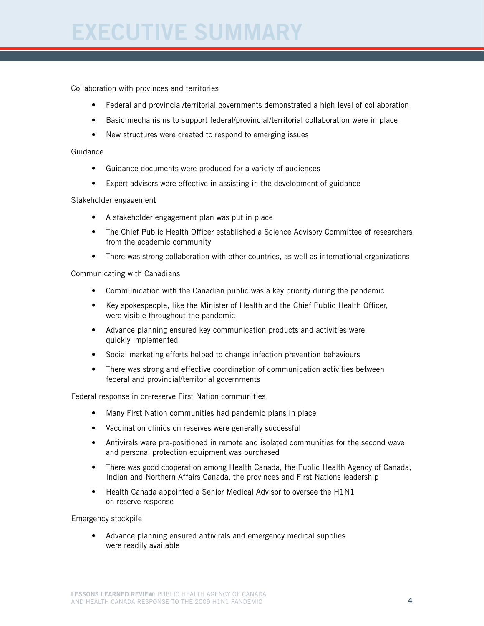Collaboration with provinces and territories

- Federal and provincial/territorial governments demonstrated a high level of collaboration
- Basic mechanisms to support federal/provincial/territorial collaboration were in place
- New structures were created to respond to emerging issues

#### **Guidance**

- Guidance documents were produced for a variety of audiences
- Expert advisors were effective in assisting in the development of guidance

Stakeholder engagement

- • A stakeholder engagement plan was put in place
- The Chief Public Health Officer established a Science Advisory Committee of researchers from the academic community
- There was strong collaboration with other countries, as well as international organizations

#### Communicating with Canadians

- Communication with the Canadian public was a key priority during the pandemic
- Key spokespeople, like the Minister of Health and the Chief Public Health Officer, were visible throughout the pandemic
- Advance planning ensured key communication products and activities were quickly implemented
- Social marketing efforts helped to change infection prevention behaviours
- There was strong and effective coordination of communication activities between federal and provincial/territorial governments

Federal response in on-reserve First Nation communities

- Many First Nation communities had pandemic plans in place
- Vaccination clinics on reserves were generally successful
- Antivirals were pre-positioned in remote and isolated communities for the second wave and personal protection equipment was purchased
- There was good cooperation among Health Canada, the Public Health Agency of Canada, Indian and Northern Affairs Canada, the provinces and First Nations leadership
- Health Canada appointed a Senior Medical Advisor to oversee the H1N1 on-reserve response

Emergency stockpile

• Advance planning ensured antivirals and emergency medical supplies were readily available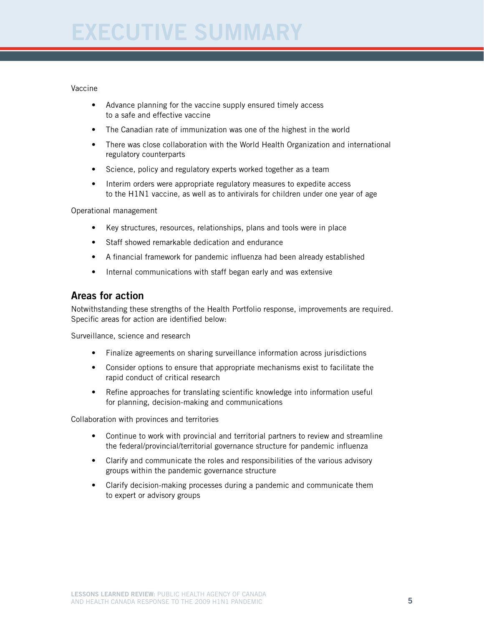#### Vaccine

- Advance planning for the vaccine supply ensured timely access to a safe and effective vaccine
- The Canadian rate of immunization was one of the highest in the world
- There was close collaboration with the World Health Organization and international regulatory counterparts
- Science, policy and regulatory experts worked together as a team
- Interim orders were appropriate regulatory measures to expedite access to the H1N1 vaccine, as well as to antivirals for children under one year of age

Operational management

- Key structures, resources, relationships, plans and tools were in place
- Staff showed remarkable dedication and endurance
- A financial framework for pandemic influenza had been already established
- Internal communications with staff began early and was extensive

#### Areas for action

Notwithstanding these strengths of the Health Portfolio response, improvements are required. Specific areas for action are identified below:

Surveillance, science and research

- Finalize agreements on sharing surveillance information across jurisdictions
- Consider options to ensure that appropriate mechanisms exist to facilitate the rapid conduct of critical research
- Refine approaches for translating scientific knowledge into information useful for planning, decision-making and communications

Collaboration with provinces and territories

- Continue to work with provincial and territorial partners to review and streamline the federal/provincial/territorial governance structure for pandemic influenza
- Clarify and communicate the roles and responsibilities of the various advisory groups within the pandemic governance structure
- Clarify decision-making processes during a pandemic and communicate them to expert or advisory groups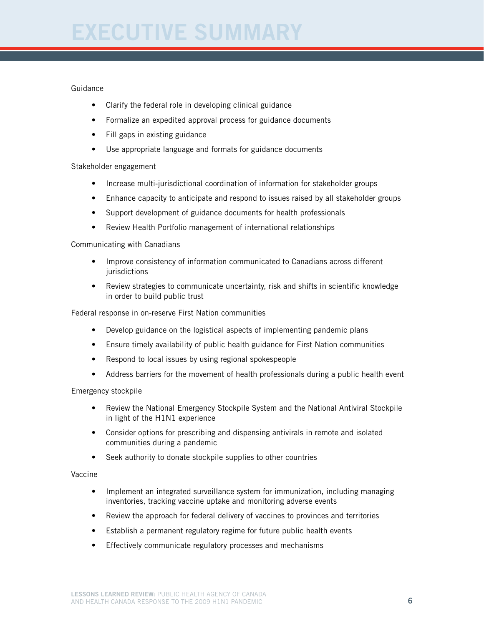#### Guidance

- Clarify the federal role in developing clinical guidance
- Formalize an expedited approval process for guidance documents
- Fill gaps in existing guidance
- Use appropriate language and formats for guidance documents

#### Stakeholder engagement

- Increase multi-jurisdictional coordination of information for stakeholder groups
- Enhance capacity to anticipate and respond to issues raised by all stakeholder groups
- Support development of guidance documents for health professionals
- Review Health Portfolio management of international relationships

#### Communicating with Canadians

- Improve consistency of information communicated to Canadians across different jurisdictions
- Review strategies to communicate uncertainty, risk and shifts in scientific knowledge in order to build public trust

Federal response in on-reserve First Nation communities

- Develop guidance on the logistical aspects of implementing pandemic plans
- Ensure timely availability of public health guidance for First Nation communities
- Respond to local issues by using regional spokespeople
- Address barriers for the movement of health professionals during a public health event

#### Emergency stockpile

- Review the National Emergency Stockpile System and the National Antiviral Stockpile in light of the H1N1 experience
- Consider options for prescribing and dispensing antivirals in remote and isolated communities during a pandemic
- Seek authority to donate stockpile supplies to other countries

#### Vaccine

- Implement an integrated surveillance system for immunization, including managing inventories, tracking vaccine uptake and monitoring adverse events
- Review the approach for federal delivery of vaccines to provinces and territories
- Establish a permanent regulatory regime for future public health events
- Effectively communicate regulatory processes and mechanisms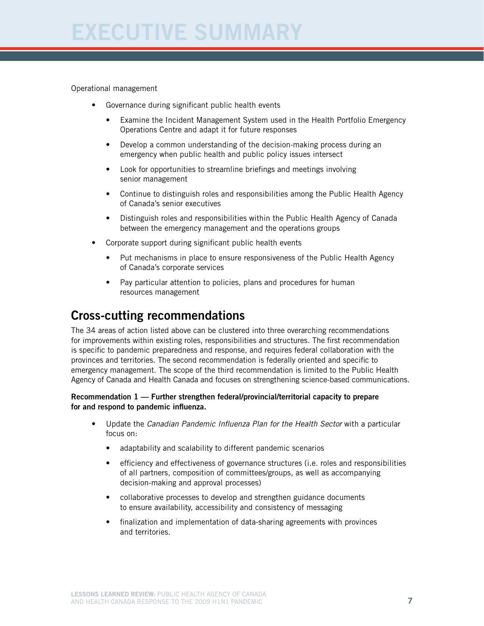Operational management

- • Governance during significant public health events
	- Examine the Incident Management System used in the Health Portfolio Emergency Operations Centre and adapt it for future responses
	- Develop a common understanding of the decision-making process during an emergency when public health and public policy issues intersect
	- Look for opportunities to streamline briefings and meetings involving senior management
	- Continue to distinguish roles and responsibilities among the Public Health Agency of Canada's senior executives
	- Distinguish roles and responsibilities within the Public Health Agency of Canada between the emergency management and the operations groups
- Corporate support during significant public health events
	- Put mechanisms in place to ensure responsiveness of the Public Health Agency of Canada's corporate services
	- Pay particular attention to policies, plans and procedures for human resources management

# Cross-cutting recommendations

The 34 areas of action listed above can be clustered into three overarching recommendations for improvements within existing roles, responsibilities and structures. The first recommendation is specific to pandemic preparedness and response, and requires federal collaboration with the provinces and territories. The second recommendation is federally oriented and specific to emergency management. The scope of the third recommendation is limited to the Public Health Agency of Canada and Health Canada and focuses on strengthening science-based communications.

#### Recommendation 1 — Further strengthen federal/provincial/territorial capacity to prepare for and respond to pandemic influenza.

- • Update the *Canadian Pandemic Influenza Plan for the Health Sector* with a particular focus on:
	- adaptability and scalability to different pandemic scenarios
	- efficiency and effectiveness of governance structures (i.e. roles and responsibilities of all partners, composition of committees/groups, as well as accompanying decision-making and approval processes)
	- collaborative processes to develop and strengthen guidance documents to ensure availability, accessibility and consistency of messaging
	- finalization and implementation of data-sharing agreements with provinces and territories.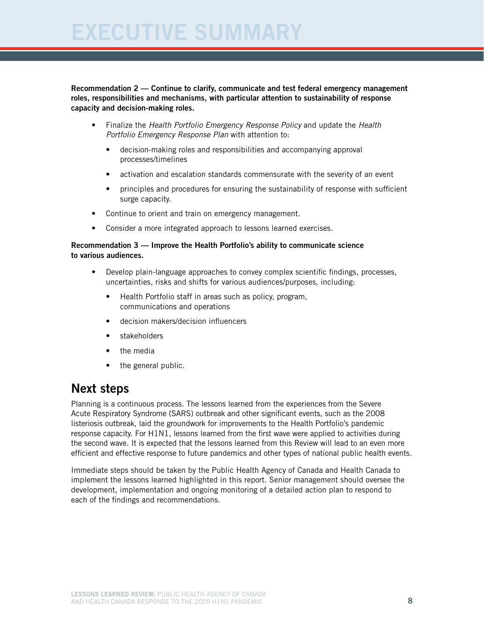#### Recommendation 2 — Continue to clarify, communicate and test federal emergency management roles, responsibilities and mechanisms, with particular attention to sustainability of response capacity and decision-making roles.

- • Finalize the *Health Portfolio Emergency Response Policy* and update the *Health Portfolio Emergency Response Plan* with attention to:
	- decision-making roles and responsibilities and accompanying approval processes/timelines
	- activation and escalation standards commensurate with the severity of an event
	- principles and procedures for ensuring the sustainability of response with sufficient surge capacity.
- Continue to orient and train on emergency management.
- Consider a more integrated approach to lessons learned exercises.

#### Recommendation 3 — Improve the Health Portfolio's ability to communicate science to various audiences.

- Develop plain-language approaches to convey complex scientific findings, processes, uncertainties, risks and shifts for various audiences/purposes, including:
	- Health Portfolio staff in areas such as policy, program, communications and operations
	- decision makers/decision influencers
	- stakeholders
	- the media
	- the general public.

## Next steps

Planning is a continuous process. The lessons learned from the experiences from the Severe Acute Respiratory Syndrome (SARS) outbreak and other significant events, such as the 2008 listeriosis outbreak, laid the groundwork for improvements to the Health Portfolio's pandemic response capacity. For H1N1, lessons learned from the first wave were applied to activities during the second wave. It is expected that the lessons learned from this Review will lead to an even more efficient and effective response to future pandemics and other types of national public health events.

Immediate steps should be taken by the Public Health Agency of Canada and Health Canada to implement the lessons learned highlighted in this report. Senior management should oversee the development, implementation and ongoing monitoring of a detailed action plan to respond to each of the findings and recommendations.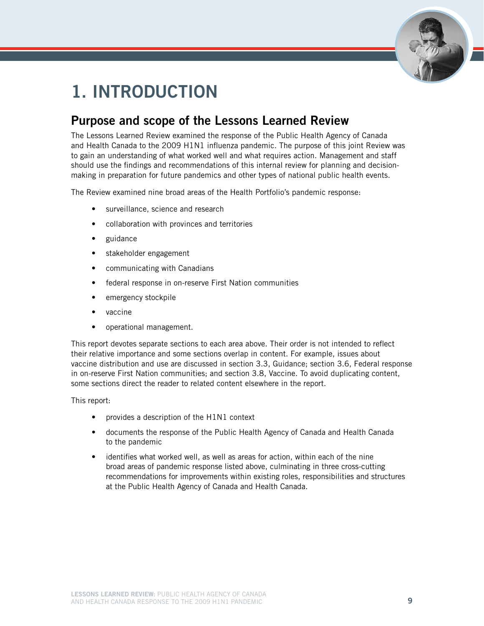

# 1. Introduction

# Purpose and scope of the Lessons Learned Review

The Lessons Learned Review examined the response of the Public Health Agency of Canada and Health Canada to the 2009 H1N1 influenza pandemic. The purpose of this joint Review was to gain an understanding of what worked well and what requires action. Management and staff should use the findings and recommendations of this internal review for planning and decisionmaking in preparation for future pandemics and other types of national public health events.

The Review examined nine broad areas of the Health Portfolio's pandemic response:

- • surveillance, science and research
- collaboration with provinces and territories
- guidance
- stakeholder engagement
- communicating with Canadians
- federal response in on-reserve First Nation communities
- emergency stockpile
- vaccine
- operational management.

This report devotes separate sections to each area above. Their order is not intended to reflect their relative importance and some sections overlap in content. For example, issues about vaccine distribution and use are discussed in section 3.3, Guidance; section 3.6, Federal response in on-reserve First Nation communities; and section 3.8, Vaccine. To avoid duplicating content, some sections direct the reader to related content elsewhere in the report.

This report:

- provides a description of the H1N1 context
- documents the response of the Public Health Agency of Canada and Health Canada to the pandemic
- identifies what worked well, as well as areas for action, within each of the nine broad areas of pandemic response listed above, culminating in three cross-cutting recommendations for improvements within existing roles, responsibilities and structures at the Public Health Agency of Canada and Health Canada.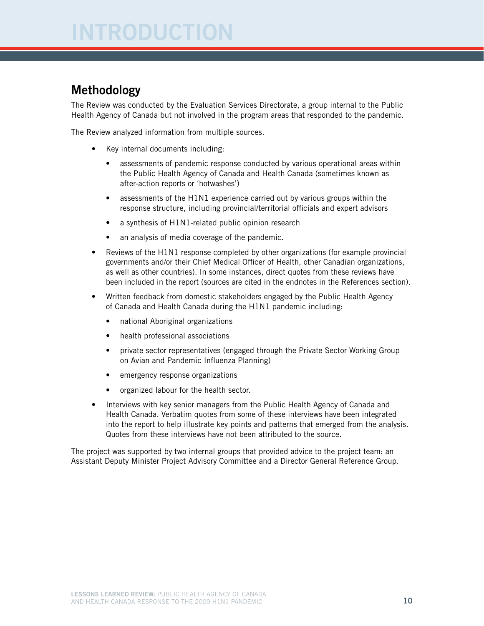# Methodology

The Review was conducted by the Evaluation Services Directorate, a group internal to the Public Health Agency of Canada but not involved in the program areas that responded to the pandemic.

The Review analyzed information from multiple sources.

- Key internal documents including:
	- assessments of pandemic response conducted by various operational areas within the Public Health Agency of Canada and Health Canada (sometimes known as after-action reports or 'hotwashes')
	- assessments of the H1N1 experience carried out by various groups within the response structure, including provincial/territorial officials and expert advisors
	- a synthesis of H1N1-related public opinion research
	- an analysis of media coverage of the pandemic.
- Reviews of the H1N1 response completed by other organizations (for example provincial governments and/or their Chief Medical Officer of Health, other Canadian organizations, as well as other countries). In some instances, direct quotes from these reviews have been included in the report (sources are cited in the endnotes in the References section).
- Written feedback from domestic stakeholders engaged by the Public Health Agency of Canada and Health Canada during the H1N1 pandemic including:
	- • national Aboriginal organizations
	- health professional associations
	- private sector representatives (engaged through the Private Sector Working Group on Avian and Pandemic Influenza Planning)
	- emergency response organizations
	- • organized labour for the health sector.
- Interviews with key senior managers from the Public Health Agency of Canada and Health Canada. Verbatim quotes from some of these interviews have been integrated into the report to help illustrate key points and patterns that emerged from the analysis. Quotes from these interviews have not been attributed to the source.

The project was supported by two internal groups that provided advice to the project team: an Assistant Deputy Minister Project Advisory Committee and a Director General Reference Group.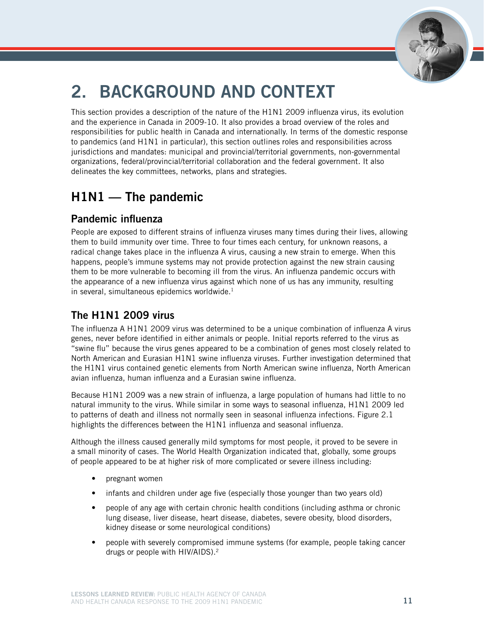

# 2. Background and context

This section provides a description of the nature of the H1N1 2009 influenza virus, its evolution and the experience in Canada in 2009-10. It also provides a broad overview of the roles and responsibilities for public health in Canada and internationally. In terms of the domestic response to pandemics (and H1N1 in particular), this section outlines roles and responsibilities across jurisdictions and mandates: municipal and provincial/territorial governments, non-governmental organizations, federal/provincial/territorial collaboration and the federal government. It also delineates the key committees, networks, plans and strategies.

# H1N1 — The pandemic

## Pandemic influenza

People are exposed to different strains of influenza viruses many times during their lives, allowing them to build immunity over time. Three to four times each century, for unknown reasons, a radical change takes place in the influenza A virus, causing a new strain to emerge. When this happens, people's immune systems may not provide protection against the new strain causing them to be more vulnerable to becoming ill from the virus. An influenza pandemic occurs with the appearance of a new influenza virus against which none of us has any immunity, resulting in several, simultaneous epidemics worldwide.<sup>1</sup>

## The H1N1 2009 virus

The influenza A H1N1 2009 virus was determined to be a unique combination of influenza A virus genes, never before identified in either animals or people. Initial reports referred to the virus as "swine flu" because the virus genes appeared to be a combination of genes most closely related to North American and Eurasian H1N1 swine influenza viruses. Further investigation determined that the H1N1 virus contained genetic elements from North American swine influenza, North American avian influenza, human influenza and a Eurasian swine influenza.

Because H1N1 2009 was a new strain of influenza, a large population of humans had little to no natural immunity to the virus. While similar in some ways to seasonal influenza, H1N1 2009 led to patterns of death and illness not normally seen in seasonal influenza infections. Figure 2.1 highlights the differences between the H1N1 influenza and seasonal influenza.

Although the illness caused generally mild symptoms for most people, it proved to be severe in a small minority of cases. The World Health Organization indicated that, globally, some groups of people appeared to be at higher risk of more complicated or severe illness including:

- pregnant women
- infants and children under age five (especially those younger than two years old)
- people of any age with certain chronic health conditions (including asthma or chronic lung disease, liver disease, heart disease, diabetes, severe obesity, blood disorders, kidney disease or some neurological conditions)
- people with severely compromised immune systems (for example, people taking cancer drugs or people with HIV/AIDS).2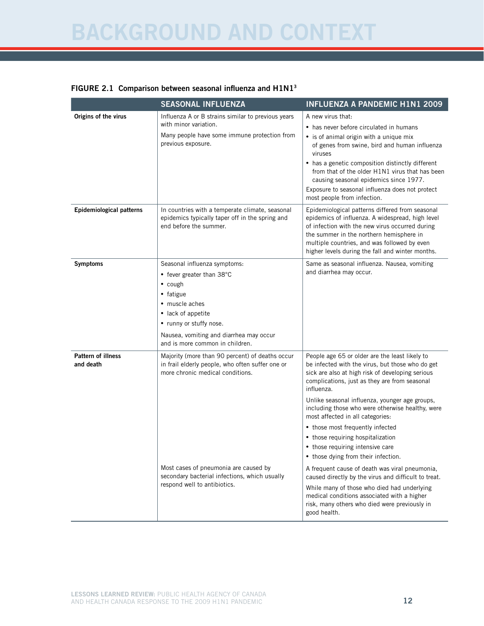# Background and Context

#### FIGURE 2.1 Comparison between seasonal influenza and  $H1N1<sup>3</sup>$

|                                        | <b>SEASONAL INFLUENZA</b>                                                                                                                                                                                                                                         | <b>INFLUENZA A PANDEMIC H1N1 2009</b>                                                                                                                                                                                                                                                                                                                                                                                                                                                                                                                                                                                         |
|----------------------------------------|-------------------------------------------------------------------------------------------------------------------------------------------------------------------------------------------------------------------------------------------------------------------|-------------------------------------------------------------------------------------------------------------------------------------------------------------------------------------------------------------------------------------------------------------------------------------------------------------------------------------------------------------------------------------------------------------------------------------------------------------------------------------------------------------------------------------------------------------------------------------------------------------------------------|
| Origins of the virus                   | Influenza A or B strains similar to previous years<br>with minor variation.<br>Many people have some immune protection from<br>previous exposure.                                                                                                                 | A new virus that:<br>• has never before circulated in humans<br>• is of animal origin with a unique mix<br>of genes from swine, bird and human influenza<br>viruses<br>• has a genetic composition distinctly different<br>from that of the older H1N1 virus that has been<br>causing seasonal epidemics since 1977.<br>Exposure to seasonal influenza does not protect<br>most people from infection.                                                                                                                                                                                                                        |
| <b>Epidemiological patterns</b>        | In countries with a temperate climate, seasonal<br>epidemics typically taper off in the spring and<br>end before the summer.                                                                                                                                      | Epidemiological patterns differed from seasonal<br>epidemics of influenza. A widespread, high level<br>of infection with the new virus occurred during<br>the summer in the northern hemisphere in<br>multiple countries, and was followed by even<br>higher levels during the fall and winter months.                                                                                                                                                                                                                                                                                                                        |
| <b>Symptoms</b>                        | Seasonal influenza symptoms:<br>• fever greater than 38°C<br>$\bullet$ cough<br>• fatigue<br>• muscle aches<br>• lack of appetite<br>• runny or stuffy nose.<br>Nausea, vomiting and diarrhea may occur<br>and is more common in children.                        | Same as seasonal influenza. Nausea, vomiting<br>and diarrhea may occur.                                                                                                                                                                                                                                                                                                                                                                                                                                                                                                                                                       |
| <b>Pattern of illness</b><br>and death | Majority (more than 90 percent) of deaths occur<br>in frail elderly people, who often suffer one or<br>more chronic medical conditions.<br>Most cases of pneumonia are caused by<br>secondary bacterial infections, which usually<br>respond well to antibiotics. | People age 65 or older are the least likely to<br>be infected with the virus, but those who do get<br>sick are also at high risk of developing serious<br>complications, just as they are from seasonal<br>influenza.<br>Unlike seasonal influenza, younger age groups,<br>including those who were otherwise healthy, were<br>most affected in all categories:<br>• those most frequently infected<br>• those requiring hospitalization<br>• those requiring intensive care<br>• those dying from their infection.<br>A frequent cause of death was viral pneumonia,<br>caused directly by the virus and difficult to treat. |
|                                        |                                                                                                                                                                                                                                                                   | While many of those who died had underlying<br>medical conditions associated with a higher<br>risk, many others who died were previously in<br>good health.                                                                                                                                                                                                                                                                                                                                                                                                                                                                   |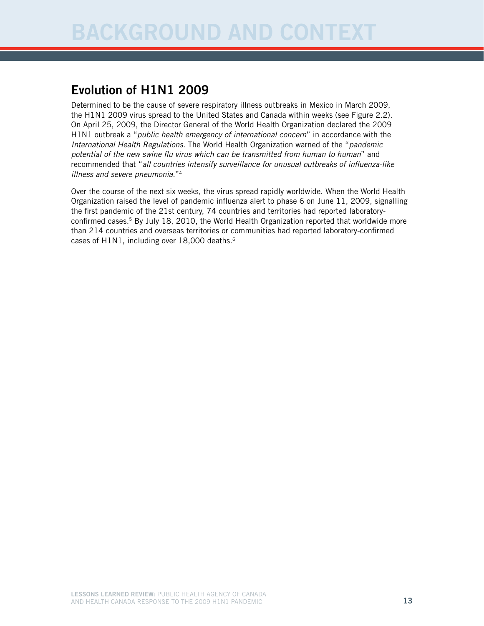# Evolution of H1N1 2009

Determined to be the cause of severe respiratory illness outbreaks in Mexico in March 2009, the H1N1 2009 virus spread to the United States and Canada within weeks (see Figure 2.2). On April 25, 2009, the Director General of the World Health Organization declared the 2009 H1N1 outbreak a "*public health emergency of international concern*" in accordance with the *International Health Regulations*. The World Health Organization warned of the "*pandemic potential of the new swine flu virus which can be transmitted from human to human*" and recommended that "*all countries intensify surveillance for unusual outbreaks of influenza-like illness and severe pneumonia.*"4

Over the course of the next six weeks, the virus spread rapidly worldwide. When the World Health Organization raised the level of pandemic influenza alert to phase 6 on June 11, 2009, signalling the first pandemic of the 21st century, 74 countries and territories had reported laboratoryconfirmed cases.<sup>5</sup> By July 18, 2010, the World Health Organization reported that worldwide more than 214 countries and overseas territories or communities had reported laboratory-confirmed cases of H1N1, including over 18,000 deaths.<sup>6</sup>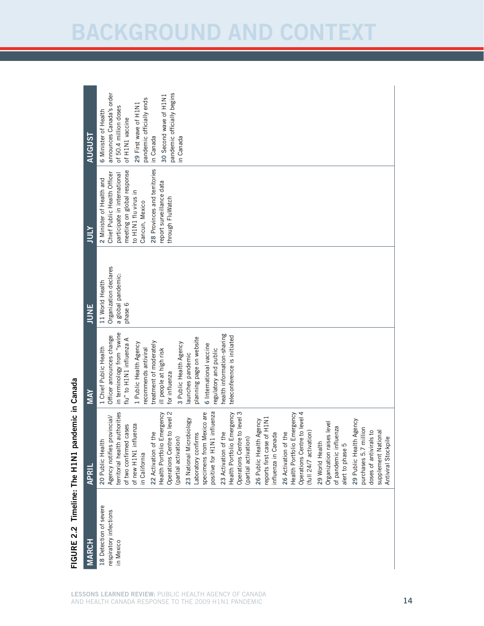| <b>AUGUST</b><br><b>ATOL</b><br><b>JUNE</b> | pandemic officially begins<br>announces Canada's order<br>30 Second wave of H1N1<br>pandemic officially ends<br>29 First wave of H1N1<br>of 50.4 million doses<br>6 Minister of Health<br>of H1N1 vaccine<br>in Canada<br>in Canada<br>28 Provinces and territories<br>meeting on global response<br>Chief Public Health Officer<br>participate in international<br>2 Minister of Health and<br>report surveillance data<br>to H1N1 flu virus in<br>through FluWatch<br>Cancun, Mexico<br>Organization declares<br>a global pandemic:<br>11 World Health<br>phase 6                                                                                                                                                                                                                                                                                                                            |
|---------------------------------------------|------------------------------------------------------------------------------------------------------------------------------------------------------------------------------------------------------------------------------------------------------------------------------------------------------------------------------------------------------------------------------------------------------------------------------------------------------------------------------------------------------------------------------------------------------------------------------------------------------------------------------------------------------------------------------------------------------------------------------------------------------------------------------------------------------------------------------------------------------------------------------------------------|
| <b>MAY</b>                                  | in terminology from "swine<br>health information-sharing<br>Officer announces change<br>teleconference is initiated<br>planning page on website<br>flu" to H1N1 influenza A<br>treatment of moderately<br>3 Public Health Agency<br>1 Public Health Agency<br>6 International vaccine<br>1 Chief Public Health<br>regulatory and public<br>recommends antiviral<br>ill people at high risk<br>launches pandemic<br>for influenza                                                                                                                                                                                                                                                                                                                                                                                                                                                               |
| <b>APRIL</b>                                | Operations Centre to level 2<br>specimens from Mexico are<br>N1 influenza<br>Operations Centre to level 4<br>territorial health authorities<br>Health Portfolio Emergency<br>tre to level 3<br>Health Portfolio Emergency<br>Health Portfolio Emergency<br>Agency notifies provincial/<br>reports first case of H1N1<br>crobiology<br>26 Public Health Agency<br>29 Public Health Agency<br>Organization raises level<br>nfluenza<br>of two confirmed cases<br>of pandemic influenza<br>alert to phase 5<br>million<br>(full 24/7 activation)<br>doses of antivirals to<br>23 Activation of the<br>26 Activation of the<br>22 Activation of the<br>Laboratory confirms<br>influenza in Canada<br>(partial activation)<br>(partial activation)<br>20 Public Health<br>29 World Health<br>of new H1N1 in<br>Operations Cen<br>positive for H1<br>23 National M<br>purchases 5.7<br>in California |
| <b>VIARCH</b>                               | 18 Detection of severe<br>respiratory infections<br>in Mexico                                                                                                                                                                                                                                                                                                                                                                                                                                                                                                                                                                                                                                                                                                                                                                                                                                  |

Figure 2.2 Timeline: The H1 N1 pandemic in Canada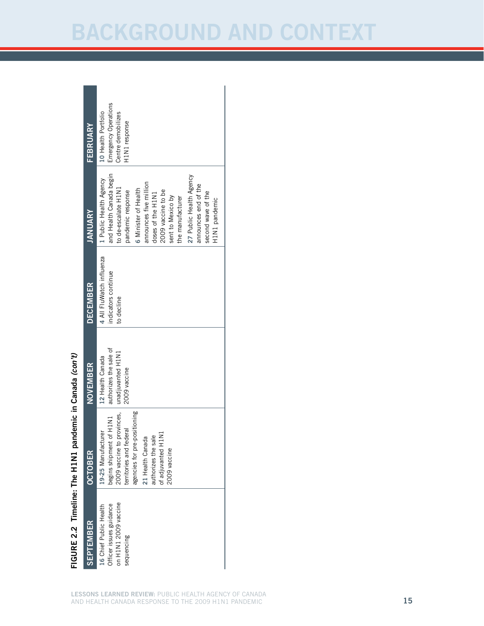| FEBRUARY         | Emergency Operations<br>10 Health Portfolio<br>Centre demobilizes<br>H1N1 response                                                                                                                                                                                                                                            |
|------------------|-------------------------------------------------------------------------------------------------------------------------------------------------------------------------------------------------------------------------------------------------------------------------------------------------------------------------------|
| <b>JANUARY</b>   | and Health Canada begin<br>27 Public Health Agency<br>1 Public Health Agency<br>announces five million<br>announces end of the<br>to de-escalate H1N1<br>6 Minister of Health<br>2009 vaccine to be<br>pandemic response<br>doses of the H1N1<br>second wave of the<br>sent to Mexico by<br>the manufacturer<br>H1N1 pandemic |
| <b>DECEMBER</b>  | 4 All FluWatch influenza<br>indicators continue<br>to decline                                                                                                                                                                                                                                                                 |
| <b>NOVEMBER</b>  | authorizes the sale of<br>unadjuvanted H1N1<br>12 Health Canada<br>2009 vaccine                                                                                                                                                                                                                                               |
| <b>OCTOBER</b>   | 2009 vaccine to provinces,<br>pre-positioning<br>begins shipment of H1N1<br>territories and federal<br>19-25 Manufacturer<br>of adjuvanted H1N1<br>authorizes the sale<br>21 Health Canada<br>Φ<br>agencies for<br>2009 vaccin                                                                                                |
| <b>SEPTEMBER</b> | on H1N1 2009 vaccine<br>Officer issues guidance<br>16 Chief Public Health<br>sequencing                                                                                                                                                                                                                                       |

# Figure 2.2 Timeline: FIGURE 2.2 Timeline: The H1N1 pandemic in Canada (con't) N1 pandemic in Canada *(con't)*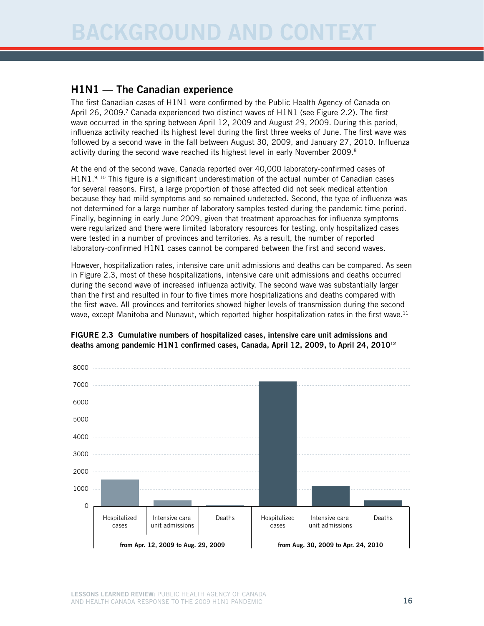## H1N1 — The Canadian experience

The first Canadian cases of H1N1 were confirmed by the Public Health Agency of Canada on April 26, 2009.<sup>7</sup> Canada experienced two distinct waves of H1N1 (see Figure 2.2). The first wave occurred in the spring between April 12, 2009 and August 29, 2009. During this period, influenza activity reached its highest level during the first three weeks of June. The first wave was followed by a second wave in the fall between August 30, 2009, and January 27, 2010. Influenza activity during the second wave reached its highest level in early November 2009.<sup>8</sup>

At the end of the second wave, Canada reported over 40,000 laboratory-confirmed cases of  $H1N1<sup>9, 10</sup>$  This figure is a significant underestimation of the actual number of Canadian cases for several reasons. First, a large proportion of those affected did not seek medical attention because they had mild symptoms and so remained undetected. Second, the type of influenza was not determined for a large number of laboratory samples tested during the pandemic time period. Finally, beginning in early June 2009, given that treatment approaches for influenza symptoms were regularized and there were limited laboratory resources for testing, only hospitalized cases were tested in a number of provinces and territories. As a result, the number of reported laboratory-confirmed H1N1 cases cannot be compared between the first and second waves.

However, hospitalization rates, intensive care unit admissions and deaths can be compared. As seen in Figure 2.3, most of these hospitalizations, intensive care unit admissions and deaths occurred during the second wave of increased influenza activity. The second wave was substantially larger than the first and resulted in four to five times more hospitalizations and deaths compared with the first wave. All provinces and territories showed higher levels of transmission during the second wave, except Manitoba and Nunavut, which reported higher hospitalization rates in the first wave.<sup>11</sup>



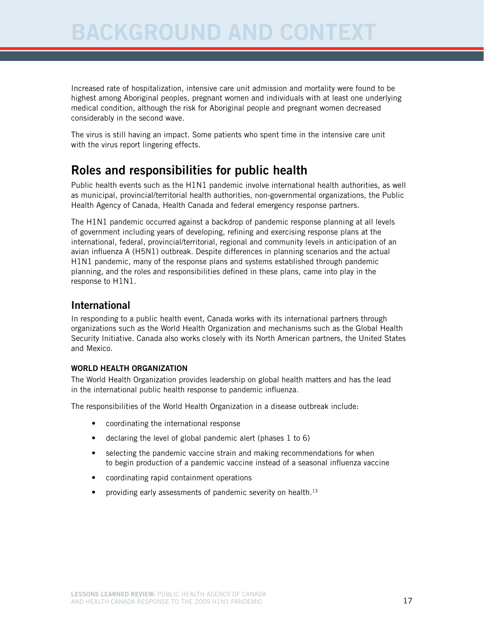Increased rate of hospitalization, intensive care unit admission and mortality were found to be highest among Aboriginal peoples, pregnant women and individuals with at least one underlying medical condition, although the risk for Aboriginal people and pregnant women decreased considerably in the second wave.

The virus is still having an impact. Some patients who spent time in the intensive care unit with the virus report lingering effects.

# Roles and responsibilities for public health

Public health events such as the H1N1 pandemic involve international health authorities, as well as municipal, provincial/territorial health authorities, non-governmental organizations, the Public Health Agency of Canada, Health Canada and federal emergency response partners.

The H1N1 pandemic occurred against a backdrop of pandemic response planning at all levels of government including years of developing, refining and exercising response plans at the international, federal, provincial/territorial, regional and community levels in anticipation of an avian influenza A (H5N1) outbreak. Despite differences in planning scenarios and the actual H1N1 pandemic, many of the response plans and systems established through pandemic planning, and the roles and responsibilities defined in these plans, came into play in the response to H1N1.

## International

In responding to a public health event, Canada works with its international partners through organizations such as the World Health Organization and mechanisms such as the Global Health Security Initiative. Canada also works closely with its North American partners, the United States and Mexico.

#### World Health Organization

The World Health Organization provides leadership on global health matters and has the lead in the international public health response to pandemic influenza.

The responsibilities of the World Health Organization in a disease outbreak include:

- coordinating the international response
- declaring the level of global pandemic alert (phases  $1$  to  $6$ )
- selecting the pandemic vaccine strain and making recommendations for when to begin production of a pandemic vaccine instead of a seasonal influenza vaccine
- coordinating rapid containment operations
- providing early assessments of pandemic severity on health. $13$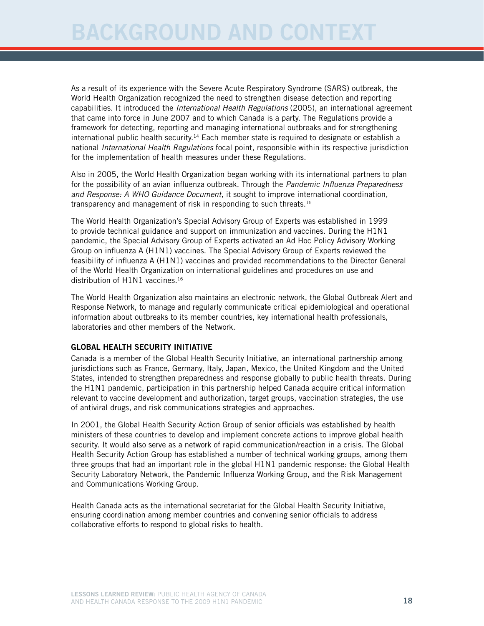As a result of its experience with the Severe Acute Respiratory Syndrome (SARS) outbreak, the World Health Organization recognized the need to strengthen disease detection and reporting capabilities. It introduced the *International Health Regulations* (2005), an international agreement that came into force in June 2007 and to which Canada is a party. The Regulations provide a framework for detecting, reporting and managing international outbreaks and for strengthening international public health security.<sup>14</sup> Each member state is required to designate or establish a national *International Health Regulations* focal point, responsible within its respective jurisdiction for the implementation of health measures under these Regulations.

Also in 2005, the World Health Organization began working with its international partners to plan for the possibility of an avian influenza outbreak. Through the *Pandemic Influenza Preparedness and Response: A WHO Guidance Document*, it sought to improve international coordination, transparency and management of risk in responding to such threats.<sup>15</sup>

The World Health Organization's Special Advisory Group of Experts was established in 1999 to provide technical guidance and support on immunization and vaccines. During the H1N1 pandemic, the Special Advisory Group of Experts activated an Ad Hoc Policy Advisory Working Group on influenza A (H1N1) vaccines. The Special Advisory Group of Experts reviewed the feasibility of influenza A (H1N1) vaccines and provided recommendations to the Director General of the World Health Organization on international guidelines and procedures on use and distribution of H1N1 vaccines.<sup>16</sup>

The World Health Organization also maintains an electronic network, the Global Outbreak Alert and Response Network, to manage and regularly communicate critical epidemiological and operational information about outbreaks to its member countries, key international health professionals, laboratories and other members of the Network.

#### Global Health Security Initiative

Canada is a member of the Global Health Security Initiative, an international partnership among jurisdictions such as France, Germany, Italy, Japan, Mexico, the United Kingdom and the United States, intended to strengthen preparedness and response globally to public health threats. During the H1N1 pandemic, participation in this partnership helped Canada acquire critical information relevant to vaccine development and authorization, target groups, vaccination strategies, the use of antiviral drugs, and risk communications strategies and approaches.

In 2001, the Global Health Security Action Group of senior officials was established by health ministers of these countries to develop and implement concrete actions to improve global health security. It would also serve as a network of rapid communication/reaction in a crisis. The Global Health Security Action Group has established a number of technical working groups, among them three groups that had an important role in the global H1N1 pandemic response: the Global Health Security Laboratory Network, the Pandemic Influenza Working Group, and the Risk Management and Communications Working Group.

Health Canada acts as the international secretariat for the Global Health Security Initiative, ensuring coordination among member countries and convening senior officials to address collaborative efforts to respond to global risks to health.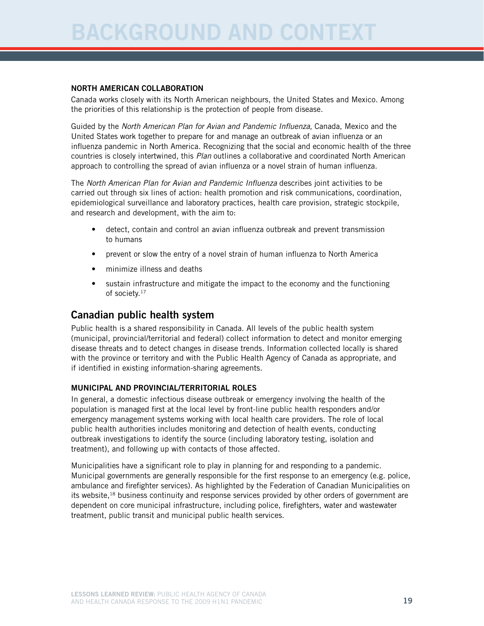#### North American collaboration

Canada works closely with its North American neighbours, the United States and Mexico. Among the priorities of this relationship is the protection of people from disease.

Guided by the *North American Plan for Avian and Pandemic Influenza*, Canada, Mexico and the United States work together to prepare for and manage an outbreak of avian influenza or an influenza pandemic in North America. Recognizing that the social and economic health of the three countries is closely intertwined, this *Plan* outlines a collaborative and coordinated North American approach to controlling the spread of avian influenza or a novel strain of human influenza.

The *North American Plan for Avian and Pandemic Influenza* describes joint activities to be carried out through six lines of action: health promotion and risk communications, coordination, epidemiological surveillance and laboratory practices, health care provision, strategic stockpile, and research and development, with the aim to:

- detect, contain and control an avian influenza outbreak and prevent transmission to humans
- prevent or slow the entry of a novel strain of human influenza to North America
- minimize illness and deaths
- sustain infrastructure and mitigate the impact to the economy and the functioning of society.<sup>17</sup>

#### Canadian public health system

Public health is a shared responsibility in Canada. All levels of the public health system (municipal, provincial/territorial and federal) collect information to detect and monitor emerging disease threats and to detect changes in disease trends. Information collected locally is shared with the province or territory and with the Public Health Agency of Canada as appropriate, and if identified in existing information-sharing agreements.

#### Municipal and provincial/territorial roles

In general, a domestic infectious disease outbreak or emergency involving the health of the population is managed first at the local level by front-line public health responders and/or emergency management systems working with local health care providers. The role of local public health authorities includes monitoring and detection of health events, conducting outbreak investigations to identify the source (including laboratory testing, isolation and treatment), and following up with contacts of those affected.

Municipalities have a significant role to play in planning for and responding to a pandemic. Municipal governments are generally responsible for the first response to an emergency (e.g. police, ambulance and firefighter services). As highlighted by the Federation of Canadian Municipalities on its website,<sup>18</sup> business continuity and response services provided by other orders of government are dependent on core municipal infrastructure, including police, firefighters, water and wastewater treatment, public transit and municipal public health services.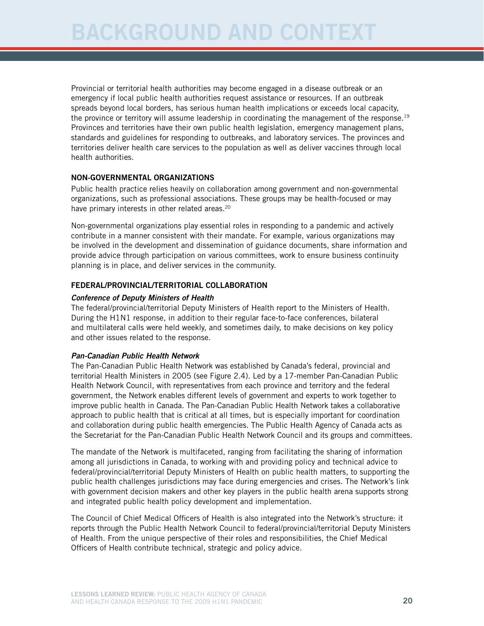Provincial or territorial health authorities may become engaged in a disease outbreak or an emergency if local public health authorities request assistance or resources. If an outbreak spreads beyond local borders, has serious human health implications or exceeds local capacity, the province or territory will assume leadership in coordinating the management of the response.<sup>19</sup> Provinces and territories have their own public health legislation, emergency management plans, standards and guidelines for responding to outbreaks, and laboratory services. The provinces and territories deliver health care services to the population as well as deliver vaccines through local health authorities.

#### Non-governmental organizations

Public health practice relies heavily on collaboration among government and non-governmental organizations, such as professional associations. These groups may be health-focused or may have primary interests in other related areas.<sup>20</sup>

Non-governmental organizations play essential roles in responding to a pandemic and actively contribute in a manner consistent with their mandate. For example, various organizations may be involved in the development and dissemination of guidance documents, share information and provide advice through participation on various committees, work to ensure business continuity planning is in place, and deliver services in the community.

#### Federal/provincial/territorial collaboration

#### *Conference of Deputy Ministers of Health*

The federal/provincial/territorial Deputy Ministers of Health report to the Ministers of Health. During the H1N1 response, in addition to their regular face-to-face conferences, bilateral and multilateral calls were held weekly, and sometimes daily, to make decisions on key policy and other issues related to the response.

#### *Pan-Canadian Public Health Network*

The Pan-Canadian Public Health Network was established by Canada's federal, provincial and territorial Health Ministers in 2005 (see Figure 2.4). Led by a 17-member Pan-Canadian Public Health Network Council, with representatives from each province and territory and the federal government, the Network enables different levels of government and experts to work together to improve public health in Canada. The Pan-Canadian Public Health Network takes a collaborative approach to public health that is critical at all times, but is especially important for coordination and collaboration during public health emergencies. The Public Health Agency of Canada acts as the Secretariat for the Pan-Canadian Public Health Network Council and its groups and committees.

The mandate of the Network is multifaceted, ranging from facilitating the sharing of information among all jurisdictions in Canada, to working with and providing policy and technical advice to federal/provincial/territorial Deputy Ministers of Health on public health matters, to supporting the public health challenges jurisdictions may face during emergencies and crises. The Network's link with government decision makers and other key players in the public health arena supports strong and integrated public health policy development and implementation.

The Council of Chief Medical Officers of Health is also integrated into the Network's structure: it reports through the Public Health Network Council to federal/provincial/territorial Deputy Ministers of Health. From the unique perspective of their roles and responsibilities, the Chief Medical Officers of Health contribute technical, strategic and policy advice.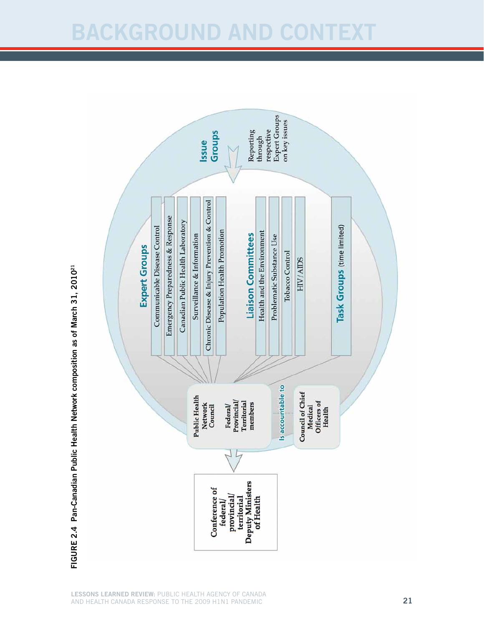# BACKGROUND AND CONTE



FIGURE 2.4 Pan-Canadian Public Health Network composition as of March 31, 2010<sup>21</sup> March 31, 2010<sup>21</sup> Network composition as of Canadian Public Health Figure 2.4 Pan-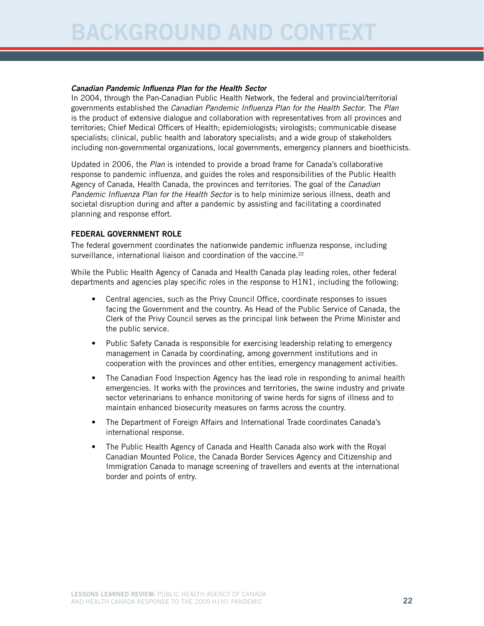#### *Canadian Pandemic Influenza Plan for the Health Sector*

In 2004, through the Pan-Canadian Public Health Network, the federal and provincial/territorial governments established the *Canadian Pandemic Influenza Plan for the Health Sector*. The *Plan*  is the product of extensive dialogue and collaboration with representatives from all provinces and territories; Chief Medical Officers of Health; epidemiologists; virologists; communicable disease specialists; clinical, public health and laboratory specialists; and a wide group of stakeholders including non-governmental organizations, local governments, emergency planners and bioethicists.

Updated in 2006, the *Plan* is intended to provide a broad frame for Canada's collaborative response to pandemic influenza, and guides the roles and responsibilities of the Public Health Agency of Canada, Health Canada, the provinces and territories. The goal of the *Canadian Pandemic Influenza Plan for the Health Sector* is to help minimize serious illness, death and societal disruption during and after a pandemic by assisting and facilitating a coordinated planning and response effort.

#### Federal government role

The federal government coordinates the nationwide pandemic influenza response, including surveillance, international liaison and coordination of the vaccine.<sup>22</sup>

While the Public Health Agency of Canada and Health Canada play leading roles, other federal departments and agencies play specific roles in the response to H1N1, including the following:

- Central agencies, such as the Privy Council Office, coordinate responses to issues facing the Government and the country. As Head of the Public Service of Canada, the Clerk of the Privy Council serves as the principal link between the Prime Minister and the public service.
- Public Safety Canada is responsible for exercising leadership relating to emergency management in Canada by coordinating, among government institutions and in cooperation with the provinces and other entities, emergency management activities.
- The Canadian Food Inspection Agency has the lead role in responding to animal health emergencies. It works with the provinces and territories, the swine industry and private sector veterinarians to enhance monitoring of swine herds for signs of illness and to maintain enhanced biosecurity measures on farms across the country.
- The Department of Foreign Affairs and International Trade coordinates Canada's international response.
- The Public Health Agency of Canada and Health Canada also work with the Royal Canadian Mounted Police, the Canada Border Services Agency and Citizenship and Immigration Canada to manage screening of travellers and events at the international border and points of entry.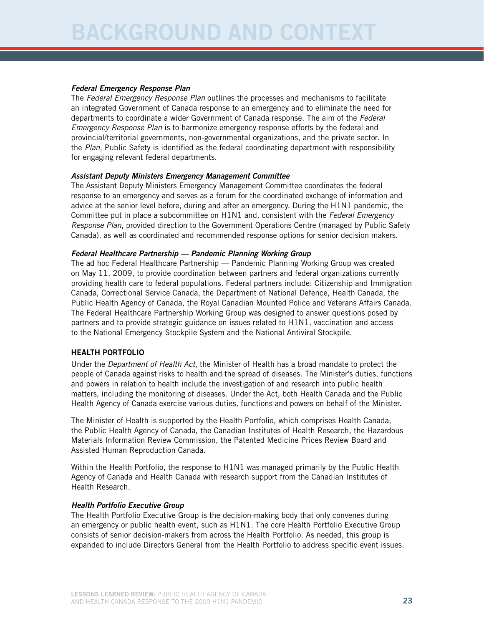#### *Federal Emergency Response Plan*

The *Federal Emergency Response Plan* outlines the processes and mechanisms to facilitate an integrated Government of Canada response to an emergency and to eliminate the need for departments to coordinate a wider Government of Canada response. The aim of the *Federal Emergency Response Plan* is to harmonize emergency response efforts by the federal and provincial/territorial governments, non-governmental organizations, and the private sector. In the *Plan*, Public Safety is identified as the federal coordinating department with responsibility for engaging relevant federal departments.

#### *Assistant Deputy Ministers Emergency Management Committee*

The Assistant Deputy Ministers Emergency Management Committee coordinates the federal response to an emergency and serves as a forum for the coordinated exchange of information and advice at the senior level before, during and after an emergency. During the H1N1 pandemic, the Committee put in place a subcommittee on H1N1 and, consistent with the *Federal Emergency Response Plan*, provided direction to the Government Operations Centre (managed by Public Safety Canada), as well as coordinated and recommended response options for senior decision makers.

#### *Federal Healthcare Partnership — Pandemic Planning Working Group*

The ad hoc Federal Healthcare Partnership — Pandemic Planning Working Group was created on May 11, 2009, to provide coordination between partners and federal organizations currently providing health care to federal populations. Federal partners include: Citizenship and Immigration Canada, Correctional Service Canada, the Department of National Defence, Health Canada, the Public Health Agency of Canada, the Royal Canadian Mounted Police and Veterans Affairs Canada. The Federal Healthcare Partnership Working Group was designed to answer questions posed by partners and to provide strategic guidance on issues related to H1N1, vaccination and access to the National Emergency Stockpile System and the National Antiviral Stockpile.

#### Health Portfolio

Under the *Department of Health Act*, the Minister of Health has a broad mandate to protect the people of Canada against risks to health and the spread of diseases. The Minister's duties, functions and powers in relation to health include the investigation of and research into public health matters, including the monitoring of diseases. Under the Act, both Health Canada and the Public Health Agency of Canada exercise various duties, functions and powers on behalf of the Minister.

The Minister of Health is supported by the Health Portfolio, which comprises Health Canada, the Public Health Agency of Canada, the Canadian Institutes of Health Research, the Hazardous Materials Information Review Commission, the Patented Medicine Prices Review Board and Assisted Human Reproduction Canada.

Within the Health Portfolio, the response to H1N1 was managed primarily by the Public Health Agency of Canada and Health Canada with research support from the Canadian Institutes of Health Research.

#### *Health Portfolio Executive Group*

The Health Portfolio Executive Group is the decision-making body that only convenes during an emergency or public health event, such as H1N1. The core Health Portfolio Executive Group consists of senior decision-makers from across the Health Portfolio. As needed, this group is expanded to include Directors General from the Health Portfolio to address specific event issues.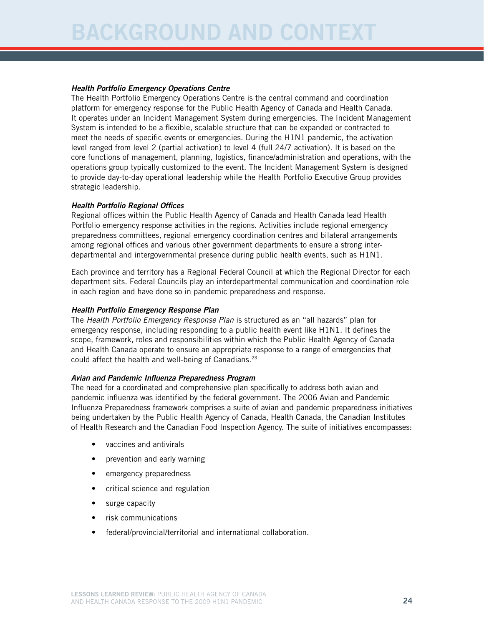#### *Health Portfolio Emergency Operations Centre*

The Health Portfolio Emergency Operations Centre is the central command and coordination platform for emergency response for the Public Health Agency of Canada and Health Canada. It operates under an Incident Management System during emergencies. The Incident Management System is intended to be a flexible, scalable structure that can be expanded or contracted to meet the needs of specific events or emergencies. During the H1N1 pandemic, the activation level ranged from level 2 (partial activation) to level 4 (full 24/7 activation). It is based on the core functions of management, planning, logistics, finance/administration and operations, with the operations group typically customized to the event. The Incident Management System is designed to provide day-to-day operational leadership while the Health Portfolio Executive Group provides strategic leadership.

#### *Health Portfolio Regional Offices*

Regional offices within the Public Health Agency of Canada and Health Canada lead Health Portfolio emergency response activities in the regions. Activities include regional emergency preparedness committees, regional emergency coordination centres and bilateral arrangements among regional offices and various other government departments to ensure a strong interdepartmental and intergovernmental presence during public health events, such as H1N1.

Each province and territory has a Regional Federal Council at which the Regional Director for each department sits. Federal Councils play an interdepartmental communication and coordination role in each region and have done so in pandemic preparedness and response.

#### *Health Portfolio Emergency Response Plan*

The *Health Portfolio Emergency Response Plan* is structured as an "all hazards" plan for emergency response, including responding to a public health event like H1N1. It defines the scope, framework, roles and responsibilities within which the Public Health Agency of Canada and Health Canada operate to ensure an appropriate response to a range of emergencies that could affect the health and well-being of Canadians.<sup>23</sup>

#### *Avian and Pandemic Influenza Preparedness Program*

The need for a coordinated and comprehensive plan specifically to address both avian and pandemic influenza was identified by the federal government. The 2006 Avian and Pandemic Influenza Preparedness framework comprises a suite of avian and pandemic preparedness initiatives being undertaken by the Public Health Agency of Canada, Health Canada, the Canadian Institutes of Health Research and the Canadian Food Inspection Agency. The suite of initiatives encompasses:

- vaccines and antivirals
- prevention and early warning
- emergency preparedness
- critical science and regulation
- surge capacity
- risk communications
- federal/provincial/territorial and international collaboration.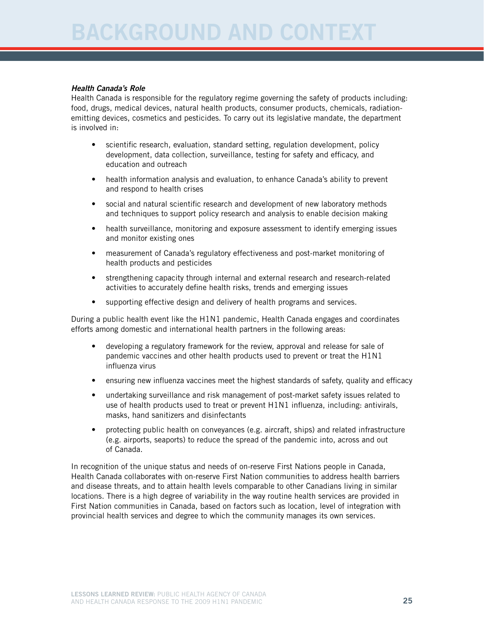#### *Health Canada's Role*

Health Canada is responsible for the regulatory regime governing the safety of products including: food, drugs, medical devices, natural health products, consumer products, chemicals, radiationemitting devices, cosmetics and pesticides. To carry out its legislative mandate, the department is involved in:

- scientific research, evaluation, standard setting, regulation development, policy development, data collection, surveillance, testing for safety and efficacy, and education and outreach
- health information analysis and evaluation, to enhance Canada's ability to prevent and respond to health crises
- social and natural scientific research and development of new laboratory methods and techniques to support policy research and analysis to enable decision making
- health surveillance, monitoring and exposure assessment to identify emerging issues and monitor existing ones
- measurement of Canada's regulatory effectiveness and post-market monitoring of health products and pesticides
- strengthening capacity through internal and external research and research-related activities to accurately define health risks, trends and emerging issues
- supporting effective design and delivery of health programs and services.

During a public health event like the H1N1 pandemic, Health Canada engages and coordinates efforts among domestic and international health partners in the following areas:

- developing a regulatory framework for the review, approval and release for sale of pandemic vaccines and other health products used to prevent or treat the H1N1 influenza virus
- ensuring new influenza vaccines meet the highest standards of safety, quality and efficacy
- undertaking surveillance and risk management of post-market safety issues related to use of health products used to treat or prevent H1N1 influenza, including: antivirals, masks, hand sanitizers and disinfectants
- protecting public health on conveyances (e.g. aircraft, ships) and related infrastructure (e.g. airports, seaports) to reduce the spread of the pandemic into, across and out of Canada.

In recognition of the unique status and needs of on-reserve First Nations people in Canada, Health Canada collaborates with on-reserve First Nation communities to address health barriers and disease threats, and to attain health levels comparable to other Canadians living in similar locations. There is a high degree of variability in the way routine health services are provided in First Nation communities in Canada, based on factors such as location, level of integration with provincial health services and degree to which the community manages its own services.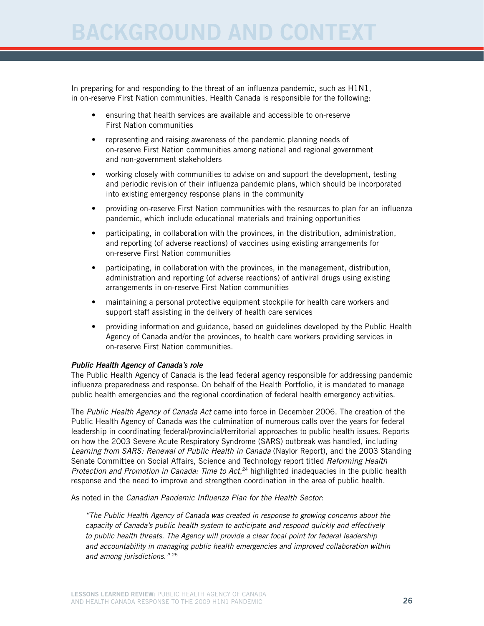In preparing for and responding to the threat of an influenza pandemic, such as H1N1, in on-reserve First Nation communities, Health Canada is responsible for the following:

- ensuring that health services are available and accessible to on-reserve First Nation communities
- representing and raising awareness of the pandemic planning needs of on-reserve First Nation communities among national and regional government and non-government stakeholders
- working closely with communities to advise on and support the development, testing and periodic revision of their influenza pandemic plans, which should be incorporated into existing emergency response plans in the community
- providing on-reserve First Nation communities with the resources to plan for an influenza pandemic, which include educational materials and training opportunities
- participating, in collaboration with the provinces, in the distribution, administration, and reporting (of adverse reactions) of vaccines using existing arrangements for on-reserve First Nation communities
- participating, in collaboration with the provinces, in the management, distribution, administration and reporting (of adverse reactions) of antiviral drugs using existing arrangements in on-reserve First Nation communities
- maintaining a personal protective equipment stockpile for health care workers and support staff assisting in the delivery of health care services
- providing information and guidance, based on guidelines developed by the Public Health Agency of Canada and/or the provinces, to health care workers providing services in on-reserve First Nation communities.

#### *Public Health Agency of Canada's role*

The Public Health Agency of Canada is the lead federal agency responsible for addressing pandemic influenza preparedness and response. On behalf of the Health Portfolio, it is mandated to manage public health emergencies and the regional coordination of federal health emergency activities.

The *Public Health Agency of Canada Act* came into force in December 2006. The creation of the Public Health Agency of Canada was the culmination of numerous calls over the years for federal leadership in coordinating federal/provincial/territorial approaches to public health issues. Reports on how the 2003 Severe Acute Respiratory Syndrome (SARS) outbreak was handled, including *Learning from SARS: Renewal of Public Health in Canada* (Naylor Report), and the 2003 Standing Senate Committee on Social Affairs, Science and Technology report titled *Reforming Health*  Protection and Promotion in Canada: Time to Act,<sup>24</sup> highlighted inadequacies in the public health response and the need to improve and strengthen coordination in the area of public health.

As noted in the *Canadian Pandemic Influenza Plan for the Health Sector*:

*"The Public Health Agency of Canada was created in response to growing concerns about the capacity of Canada's public health system to anticipate and respond quickly and effectively to public health threats. The Agency will provide a clear focal point for federal leadership and accountability in managing public health emergencies and improved collaboration within and among jurisdictions."* 25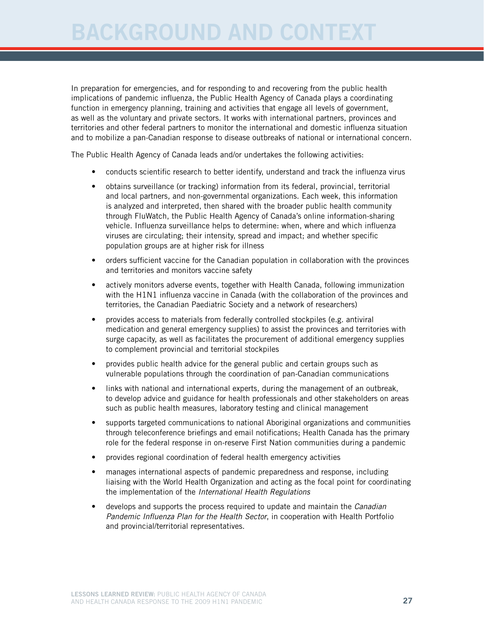In preparation for emergencies, and for responding to and recovering from the public health implications of pandemic influenza, the Public Health Agency of Canada plays a coordinating function in emergency planning, training and activities that engage all levels of government, as well as the voluntary and private sectors. It works with international partners, provinces and territories and other federal partners to monitor the international and domestic influenza situation and to mobilize a pan-Canadian response to disease outbreaks of national or international concern.

The Public Health Agency of Canada leads and/or undertakes the following activities:

- conducts scientific research to better identify, understand and track the influenza virus
- obtains surveillance (or tracking) information from its federal, provincial, territorial and local partners, and non-governmental organizations. Each week, this information is analyzed and interpreted, then shared with the broader public health community through FluWatch, the Public Health Agency of Canada's online information-sharing vehicle. Influenza surveillance helps to determine: when, where and which influenza viruses are circulating; their intensity, spread and impact; and whether specific population groups are at higher risk for illness
- orders sufficient vaccine for the Canadian population in collaboration with the provinces and territories and monitors vaccine safety
- actively monitors adverse events, together with Health Canada, following immunization with the H1N1 influenza vaccine in Canada (with the collaboration of the provinces and territories, the Canadian Paediatric Society and a network of researchers)
- provides access to materials from federally controlled stockpiles (e.g. antiviral medication and general emergency supplies) to assist the provinces and territories with surge capacity, as well as facilitates the procurement of additional emergency supplies to complement provincial and territorial stockpiles
- provides public health advice for the general public and certain groups such as vulnerable populations through the coordination of pan-Canadian communications
- links with national and international experts, during the management of an outbreak, to develop advice and guidance for health professionals and other stakeholders on areas such as public health measures, laboratory testing and clinical management
- supports targeted communications to national Aboriginal organizations and communities through teleconference briefings and email notifications; Health Canada has the primary role for the federal response in on-reserve First Nation communities during a pandemic
- provides regional coordination of federal health emergency activities
- manages international aspects of pandemic preparedness and response, including liaising with the World Health Organization and acting as the focal point for coordinating the implementation of the *International Health Regulations*
- develops and supports the process required to update and maintain the *Canadian Pandemic Influenza Plan for the Health Sector*, in cooperation with Health Portfolio and provincial/territorial representatives.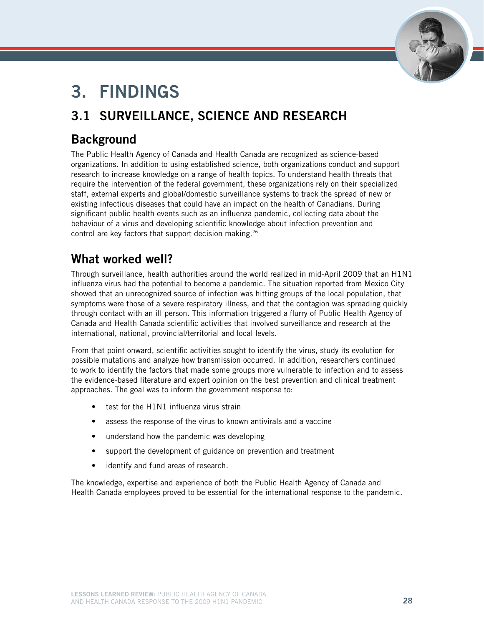

# 3. Findings

# 3.1 Surveillance, science and research

# **Background**

The Public Health Agency of Canada and Health Canada are recognized as science-based organizations. In addition to using established science, both organizations conduct and support research to increase knowledge on a range of health topics. To understand health threats that require the intervention of the federal government, these organizations rely on their specialized staff, external experts and global/domestic surveillance systems to track the spread of new or existing infectious diseases that could have an impact on the health of Canadians. During significant public health events such as an influenza pandemic, collecting data about the behaviour of a virus and developing scientific knowledge about infection prevention and control are key factors that support decision making.26

# What worked well?

Through surveillance, health authorities around the world realized in mid-April 2009 that an H1N1 influenza virus had the potential to become a pandemic. The situation reported from Mexico City showed that an unrecognized source of infection was hitting groups of the local population, that symptoms were those of a severe respiratory illness, and that the contagion was spreading quickly through contact with an ill person. This information triggered a flurry of Public Health Agency of Canada and Health Canada scientific activities that involved surveillance and research at the international, national, provincial/territorial and local levels.

From that point onward, scientific activities sought to identify the virus, study its evolution for possible mutations and analyze how transmission occurred. In addition, researchers continued to work to identify the factors that made some groups more vulnerable to infection and to assess the evidence-based literature and expert opinion on the best prevention and clinical treatment approaches. The goal was to inform the government response to:

- test for the H1N1 influenza virus strain
- assess the response of the virus to known antivirals and a vaccine
- understand how the pandemic was developing
- support the development of guidance on prevention and treatment
- • identify and fund areas of research.

The knowledge, expertise and experience of both the Public Health Agency of Canada and Health Canada employees proved to be essential for the international response to the pandemic.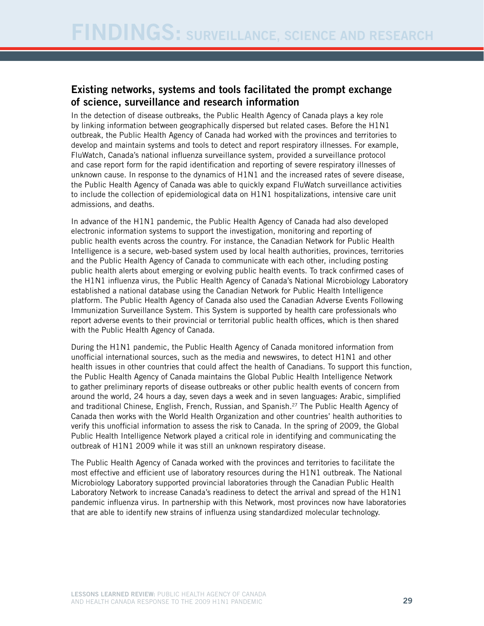## Existing networks, systems and tools facilitated the prompt exchange of science, surveillance and research information

In the detection of disease outbreaks, the Public Health Agency of Canada plays a key role by linking information between geographically dispersed but related cases. Before the H1N1 outbreak, the Public Health Agency of Canada had worked with the provinces and territories to develop and maintain systems and tools to detect and report respiratory illnesses. For example, FluWatch, Canada's national influenza surveillance system, provided a surveillance protocol and case report form for the rapid identification and reporting of severe respiratory illnesses of unknown cause. In response to the dynamics of H1N1 and the increased rates of severe disease, the Public Health Agency of Canada was able to quickly expand FluWatch surveillance activities to include the collection of epidemiological data on H1N1 hospitalizations, intensive care unit admissions, and deaths.

In advance of the H1N1 pandemic, the Public Health Agency of Canada had also developed electronic information systems to support the investigation, monitoring and reporting of public health events across the country. For instance, the Canadian Network for Public Health Intelligence is a secure, web-based system used by local health authorities, provinces, territories and the Public Health Agency of Canada to communicate with each other, including posting public health alerts about emerging or evolving public health events. To track confirmed cases of the H1N1 influenza virus, the Public Health Agency of Canada's National Microbiology Laboratory established a national database using the Canadian Network for Public Health Intelligence platform. The Public Health Agency of Canada also used the Canadian Adverse Events Following Immunization Surveillance System. This System is supported by health care professionals who report adverse events to their provincial or territorial public health offices, which is then shared with the Public Health Agency of Canada.

During the H1N1 pandemic, the Public Health Agency of Canada monitored information from unofficial international sources, such as the media and newswires, to detect H1N1 and other health issues in other countries that could affect the health of Canadians. To support this function, the Public Health Agency of Canada maintains the Global Public Health Intelligence Network to gather preliminary reports of disease outbreaks or other public health events of concern from around the world, 24 hours a day, seven days a week and in seven languages: Arabic, simplified and traditional Chinese, English, French, Russian, and Spanish.27 The Public Health Agency of Canada then works with the World Health Organization and other countries' health authorities to verify this unofficial information to assess the risk to Canada. In the spring of 2009, the Global Public Health Intelligence Network played a critical role in identifying and communicating the outbreak of H1N1 2009 while it was still an unknown respiratory disease.

The Public Health Agency of Canada worked with the provinces and territories to facilitate the most effective and efficient use of laboratory resources during the H1N1 outbreak. The National Microbiology Laboratory supported provincial laboratories through the Canadian Public Health Laboratory Network to increase Canada's readiness to detect the arrival and spread of the H1N1 pandemic influenza virus. In partnership with this Network, most provinces now have laboratories that are able to identify new strains of influenza using standardized molecular technology.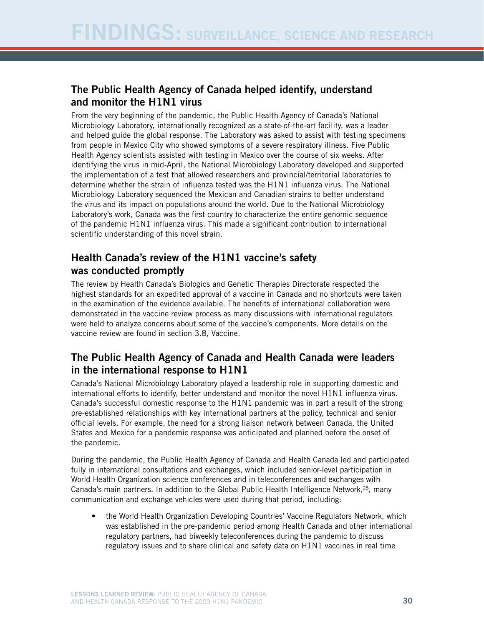## The Public Health Agency of Canada helped identify, understand and monitor the H1N1 virus

From the very beginning of the pandemic, the Public Health Agency of Canada's National Microbiology Laboratory, internationally recognized as a state-of-the-art facility, was a leader and helped guide the global response. The Laboratory was asked to assist with testing specimens from people in Mexico City who showed symptoms of a severe respiratory illness. Five Public Health Agency scientists assisted with testing in Mexico over the course of six weeks. After identifying the virus in mid-April, the National Microbiology Laboratory developed and supported the implementation of a test that allowed researchers and provincial/territorial laboratories to determine whether the strain of influenza tested was the H1N1 influenza virus. The National Microbiology Laboratory sequenced the Mexican and Canadian strains to better understand the virus and its impact on populations around the world. Due to the National Microbiology Laboratory's work, Canada was the first country to characterize the entire genomic sequence of the pandemic H1N1 influenza virus. This made a significant contribution to international scientific understanding of this novel strain.

## Health Canada's review of the H1N1 vaccine's safety was conducted promptly

The review by Health Canada's Biologics and Genetic Therapies Directorate respected the highest standards for an expedited approval of a vaccine in Canada and no shortcuts were taken in the examination of the evidence available. The benefits of international collaboration were demonstrated in the vaccine review process as many discussions with international regulators were held to analyze concerns about some of the vaccine's components. More details on the vaccine review are found in section 3.8, Vaccine.

## The Public Health Agency of Canada and Health Canada were leaders in the international response to H1N1

Canada's National Microbiology Laboratory played a leadership role in supporting domestic and international efforts to identify, better understand and monitor the novel H1N1 influenza virus. Canada's successful domestic response to the H1N1 pandemic was in part a result of the strong pre-established relationships with key international partners at the policy, technical and senior official levels. For example, the need for a strong liaison network between Canada, the United States and Mexico for a pandemic response was anticipated and planned before the onset of the pandemic.

During the pandemic, the Public Health Agency of Canada and Health Canada led and participated fully in international consultations and exchanges, which included senior-level participation in World Health Organization science conferences and in teleconferences and exchanges with Canada's main partners. In addition to the Global Public Health Intelligence Network,<sup>28</sup>, many communication and exchange vehicles were used during that period, including:

the World Health Organization Developing Countries' Vaccine Regulators Network, which was established in the pre-pandemic period among Health Canada and other international regulatory partners, had biweekly teleconferences during the pandemic to discuss regulatory issues and to share clinical and safety data on H1N1 vaccines in real time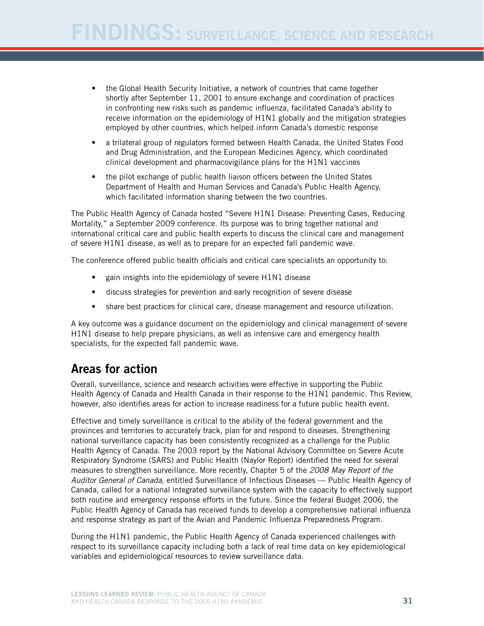- the Global Health Security Initiative, a network of countries that came together shortly after September 11, 2001 to ensure exchange and coordination of practices in confronting new risks such as pandemic influenza, facilitated Canada's ability to receive information on the epidemiology of H1N1 globally and the mitigation strategies employed by other countries, which helped inform Canada's domestic response
- a trilateral group of regulators formed between Health Canada, the United States Food and Drug Administration, and the European Medicines Agency, which coordinated clinical development and pharmacovigilance plans for the H1N1 vaccines
- the pilot exchange of public health liaison officers between the United States Department of Health and Human Services and Canada's Public Health Agency, which facilitated information sharing between the two countries.

The Public Health Agency of Canada hosted "Severe H1N1 Disease: Preventing Cases, Reducing Mortality," a September 2009 conference. Its purpose was to bring together national and international critical care and public health experts to discuss the clinical care and management of severe H1N1 disease, as well as to prepare for an expected fall pandemic wave.

The conference offered public health officials and critical care specialists an opportunity to:

- gain insights into the epidemiology of severe H1N1 disease
- discuss strategies for prevention and early recognition of severe disease
- share best practices for clinical care, disease management and resource utilization.

A key outcome was a guidance document on the epidemiology and clinical management of severe H1N1 disease to help prepare physicians, as well as intensive care and emergency health specialists, for the expected fall pandemic wave.

## Areas for action

Overall, surveillance, science and research activities were effective in supporting the Public Health Agency of Canada and Health Canada in their response to the H1N1 pandemic. This Review, however, also identifies areas for action to increase readiness for a future public health event.

Effective and timely surveillance is critical to the ability of the federal government and the provinces and territories to accurately track, plan for and respond to diseases. Strengthening national surveillance capacity has been consistently recognized as a challenge for the Public Health Agency of Canada. The 2003 report by the National Advisory Committee on Severe Acute Respiratory Syndrome (SARS) and Public Health (Naylor Report) identified the need for several measures to strengthen surveillance. More recently, Chapter 5 of the *2008 May Report of the Auditor General of Canada*, entitled Surveillance of Infectious Diseases — Public Health Agency of Canada, called for a national integrated surveillance system with the capacity to effectively support both routine and emergency response efforts in the future. Since the federal Budget 2006, the Public Health Agency of Canada has received funds to develop a comprehensive national influenza and response strategy as part of the Avian and Pandemic Influenza Preparedness Program.

During the H1N1 pandemic, the Public Health Agency of Canada experienced challenges with respect to its surveillance capacity including both a lack of real time data on key epidemiological variables and epidemiological resources to review surveillance data.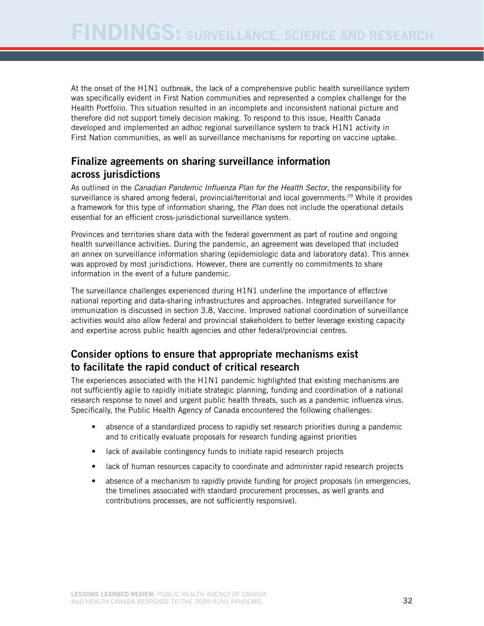At the onset of the H1N1 outbreak, the lack of a comprehensive public health surveillance system was specifically evident in First Nation communities and represented a complex challenge for the Health Portfolio. This situation resulted in an incomplete and inconsistent national picture and therefore did not support timely decision making. To respond to this issue, Health Canada developed and implemented an adhoc regional surveillance system to track H1N1 activity in First Nation communities, as well as surveillance mechanisms for reporting on vaccine uptake.

## Finalize agreements on sharing surveillance information across jurisdictions

As outlined in the *Canadian Pandemic Influenza Plan for the Health Sector*, the responsibility for surveillance is shared among federal, provincial/territorial and local governments.<sup>29</sup> While it provides a framework for this type of information sharing, the *Plan* does not include the operational details essential for an efficient cross-jurisdictional surveillance system.

Provinces and territories share data with the federal government as part of routine and ongoing health surveillance activities. During the pandemic, an agreement was developed that included an annex on surveillance information sharing (epidemiologic data and laboratory data). This annex was approved by most jurisdictions. However, there are currently no commitments to share information in the event of a future pandemic.

The surveillance challenges experienced during H1N1 underline the importance of effective national reporting and data-sharing infrastructures and approaches. Integrated surveillance for immunization is discussed in section 3.8, Vaccine. Improved national coordination of surveillance activities would also allow federal and provincial stakeholders to better leverage existing capacity and expertise across public health agencies and other federal/provincial centres.

## Consider options to ensure that appropriate mechanisms exist to facilitate the rapid conduct of critical research

The experiences associated with the H1N1 pandemic highlighted that existing mechanisms are not sufficiently agile to rapidly initiate strategic planning, funding and coordination of a national research response to novel and urgent public health threats, such as a pandemic influenza virus. Specifically, the Public Health Agency of Canada encountered the following challenges:

- absence of a standardized process to rapidly set research priorities during a pandemic and to critically evaluate proposals for research funding against priorities
- lack of available contingency funds to initiate rapid research projects
- lack of human resources capacity to coordinate and administer rapid research projects
- absence of a mechanism to rapidly provide funding for project proposals (in emergencies, the timelines associated with standard procurement processes, as well grants and contributions processes, are not sufficiently responsive).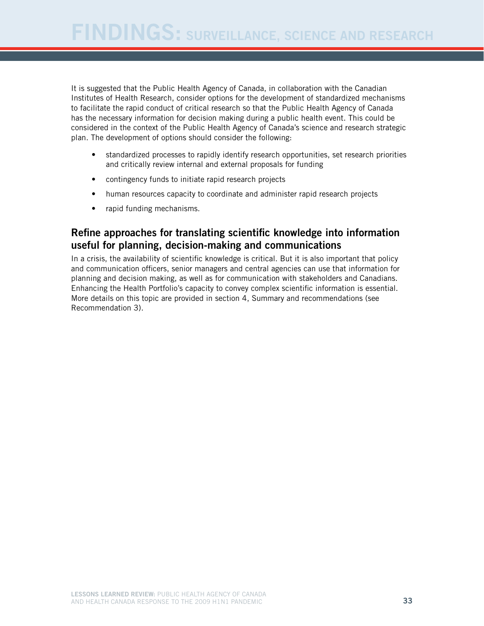It is suggested that the Public Health Agency of Canada, in collaboration with the Canadian Institutes of Health Research, consider options for the development of standardized mechanisms to facilitate the rapid conduct of critical research so that the Public Health Agency of Canada has the necessary information for decision making during a public health event. This could be considered in the context of the Public Health Agency of Canada's science and research strategic plan. The development of options should consider the following:

- standardized processes to rapidly identify research opportunities, set research priorities and critically review internal and external proposals for funding
- contingency funds to initiate rapid research projects
- human resources capacity to coordinate and administer rapid research projects
- rapid funding mechanisms.

#### Refine approaches for translating scientific knowledge into information useful for planning, decision-making and communications

In a crisis, the availability of scientific knowledge is critical. But it is also important that policy and communication officers, senior managers and central agencies can use that information for planning and decision making, as well as for communication with stakeholders and Canadians. Enhancing the Health Portfolio's capacity to convey complex scientific information is essential. More details on this topic are provided in section 4, Summary and recommendations (see Recommendation 3).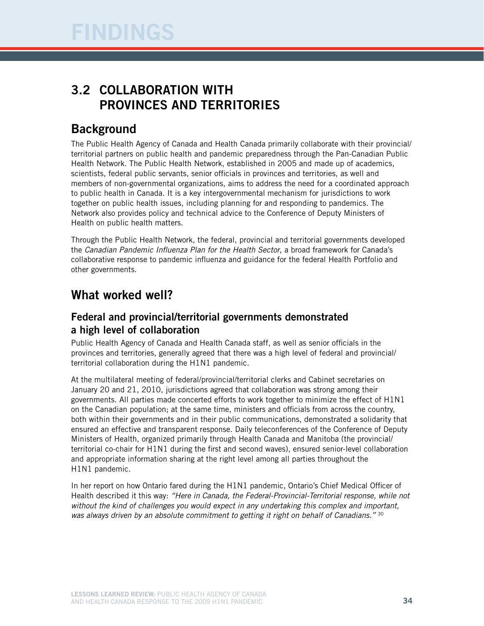## 3.2 Collaboration with provinces and territories

## **Background**

The Public Health Agency of Canada and Health Canada primarily collaborate with their provincial/ territorial partners on public health and pandemic preparedness through the Pan-Canadian Public Health Network. The Public Health Network, established in 2005 and made up of academics, scientists, federal public servants, senior officials in provinces and territories, as well and members of non-governmental organizations, aims to address the need for a coordinated approach to public health in Canada. It is a key intergovernmental mechanism for jurisdictions to work together on public health issues, including planning for and responding to pandemics. The Network also provides policy and technical advice to the Conference of Deputy Ministers of Health on public health matters.

Through the Public Health Network, the federal, provincial and territorial governments developed the *Canadian Pandemic Influenza Plan for the Health Sector*, a broad framework for Canada's collaborative response to pandemic influenza and guidance for the federal Health Portfolio and other governments.

## What worked well?

### Federal and provincial/territorial governments demonstrated a high level of collaboration

Public Health Agency of Canada and Health Canada staff, as well as senior officials in the provinces and territories, generally agreed that there was a high level of federal and provincial/ territorial collaboration during the H1N1 pandemic.

At the multilateral meeting of federal/provincial/territorial clerks and Cabinet secretaries on January 20 and 21, 2010, jurisdictions agreed that collaboration was strong among their governments. All parties made concerted efforts to work together to minimize the effect of H1N1 on the Canadian population; at the same time, ministers and officials from across the country, both within their governments and in their public communications, demonstrated a solidarity that ensured an effective and transparent response. Daily teleconferences of the Conference of Deputy Ministers of Health, organized primarily through Health Canada and Manitoba (the provincial/ territorial co-chair for H1N1 during the first and second waves), ensured senior-level collaboration and appropriate information sharing at the right level among all parties throughout the H1N1 pandemic.

In her report on how Ontario fared during the H1N1 pandemic, Ontario's Chief Medical Officer of Health described it this way: *"Here in Canada, the Federal-Provincial-Territorial response, while not without the kind of challenges you would expect in any undertaking this complex and important, was always driven by an absolute commitment to getting it right on behalf of Canadians."* 30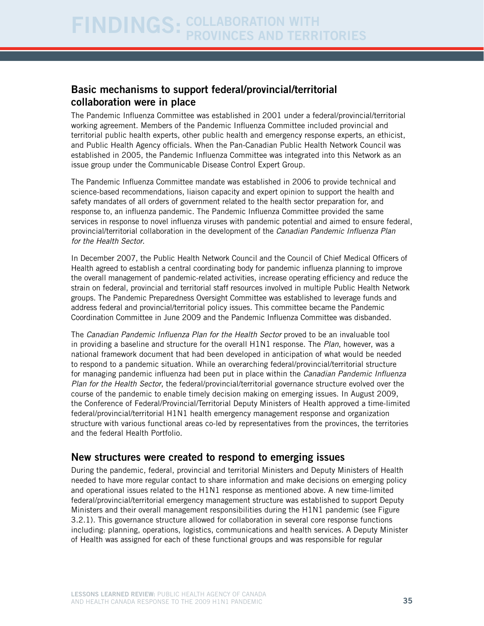### Basic mechanisms to support federal/provincial/territorial collaboration were in place

The Pandemic Influenza Committee was established in 2001 under a federal/provincial/territorial working agreement. Members of the Pandemic Influenza Committee included provincial and territorial public health experts, other public health and emergency response experts, an ethicist, and Public Health Agency officials. When the Pan-Canadian Public Health Network Council was established in 2005, the Pandemic Influenza Committee was integrated into this Network as an issue group under the Communicable Disease Control Expert Group.

The Pandemic Influenza Committee mandate was established in 2006 to provide technical and science-based recommendations, liaison capacity and expert opinion to support the health and safety mandates of all orders of government related to the health sector preparation for, and response to, an influenza pandemic. The Pandemic Influenza Committee provided the same services in response to novel influenza viruses with pandemic potential and aimed to ensure federal, provincial/territorial collaboration in the development of the *Canadian Pandemic Influenza Plan for the Health Sector*.

In December 2007, the Public Health Network Council and the Council of Chief Medical Officers of Health agreed to establish a central coordinating body for pandemic influenza planning to improve the overall management of pandemic-related activities, increase operating efficiency and reduce the strain on federal, provincial and territorial staff resources involved in multiple Public Health Network groups. The Pandemic Preparedness Oversight Committee was established to leverage funds and address federal and provincial/territorial policy issues. This committee became the Pandemic Coordination Committee in June 2009 and the Pandemic Influenza Committee was disbanded.

The *Canadian Pandemic Influenza Plan for the Health Sector* proved to be an invaluable tool in providing a baseline and structure for the overall H1N1 response. The *Plan*, however, was a national framework document that had been developed in anticipation of what would be needed to respond to a pandemic situation. While an overarching federal/provincial/territorial structure for managing pandemic influenza had been put in place within the *Canadian Pandemic Influenza Plan for the Health Sector*, the federal/provincial/territorial governance structure evolved over the course of the pandemic to enable timely decision making on emerging issues. In August 2009, the Conference of Federal/Provincial/Territorial Deputy Ministers of Health approved a time-limited federal/provincial/territorial H1N1 health emergency management response and organization structure with various functional areas co-led by representatives from the provinces, the territories and the federal Health Portfolio.

#### New structures were created to respond to emerging issues

During the pandemic, federal, provincial and territorial Ministers and Deputy Ministers of Health needed to have more regular contact to share information and make decisions on emerging policy and operational issues related to the H1N1 response as mentioned above. A new time-limited federal/provincial/territorial emergency management structure was established to support Deputy Ministers and their overall management responsibilities during the H1N1 pandemic (see Figure 3.2.1). This governance structure allowed for collaboration in several core response functions including: planning, operations, logistics, communications and health services. A Deputy Minister of Health was assigned for each of these functional groups and was responsible for regular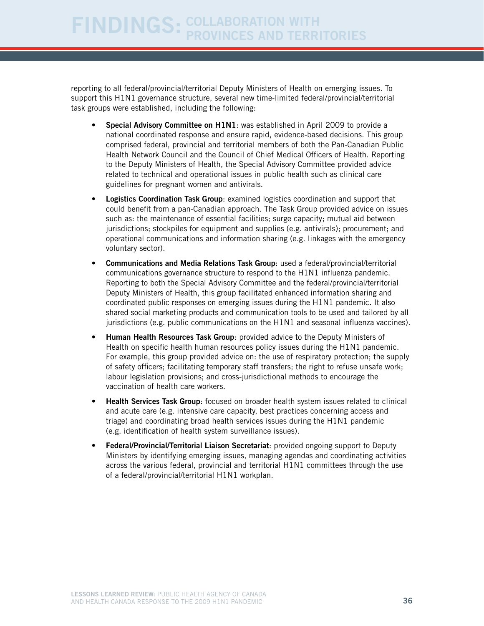reporting to all federal/provincial/territorial Deputy Ministers of Health on emerging issues. To support this H1N1 governance structure, several new time-limited federal/provincial/territorial task groups were established, including the following:

- Special Advisory Committee on H1N1: was established in April 2009 to provide a national coordinated response and ensure rapid, evidence-based decisions. This group comprised federal, provincial and territorial members of both the Pan-Canadian Public Health Network Council and the Council of Chief Medical Officers of Health. Reporting to the Deputy Ministers of Health, the Special Advisory Committee provided advice related to technical and operational issues in public health such as clinical care guidelines for pregnant women and antivirals.
- Logistics Coordination Task Group: examined logistics coordination and support that could benefit from a pan-Canadian approach. The Task Group provided advice on issues such as: the maintenance of essential facilities; surge capacity; mutual aid between jurisdictions; stockpiles for equipment and supplies (e.g. antivirals); procurement; and operational communications and information sharing (e.g. linkages with the emergency voluntary sector).
- Communications and Media Relations Task Group: used a federal/provincial/territorial communications governance structure to respond to the H1N1 influenza pandemic. Reporting to both the Special Advisory Committee and the federal/provincial/territorial Deputy Ministers of Health, this group facilitated enhanced information sharing and coordinated public responses on emerging issues during the H1N1 pandemic. It also shared social marketing products and communication tools to be used and tailored by all jurisdictions (e.g. public communications on the H1N1 and seasonal influenza vaccines).
- Human Health Resources Task Group: provided advice to the Deputy Ministers of Health on specific health human resources policy issues during the H1N1 pandemic. For example, this group provided advice on: the use of respiratory protection; the supply of safety officers; facilitating temporary staff transfers; the right to refuse unsafe work; labour legislation provisions; and cross-jurisdictional methods to encourage the vaccination of health care workers.
- **Health Services Task Group:** focused on broader health system issues related to clinical and acute care (e.g. intensive care capacity, best practices concerning access and triage) and coordinating broad health services issues during the H1N1 pandemic (e.g. identification of health system surveillance issues).
- Federal/Provincial/Territorial Liaison Secretariat: provided ongoing support to Deputy Ministers by identifying emerging issues, managing agendas and coordinating activities across the various federal, provincial and territorial H1N1 committees through the use of a federal/provincial/territorial H1N1 workplan.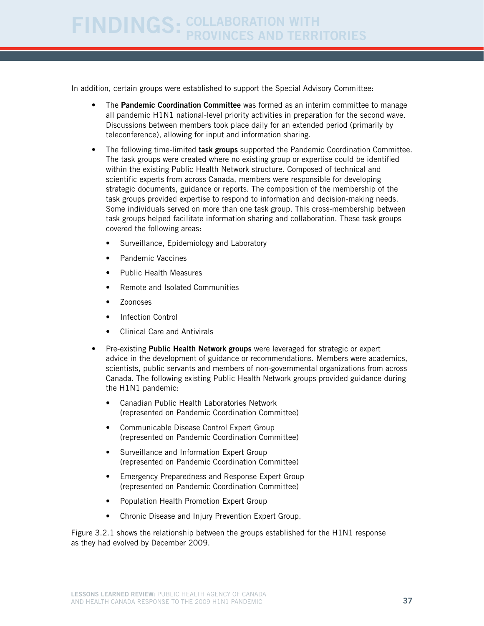In addition, certain groups were established to support the Special Advisory Committee:

- The Pandemic Coordination Committee was formed as an interim committee to manage all pandemic H1N1 national-level priority activities in preparation for the second wave. Discussions between members took place daily for an extended period (primarily by teleconference), allowing for input and information sharing.
- The following time-limited task groups supported the Pandemic Coordination Committee. The task groups were created where no existing group or expertise could be identified within the existing Public Health Network structure. Composed of technical and scientific experts from across Canada, members were responsible for developing strategic documents, guidance or reports. The composition of the membership of the task groups provided expertise to respond to information and decision-making needs. Some individuals served on more than one task group. This cross-membership between task groups helped facilitate information sharing and collaboration. These task groups covered the following areas:
	- Surveillance, Epidemiology and Laboratory
	- Pandemic Vaccines
	- Public Health Measures
	- Remote and Isolated Communities
	- Zoonoses
	- **Infection Control**
	- **Clinical Care and Antivirals**
- Pre-existing Public Health Network groups were leveraged for strategic or expert advice in the development of guidance or recommendations. Members were academics, scientists, public servants and members of non-governmental organizations from across Canada. The following existing Public Health Network groups provided guidance during the H1N1 pandemic:
	- Canadian Public Health Laboratories Network (represented on Pandemic Coordination Committee)
	- Communicable Disease Control Expert Group (represented on Pandemic Coordination Committee)
	- Surveillance and Information Expert Group (represented on Pandemic Coordination Committee)
	- Emergency Preparedness and Response Expert Group (represented on Pandemic Coordination Committee)
	- Population Health Promotion Expert Group
	- • Chronic Disease and Injury Prevention Expert Group.

Figure 3.2.1 shows the relationship between the groups established for the H1N1 response as they had evolved by December 2009.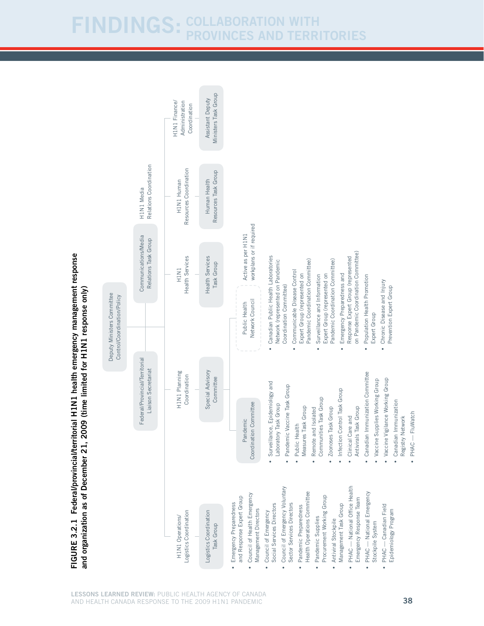Ministers Task Group Ministers Task Group Assistant Deputy Assistant Deputy H1N1 Finance/ Administration H1N1 Finance/ Administration Coordination **Coordination** Relations Coordination Relations Coordination Resources Coordination Resources Coordination Resources Task Group Resources Task Group H1N1 Human H1N1 Human Human Health Human Health H1N1 Media H1N1 Media workplans or if required workplans or if required Active as per H1N1 Communications/Media Active as per H1N1 Communications/Media Relations Task Group Relations Task Group on Pandemic Coordination Committee) on Pandemic Coordination Committee) **Health Services** • Canadian Public Health Laboratories **Health Services** Health Services Response Expert Group (represented Response Expert Group (represented Health Services Canadian Public Health Laboratories Network (represented on Pandemic Network (represented on Pandemic Pandemic Coordination Committee) Pandemic Coordination Committee) Pandemic Coordination Committee) Pandemic Coordination Committee) Task Group Task Group H1N1 • Communicable Disease Control Communicable Disease Control Expert Group (represented on Expert Group (represented on Surveillance and Information Expert Group (represented on Expert Group (represented on Emergency Preparedness and • Emergency Preparedness and • Surveillance and Information • Population Health Promotion Population Health Promotion • Chronic Disease and Injury Chronic Disease and Injury Coordination Committee) Coordination Committee) Prevention Expert Group and organization as of December 21, 2009 (time limited for H1N1 response only) Prevention Expert Group N1 response only) Deputy Ministers Committee Deputy Ministers Committee Control/Coordination/Policy Control/Coordination/Policy Network Council Network Council Public Health Public Health Expert Group Expert Group  $\ddot{\phantom{0}}$ l. December 21, 2009 (time limited for H1 Federal/Provincial/Territorial Federal/Provincial/Territorial Liaison Secretariat Liaison Secretariat Special Advisory Special Advisory H1N1 Planning H1N1 Planning Canadian Immunization Committee • Canadian Immunization Committee Coordination Committee **Coordination** • Vaccine Vigilance Working Group **Committee** Vaccine Supplies Working Group • Vaccine Vigilance Working Group Surveillance, Epidemiology and • Surveillance, Epidemiology and • Vaccine Supplies Working Group Pandemic Vaccine Task Group • Pandemic Vaccine Task Group • Infection Control Task Group • Infection Control Task Group Communities Task Group Communities Task Group Canadian Immunization • Canadian Immunization Coordination Committee Laboratory Task Group Coordination Committee Laboratory Task Group Measures Task Group Antivirals Task Group • Remote and Isolated Zoonoses Task Group Measures Task Group Remote and Isolated Antivirals Task Group • Zoonoses Task Group · PHAC - FluWatch • PHAC — FluWatch • Clinical Care and • Clinical Care and Registry Network Registry Network Pandemic Pandemic Public Health • Public Health • Council of Emergency Voluntary • PHAC — National Office Health Council of Emergency Voluntary PHAC - National Office Health PHAC - National Emergency • PHAC — National Emergency and organization as of • Council of Health Emergency Health Operations Committee Council of Health Emergency Health Operations Committee and Response Expert Group Procurement Working Group Procurement Working Group Emergency Response Team and Response Expert Group Emergency Response Team • Emergency Preparedness Sector Services Directors Emergency Preparedness Social Services Directors Management Task Group PHAC - Canadian Field • PHAC — Canadian Field Social Services Directors Sector Services Directors Pandemic Preparedness • Pandemic Preparedness Management Task Group Management Directors Epidemiology Program -ogistics Coordination Logistics Coordination Logistics Coordination Management Directors Council of Emergency • Council of Emergency Epidemiology Program Logistics Coordination H1N1 Operations/ H1N1 Operations/ Pandemic Supplies • Pandemic Supplies • Antiviral Stockpile • Antiviral Stockpile Stockpile System Task Group Stockpile System Task Group  $\bullet$ 

Figure 3.2.1

Federal/provincial/territorial H1

FIGURE 3.2.1 Federal/provincial/territorial H1N1 health emergency management response

N1 health emergency management response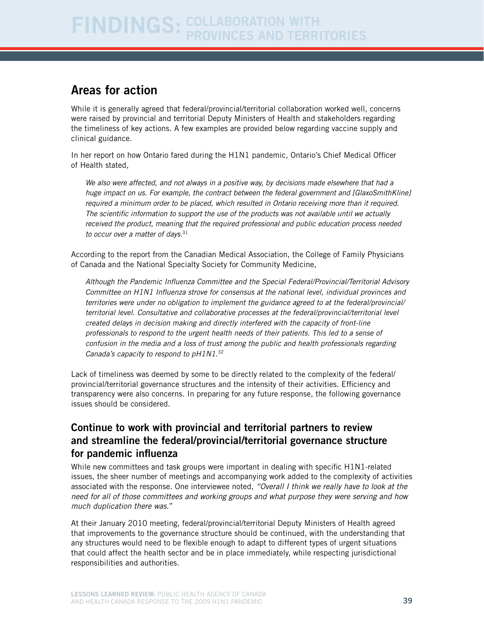## Areas for action

While it is generally agreed that federal/provincial/territorial collaboration worked well, concerns were raised by provincial and territorial Deputy Ministers of Health and stakeholders regarding the timeliness of key actions. A few examples are provided below regarding vaccine supply and clinical guidance.

In her report on how Ontario fared during the H1N1 pandemic, Ontario's Chief Medical Officer of Health stated*,* 

*We also were affected, and not always in a positive way, by decisions made elsewhere that had a huge impact on us. For example, the contract between the federal government and [GlaxoSmithKline] required a minimum order to be placed, which resulted in Ontario receiving more than it required. The scientific information to support the use of the products was not available until we actually received the product, meaning that the required professional and public education process needed to occur over a matter of days.*<sup>31</sup>

According to the report from the Canadian Medical Association, the College of Family Physicians of Canada and the National Specialty Society for Community Medicine,

*Although the Pandemic Influenza Committee and the Special Federal/Provincial/Territorial Advisory Committee on H1N1 Influenza strove for consensus at the national level, individual provinces and territories were under no obligation to implement the guidance agreed to at the federal/provincial/ territorial level. Consultative and collaborative processes at the federal/provincial/territorial level created delays in decision making and directly interfered with the capacity of front-line professionals to respond to the urgent health needs of their patients. This led to a sense of confusion in the media and a loss of trust among the public and health professionals regarding Canada's capacity to respond to pH1N1.*<sup>32</sup>

Lack of timeliness was deemed by some to be directly related to the complexity of the federal/ provincial/territorial governance structures and the intensity of their activities. Efficiency and transparency were also concerns. In preparing for any future response, the following governance issues should be considered.

### Continue to work with provincial and territorial partners to review and streamline the federal/provincial/territorial governance structure for pandemic influenza

While new committees and task groups were important in dealing with specific H1N1-related issues, the sheer number of meetings and accompanying work added to the complexity of activities associated with the response. One interviewee noted, *"Overall I think we really have to look at the need for all of those committees and working groups and what purpose they were serving and how much duplication there was*."

At their January 2010 meeting, federal/provincial/territorial Deputy Ministers of Health agreed that improvements to the governance structure should be continued, with the understanding that any structures would need to be flexible enough to adapt to different types of urgent situations that could affect the health sector and be in place immediately, while respecting jurisdictional responsibilities and authorities.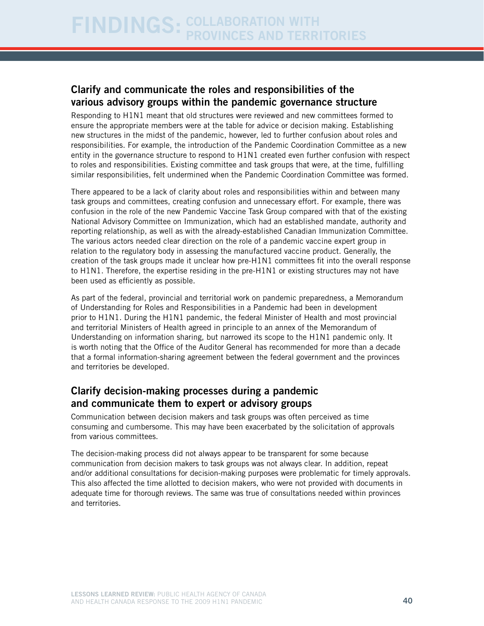### Clarify and communicate the roles and responsibilities of the various advisory groups within the pandemic governance structure

Responding to H1N1 meant that old structures were reviewed and new committees formed to ensure the appropriate members were at the table for advice or decision making. Establishing new structures in the midst of the pandemic, however, led to further confusion about roles and responsibilities. For example, the introduction of the Pandemic Coordination Committee as a new entity in the governance structure to respond to H1N1 created even further confusion with respect to roles and responsibilities. Existing committee and task groups that were, at the time, fulfilling similar responsibilities, felt undermined when the Pandemic Coordination Committee was formed.

There appeared to be a lack of clarity about roles and responsibilities within and between many task groups and committees, creating confusion and unnecessary effort. For example, there was confusion in the role of the new Pandemic Vaccine Task Group compared with that of the existing National Advisory Committee on Immunization, which had an established mandate, authority and reporting relationship, as well as with the already-established Canadian Immunization Committee. The various actors needed clear direction on the role of a pandemic vaccine expert group in relation to the regulatory body in assessing the manufactured vaccine product. Generally, the creation of the task groups made it unclear how pre-H1N1 committees fit into the overall response to H1N1. Therefore, the expertise residing in the pre-H1N1 or existing structures may not have been used as efficiently as possible.

As part of the federal, provincial and territorial work on pandemic preparedness, a Memorandum of Understanding for Roles and Responsibilities in a Pandemic had been in development prior to H1N1. During the H1N1 pandemic, the federal Minister of Health and most provincial and territorial Ministers of Health agreed in principle to an annex of the Memorandum of Understanding on information sharing, but narrowed its scope to the H1N1 pandemic only. It is worth noting that the Office of the Auditor General has recommended for more than a decade that a formal information-sharing agreement between the federal government and the provinces and territories be developed.

### Clarify decision-making processes during a pandemic and communicate them to expert or advisory groups

Communication between decision makers and task groups was often perceived as time consuming and cumbersome. This may have been exacerbated by the solicitation of approvals from various committees.

The decision-making process did not always appear to be transparent for some because communication from decision makers to task groups was not always clear. In addition, repeat and/or additional consultations for decision-making purposes were problematic for timely approvals. This also affected the time allotted to decision makers, who were not provided with documents in adequate time for thorough reviews. The same was true of consultations needed within provinces and territories.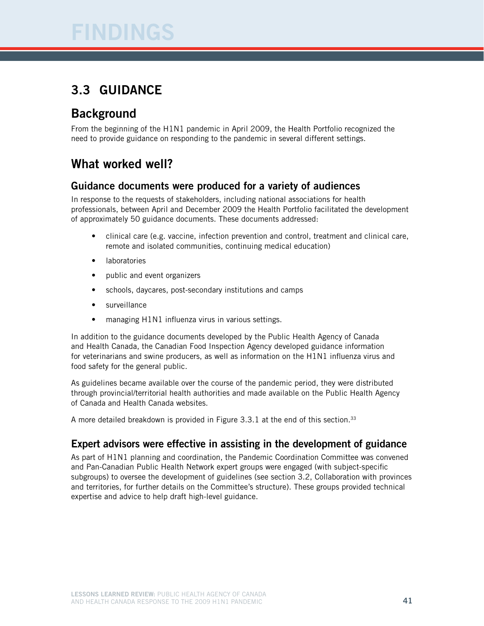# Findings

## 3.3 Guidance

## **Background**

From the beginning of the H1N1 pandemic in April 2009, the Health Portfolio recognized the need to provide guidance on responding to the pandemic in several different settings.

## What worked well?

### Guidance documents were produced for a variety of audiences

In response to the requests of stakeholders, including national associations for health professionals, between April and December 2009 the Health Portfolio facilitated the development of approximately 50 guidance documents. These documents addressed:

- clinical care (e.g. vaccine, infection prevention and control, treatment and clinical care, remote and isolated communities, continuing medical education)
- **laboratories**
- public and event organizers
- schools, daycares, post-secondary institutions and camps
- surveillance
- managing H1N1 influenza virus in various settings.

In addition to the guidance documents developed by the Public Health Agency of Canada and Health Canada, the Canadian Food Inspection Agency developed guidance information for veterinarians and swine producers, as well as information on the H1N1 influenza virus and food safety for the general public.

As guidelines became available over the course of the pandemic period, they were distributed through provincial/territorial health authorities and made available on the Public Health Agency of Canada and Health Canada websites.

A more detailed breakdown is provided in Figure  $3.3.1$  at the end of this section.<sup>33</sup>

### Expert advisors were effective in assisting in the development of guidance

As part of H1N1 planning and coordination, the Pandemic Coordination Committee was convened and Pan-Canadian Public Health Network expert groups were engaged (with subject-specific subgroups) to oversee the development of guidelines (see section 3.2, Collaboration with provinces and territories, for further details on the Committee's structure). These groups provided technical expertise and advice to help draft high-level guidance.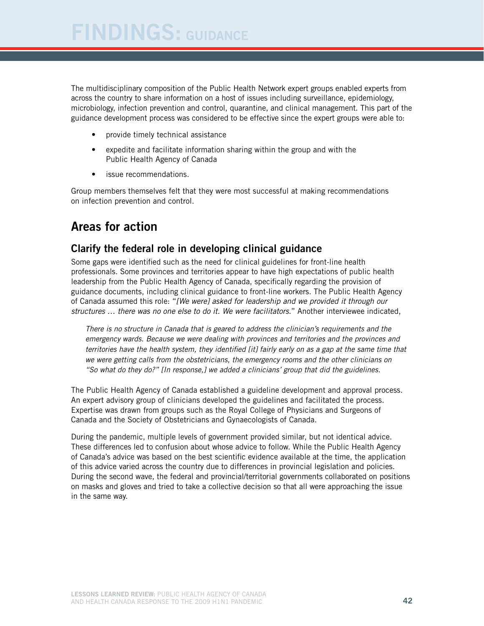The multidisciplinary composition of the Public Health Network expert groups enabled experts from across the country to share information on a host of issues including surveillance, epidemiology, microbiology, infection prevention and control, quarantine, and clinical management. This part of the guidance development process was considered to be effective since the expert groups were able to:

- • provide timely technical assistance
- expedite and facilitate information sharing within the group and with the Public Health Agency of Canada
- • issue recommendations.

Group members themselves felt that they were most successful at making recommendations on infection prevention and control.

## Areas for action

#### Clarify the federal role in developing clinical guidance

Some gaps were identified such as the need for clinical guidelines for front-line health professionals. Some provinces and territories appear to have high expectations of public health leadership from the Public Health Agency of Canada, specifically regarding the provision of guidance documents, including clinical guidance to front-line workers. The Public Health Agency of Canada assumed this role: "*[We were] asked for leadership and we provided it through our structures … there was no one else to do it. We were facilitators.*" Another interviewee indicated,

*There is no structure in Canada that is geared to address the clinician's requirements and the emergency wards. Because we were dealing with provinces and territories and the provinces and territories have the health system, they identified [it] fairly early on as a gap at the same time that we were getting calls from the obstetricians, the emergency rooms and the other clinicians on "So what do they do?" [In response,] we added a clinicians' group that did the guidelines.*

The Public Health Agency of Canada established a guideline development and approval process. An expert advisory group of clinicians developed the guidelines and facilitated the process. Expertise was drawn from groups such as the Royal College of Physicians and Surgeons of Canada and the Society of Obstetricians and Gynaecologists of Canada.

During the pandemic, multiple levels of government provided similar, but not identical advice. These differences led to confusion about whose advice to follow. While the Public Health Agency of Canada's advice was based on the best scientific evidence available at the time, the application of this advice varied across the country due to differences in provincial legislation and policies. During the second wave, the federal and provincial/territorial governments collaborated on positions on masks and gloves and tried to take a collective decision so that all were approaching the issue in the same way.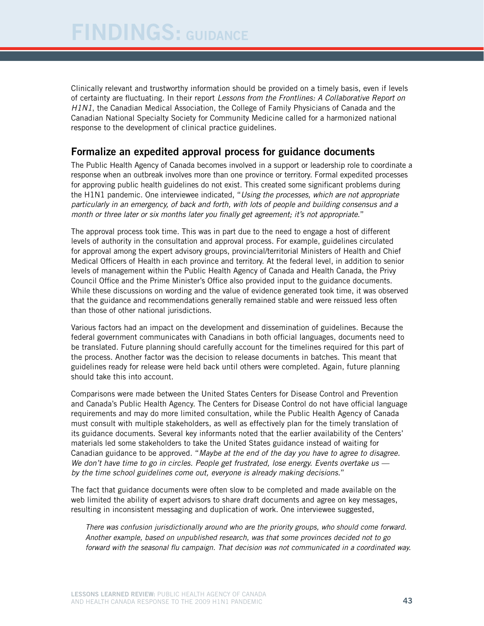Clinically relevant and trustworthy information should be provided on a timely basis, even if levels of certainty are fluctuating. In their report *Lessons from the Frontlines: A Collaborative Report on H1N1*, the Canadian Medical Association, the College of Family Physicians of Canada and the Canadian National Specialty Society for Community Medicine called for a harmonized national response to the development of clinical practice guidelines.

#### Formalize an expedited approval process for guidance documents

The Public Health Agency of Canada becomes involved in a support or leadership role to coordinate a response when an outbreak involves more than one province or territory. Formal expedited processes for approving public health guidelines do not exist. This created some significant problems during the H1N1 pandemic. One interviewee indicated, "*Using the processes, which are not appropriate particularly in an emergency, of back and forth, with lots of people and building consensus and a month or three later or six months later you finally get agreement; it's not appropriate*."

The approval process took time. This was in part due to the need to engage a host of different levels of authority in the consultation and approval process. For example, guidelines circulated for approval among the expert advisory groups, provincial/territorial Ministers of Health and Chief Medical Officers of Health in each province and territory. At the federal level, in addition to senior levels of management within the Public Health Agency of Canada and Health Canada, the Privy Council Office and the Prime Minister's Office also provided input to the guidance documents. While these discussions on wording and the value of evidence generated took time, it was observed that the guidance and recommendations generally remained stable and were reissued less often than those of other national jurisdictions.

Various factors had an impact on the development and dissemination of guidelines. Because the federal government communicates with Canadians in both official languages, documents need to be translated. Future planning should carefully account for the timelines required for this part of the process. Another factor was the decision to release documents in batches. This meant that guidelines ready for release were held back until others were completed. Again, future planning should take this into account.

Comparisons were made between the United States Centers for Disease Control and Prevention and Canada's Public Health Agency. The Centers for Disease Control do not have official language requirements and may do more limited consultation, while the Public Health Agency of Canada must consult with multiple stakeholders, as well as effectively plan for the timely translation of its guidance documents. Several key informants noted that the earlier availability of the Centers' materials led some stakeholders to take the United States guidance instead of waiting for Canadian guidance to be approved. "*Maybe at the end of the day you have to agree to disagree. We don't have time to go in circles. People get frustrated, lose energy. Events overtake us by the time school guidelines come out, everyone is already making decisions*."

The fact that guidance documents were often slow to be completed and made available on the web limited the ability of expert advisors to share draft documents and agree on key messages, resulting in inconsistent messaging and duplication of work. One interviewee suggested,

*There was confusion jurisdictionally around who are the priority groups, who should come forward. Another example, based on unpublished research, was that some provinces decided not to go forward with the seasonal flu campaign. That decision was not communicated in a coordinated way.*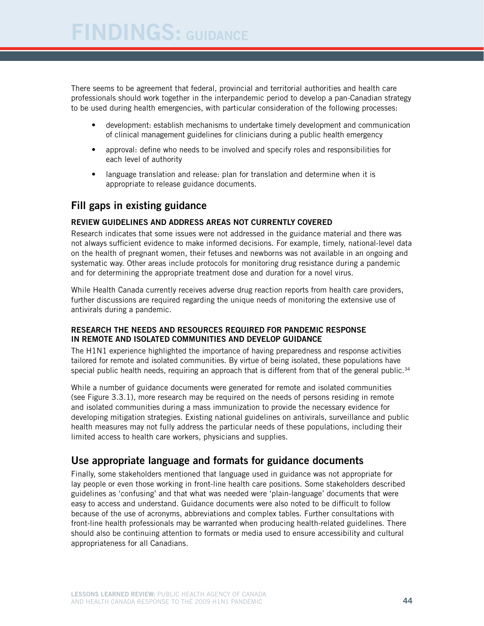There seems to be agreement that federal, provincial and territorial authorities and health care professionals should work together in the interpandemic period to develop a pan-Canadian strategy to be used during health emergencies, with particular consideration of the following processes:

- development: establish mechanisms to undertake timely development and communication of clinical management guidelines for clinicians during a public health emergency
- approval: define who needs to be involved and specify roles and responsibilities for each level of authority
- language translation and release: plan for translation and determine when it is appropriate to release guidance documents.

### Fill gaps in existing guidance

#### Review guidelines and address areas not currently covered

Research indicates that some issues were not addressed in the guidance material and there was not always sufficient evidence to make informed decisions. For example, timely, national-level data on the health of pregnant women, their fetuses and newborns was not available in an ongoing and systematic way. Other areas include protocols for monitoring drug resistance during a pandemic and for determining the appropriate treatment dose and duration for a novel virus.

While Health Canada currently receives adverse drug reaction reports from health care providers, further discussions are required regarding the unique needs of monitoring the extensive use of antivirals during a pandemic.

#### Research the needs and resources required for pandemic response in remote and isolated communities and develop guidance

The H1N1 experience highlighted the importance of having preparedness and response activities tailored for remote and isolated communities. By virtue of being isolated, these populations have special public health needs, requiring an approach that is different from that of the general public. $34$ 

While a number of guidance documents were generated for remote and isolated communities (see Figure 3.3.1), more research may be required on the needs of persons residing in remote and isolated communities during a mass immunization to provide the necessary evidence for developing mitigation strategies. Existing national guidelines on antivirals, surveillance and public health measures may not fully address the particular needs of these populations, including their limited access to health care workers, physicians and supplies.

### Use appropriate language and formats for guidance documents

Finally, some stakeholders mentioned that language used in guidance was not appropriate for lay people or even those working in front-line health care positions. Some stakeholders described guidelines as 'confusing' and that what was needed were 'plain-language' documents that were easy to access and understand. Guidance documents were also noted to be difficult to follow because of the use of acronyms, abbreviations and complex tables. Further consultations with front-line health professionals may be warranted when producing health-related guidelines. There should also be continuing attention to formats or media used to ensure accessibility and cultural appropriateness for all Canadians.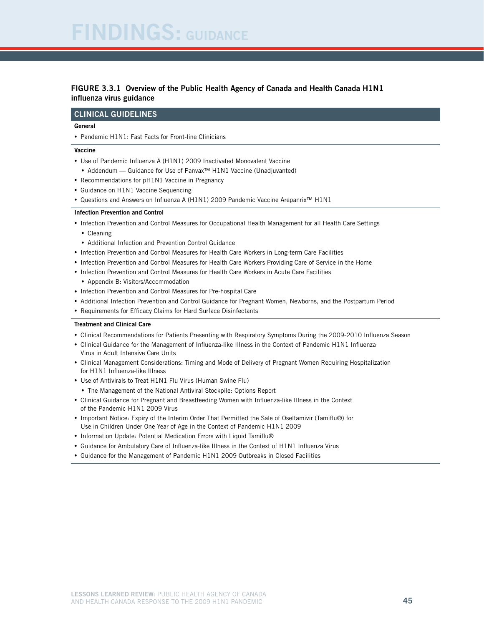# DINGS: GUIDANCE

#### Figure 3.3.1 Overview of the Public Health Agency of Canada and Health Canada H1N1 influenza virus guidance

#### Clinical Guidelines

#### General

• Pandemic H1N1: Fast Facts for Front-line Clinicians

#### Vaccine

- Use of Pandemic Influenza A (H1N1) 2009 Inactivated Monovalent Vaccine
- Addendum Guidance for Use of Panvax<sup>™</sup> H1N1 Vaccine (Unadjuvanted)
- Recommendations for pH1N1 Vaccine in Pregnancy
- Guidance on H1N1 Vaccine Sequencing
- • Questions and Answers on Influenza A (H1N1) 2009 Pandemic Vaccine Arepanrix™ H1N1

#### Infection Prevention and Control

- • Infection Prevention and Control Measures for Occupational Health Management for all Health Care Settings
	- • Cleaning
	- Additional Infection and Prevention Control Guidance
- • Infection Prevention and Control Measures for Health Care Workers in Long-term Care Facilities
- • Infection Prevention and Control Measures for Health Care Workers Providing Care of Service in the Home
- • Infection Prevention and Control Measures for Health Care Workers in Acute Care Facilities
- Appendix B: Visitors/Accommodation
- • Infection Prevention and Control Measures for Pre-hospital Care
- • Additional Infection Prevention and Control Guidance for Pregnant Women, Newborns, and the Postpartum Period
- Requirements for Efficacy Claims for Hard Surface Disinfectants

#### Treatment and Clinical Care

- • Clinical Recommendations for Patients Presenting with Respiratory Symptoms During the 2009-2010 Influenza Season
- • Clinical Guidance for the Management of Influenza-like Illness in the Context of Pandemic H1N1 Influenza Virus in Adult Intensive Care Units
- • Clinical Management Considerations: Timing and Mode of Delivery of Pregnant Women Requiring Hospitalization for H1N1 Influenza-like Illness
- Use of Antivirals to Treat H1N1 Flu Virus (Human Swine Flu)
- The Management of the National Antiviral Stockpile: Options Report
- • Clinical Guidance for Pregnant and Breastfeeding Women with Influenza-like Illness in the Context of the Pandemic H1N1 2009 Virus
- • Important Notice: Expiry of the Interim Order That Permitted the Sale of Oseltamivir (Tamiflu®) for Use in Children Under One Year of Age in the Context of Pandemic H1N1 2009
- Information Update: Potential Medication Errors with Liquid Tamiflu®
- • Guidance for Ambulatory Care of Influenza-like Illness in the Context of H1N1 Influenza Virus
- Guidance for the Management of Pandemic H1N1 2009 Outbreaks in Closed Facilities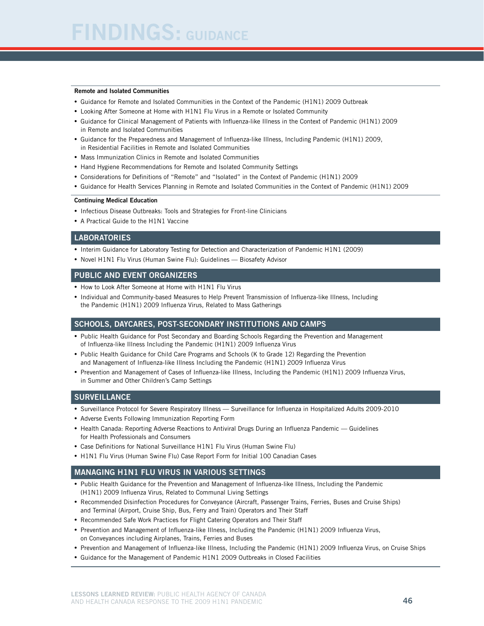#### Remote and Isolated Communities

- • Guidance for Remote and Isolated Communities in the Context of the Pandemic (H1N1) 2009 Outbreak
- • Looking After Someone at Home with H1N1 Flu Virus in a Remote or Isolated Community
- • Guidance for Clinical Management of Patients with Influenza-like Illness in the Context of Pandemic (H1N1) 2009 in Remote and Isolated Communities
- • Guidance for the Preparedness and Management of Influenza-like Illness, Including Pandemic (H1N1) 2009, in Residential Facilities in Remote and Isolated Communities
- Mass Immunization Clinics in Remote and Isolated Communities
- Hand Hygiene Recommendations for Remote and Isolated Community Settings
- • Considerations for Definitions of "Remote" and "Isolated" in the Context of Pandemic (H1N1) 2009
- • Guidance for Health Services Planning in Remote and Isolated Communities in the Context of Pandemic (H1N1) 2009

#### Continuing Medical Education

- Infectious Disease Outbreaks: Tools and Strategies for Front-line Clinicians
- • A Practical Guide to the H1N1 Vaccine

#### **LABORATORIES**

- Interim Guidance for Laboratory Testing for Detection and Characterization of Pandemic H1N1 (2009)
- Novel H1N1 Flu Virus (Human Swine Flu): Guidelines Biosafety Advisor

#### Public and Event Organizers

- How to Look After Someone at Home with H1N1 Flu Virus
- • Individual and Community-based Measures to Help Prevent Transmission of Influenza-like Illness, Including the Pandemic (H1N1) 2009 Influenza Virus, Related to Mass Gatherings

#### Schools, Daycares, Post-secondary Institutions and Camps

- Public Health Guidance for Post Secondary and Boarding Schools Regarding the Prevention and Management of Influenza-like Illness Including the Pandemic (H1N1) 2009 Influenza Virus
- Public Health Guidance for Child Care Programs and Schools (K to Grade 12) Regarding the Prevention and Management of Influenza-like Illness Including the Pandemic (H1N1) 2009 Influenza Virus
- • Prevention and Management of Cases of Influenza-like Illness, Including the Pandemic (H1N1) 2009 Influenza Virus, in Summer and Other Children's Camp Settings

#### **SURVEILLANCE**

- • Surveillance Protocol for Severe Respiratory Illness Surveillance for Influenza in Hospitalized Adults 2009-2010
- Adverse Events Following Immunization Reporting Form
- Health Canada: Reporting Adverse Reactions to Antiviral Drugs During an Influenza Pandemic Guidelines for Health Professionals and Consumers
- Case Definitions for National Surveillance H1N1 Flu Virus (Human Swine Flu)
- H1N1 Flu Virus (Human Swine Flu) Case Report Form for Initial 100 Canadian Cases

#### Managing H1N1 Flu Virus in Various Settings

- • Public Health Guidance for the Prevention and Management of Influenza-like Illness, Including the Pandemic (H1N1) 2009 Influenza Virus, Related to Communal Living Settings
- • Recommended Disinfection Procedures for Conveyance (Aircraft, Passenger Trains, Ferries, Buses and Cruise Ships) and Terminal (Airport, Cruise Ship, Bus, Ferry and Train) Operators and Their Staff
- Recommended Safe Work Practices for Flight Catering Operators and Their Staff
- • Prevention and Management of Influenza-like Illness, Including the Pandemic (H1N1) 2009 Influenza Virus, on Conveyances including Airplanes, Trains, Ferries and Buses
- • Prevention and Management of Influenza-like Illness, Including the Pandemic (H1N1) 2009 Influenza Virus, on Cruise Ships
- Guidance for the Management of Pandemic H1N1 2009 Outbreaks in Closed Facilities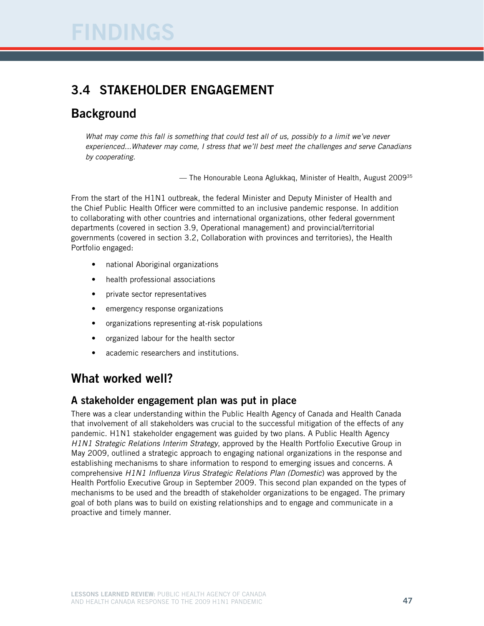## 3.4 STAKEHOLDER ENGAGEMENT

## **Background**

*What may come this fall is something that could test all of us, possibly to a limit we've never experienced...Whatever may come, I stress that we'll best meet the challenges and serve Canadians by cooperating.*

— The Honourable Leona Aglukkaq, Minister of Health, August 200935

From the start of the H1N1 outbreak, the federal Minister and Deputy Minister of Health and the Chief Public Health Officer were committed to an inclusive pandemic response. In addition to collaborating with other countries and international organizations, other federal government departments (covered in section 3.9, Operational management) and provincial/territorial governments (covered in section 3.2, Collaboration with provinces and territories), the Health Portfolio engaged:

- national Aboriginal organizations
- health professional associations
- private sector representatives
- emergency response organizations
- organizations representing at-risk populations
- organized labour for the health sector
- academic researchers and institutions.

## What worked well?

#### A stakeholder engagement plan was put in place

There was a clear understanding within the Public Health Agency of Canada and Health Canada that involvement of all stakeholders was crucial to the successful mitigation of the effects of any pandemic. H1N1 stakeholder engagement was guided by two plans. A Public Health Agency *H1N1 Strategic Relations Interim Strategy*, approved by the Health Portfolio Executive Group in May 2009, outlined a strategic approach to engaging national organizations in the response and establishing mechanisms to share information to respond to emerging issues and concerns. A comprehensive *H1N1 Influenza Virus Strategic Relations Plan (Domestic*) was approved by the Health Portfolio Executive Group in September 2009. This second plan expanded on the types of mechanisms to be used and the breadth of stakeholder organizations to be engaged. The primary goal of both plans was to build on existing relationships and to engage and communicate in a proactive and timely manner.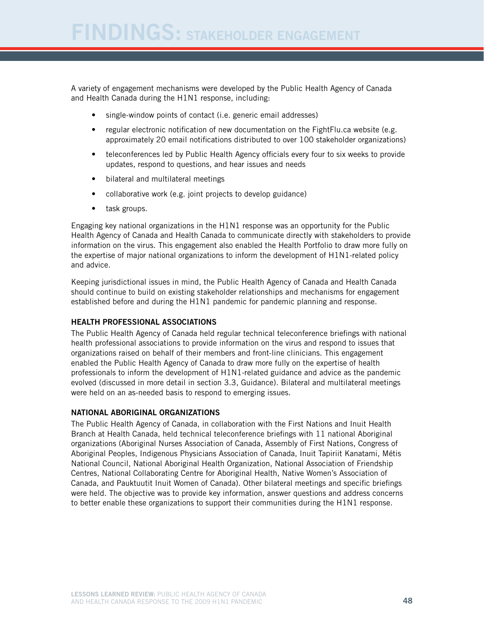A variety of engagement mechanisms were developed by the Public Health Agency of Canada and Health Canada during the H1N1 response, including:

- single-window points of contact (i.e. generic email addresses)
- regular electronic notification of new documentation on the FightFlu.ca website (e.g. approximately 20 email notifications distributed to over 100 stakeholder organizations)
- teleconferences led by Public Health Agency officials every four to six weeks to provide updates, respond to questions, and hear issues and needs
- • bilateral and multilateral meetings
- collaborative work (e.g. joint projects to develop guidance)
- task groups.

Engaging key national organizations in the H1N1 response was an opportunity for the Public Health Agency of Canada and Health Canada to communicate directly with stakeholders to provide information on the virus. This engagement also enabled the Health Portfolio to draw more fully on the expertise of major national organizations to inform the development of H1N1-related policy and advice.

Keeping jurisdictional issues in mind, the Public Health Agency of Canada and Health Canada should continue to build on existing stakeholder relationships and mechanisms for engagement established before and during the H1N1 pandemic for pandemic planning and response.

#### Health professional associations

The Public Health Agency of Canada held regular technical teleconference briefings with national health professional associations to provide information on the virus and respond to issues that organizations raised on behalf of their members and front-line clinicians. This engagement enabled the Public Health Agency of Canada to draw more fully on the expertise of health professionals to inform the development of H1N1-related guidance and advice as the pandemic evolved (discussed in more detail in section 3.3, Guidance). Bilateral and multilateral meetings were held on an as-needed basis to respond to emerging issues.

#### National Aboriginal organizations

The Public Health Agency of Canada, in collaboration with the First Nations and Inuit Health Branch at Health Canada, held technical teleconference briefings with 11 national Aboriginal organizations (Aboriginal Nurses Association of Canada, Assembly of First Nations, Congress of Aboriginal Peoples, Indigenous Physicians Association of Canada, Inuit Tapiriit Kanatami, Métis National Council, National Aboriginal Health Organization, National Association of Friendship Centres, National Collaborating Centre for Aboriginal Health, Native Women's Association of Canada, and Pauktuutit Inuit Women of Canada). Other bilateral meetings and specific briefings were held. The objective was to provide key information, answer questions and address concerns to better enable these organizations to support their communities during the H1N1 response.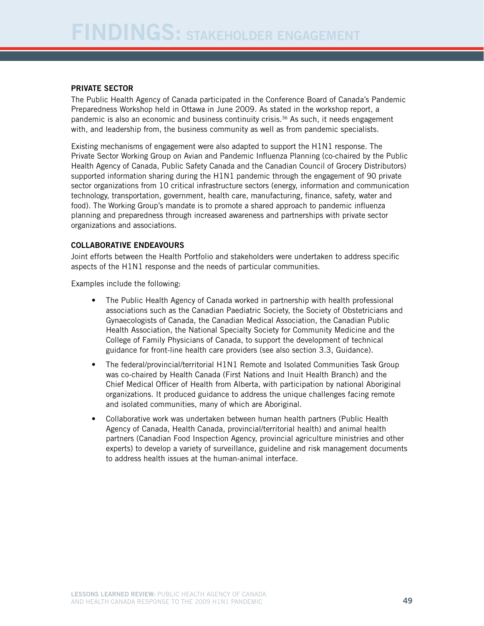#### Private sector

The Public Health Agency of Canada participated in the Conference Board of Canada's Pandemic Preparedness Workshop held in Ottawa in June 2009. As stated in the workshop report, a pandemic is also an economic and business continuity crisis.36 As such, it needs engagement with, and leadership from, the business community as well as from pandemic specialists.

Existing mechanisms of engagement were also adapted to support the H1N1 response. The Private Sector Working Group on Avian and Pandemic Influenza Planning (co-chaired by the Public Health Agency of Canada, Public Safety Canada and the Canadian Council of Grocery Distributors) supported information sharing during the H1N1 pandemic through the engagement of 90 private sector organizations from 10 critical infrastructure sectors (energy, information and communication technology, transportation, government, health care, manufacturing, finance, safety, water and food). The Working Group's mandate is to promote a shared approach to pandemic influenza planning and preparedness through increased awareness and partnerships with private sector organizations and associations.

#### Collaborative endeavours

Joint efforts between the Health Portfolio and stakeholders were undertaken to address specific aspects of the H1N1 response and the needs of particular communities.

Examples include the following:

- The Public Health Agency of Canada worked in partnership with health professional associations such as the Canadian Paediatric Society, the Society of Obstetricians and Gynaecologists of Canada, the Canadian Medical Association, the Canadian Public Health Association, the National Specialty Society for Community Medicine and the College of Family Physicians of Canada, to support the development of technical guidance for front-line health care providers (see also section 3.3, Guidance).
- The federal/provincial/territorial H1N1 Remote and Isolated Communities Task Group was co-chaired by Health Canada (First Nations and Inuit Health Branch) and the Chief Medical Officer of Health from Alberta, with participation by national Aboriginal organizations. It produced guidance to address the unique challenges facing remote and isolated communities, many of which are Aboriginal.
- Collaborative work was undertaken between human health partners (Public Health Agency of Canada, Health Canada, provincial/territorial health) and animal health partners (Canadian Food Inspection Agency, provincial agriculture ministries and other experts) to develop a variety of surveillance, guideline and risk management documents to address health issues at the human-animal interface.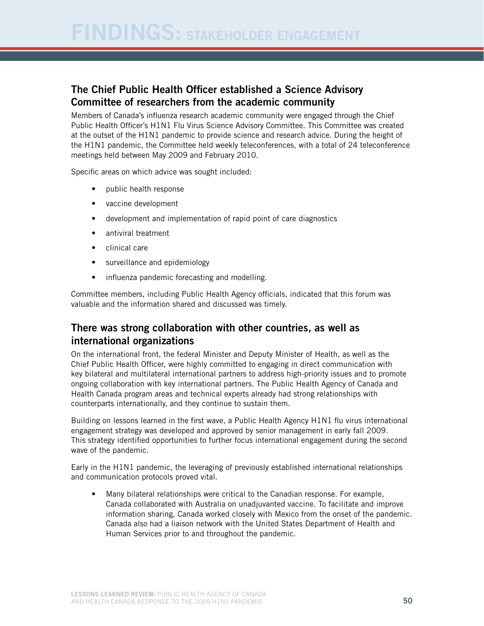### The Chief Public Health Officer established a Science Advisory Committee of researchers from the academic community

Members of Canada's influenza research academic community were engaged through the Chief Public Health Officer's H1N1 Flu Virus Science Advisory Committee. This Committee was created at the outset of the H1N1 pandemic to provide science and research advice. During the height of the H1N1 pandemic, the Committee held weekly teleconferences, with a total of 24 teleconference meetings held between May 2009 and February 2010.

Specific areas on which advice was sought included:

- public health response
- • vaccine development
- development and implementation of rapid point of care diagnostics
- antiviral treatment
- • clinical care
- surveillance and epidemiology
- influenza pandemic forecasting and modelling.

Committee members, including Public Health Agency officials, indicated that this forum was valuable and the information shared and discussed was timely.

#### There was strong collaboration with other countries, as well as international organizations

On the international front, the federal Minister and Deputy Minister of Health, as well as the Chief Public Health Officer, were highly committed to engaging in direct communication with key bilateral and multilateral international partners to address high-priority issues and to promote ongoing collaboration with key international partners. The Public Health Agency of Canada and Health Canada program areas and technical experts already had strong relationships with counterparts internationally, and they continue to sustain them.

Building on lessons learned in the first wave, a Public Health Agency H1N1 flu virus international engagement strategy was developed and approved by senior management in early fall 2009. This strategy identified opportunities to further focus international engagement during the second wave of the pandemic.

Early in the H1N1 pandemic, the leveraging of previously established international relationships and communication protocols proved vital.

• Many bilateral relationships were critical to the Canadian response. For example, Canada collaborated with Australia on unadjuvanted vaccine. To facilitate and improve information sharing, Canada worked closely with Mexico from the onset of the pandemic. Canada also had a liaison network with the United States Department of Health and Human Services prior to and throughout the pandemic.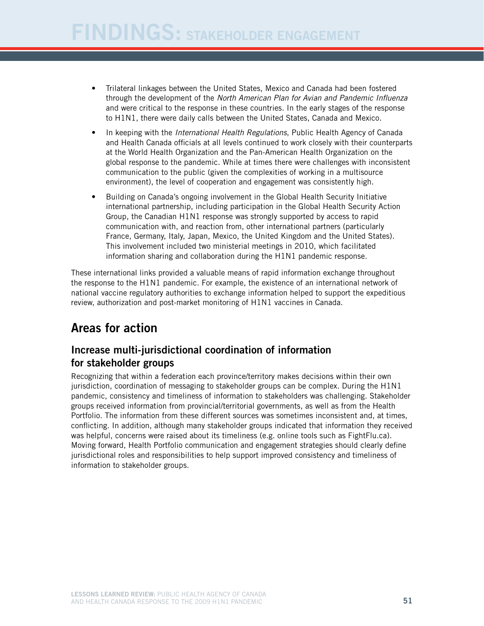- • Trilateral linkages between the United States, Mexico and Canada had been fostered through the development of the *North American Plan for Avian and Pandemic Influenza* and were critical to the response in these countries. In the early stages of the response to H1N1, there were daily calls between the United States, Canada and Mexico.
- In keeping with the *International Health Regulations*, Public Health Agency of Canada and Health Canada officials at all levels continued to work closely with their counterparts at the World Health Organization and the Pan-American Health Organization on the global response to the pandemic. While at times there were challenges with inconsistent communication to the public (given the complexities of working in a multisource environment), the level of cooperation and engagement was consistently high.
- Building on Canada's ongoing involvement in the Global Health Security Initiative international partnership, including participation in the Global Health Security Action Group, the Canadian H1N1 response was strongly supported by access to rapid communication with, and reaction from, other international partners (particularly France, Germany, Italy, Japan, Mexico, the United Kingdom and the United States). This involvement included two ministerial meetings in 2010, which facilitated information sharing and collaboration during the H1N1 pandemic response.

These international links provided a valuable means of rapid information exchange throughout the response to the H1N1 pandemic. For example, the existence of an international network of national vaccine regulatory authorities to exchange information helped to support the expeditious review, authorization and post-market monitoring of H1N1 vaccines in Canada.

## Areas for action

#### Increase multi-jurisdictional coordination of information for stakeholder groups

Recognizing that within a federation each province/territory makes decisions within their own jurisdiction, coordination of messaging to stakeholder groups can be complex. During the H1N1 pandemic, consistency and timeliness of information to stakeholders was challenging. Stakeholder groups received information from provincial/territorial governments, as well as from the Health Portfolio. The information from these different sources was sometimes inconsistent and, at times, conflicting. In addition, although many stakeholder groups indicated that information they received was helpful, concerns were raised about its timeliness (e.g. online tools such as FightFlu.ca). Moving forward, Health Portfolio communication and engagement strategies should clearly define jurisdictional roles and responsibilities to help support improved consistency and timeliness of information to stakeholder groups.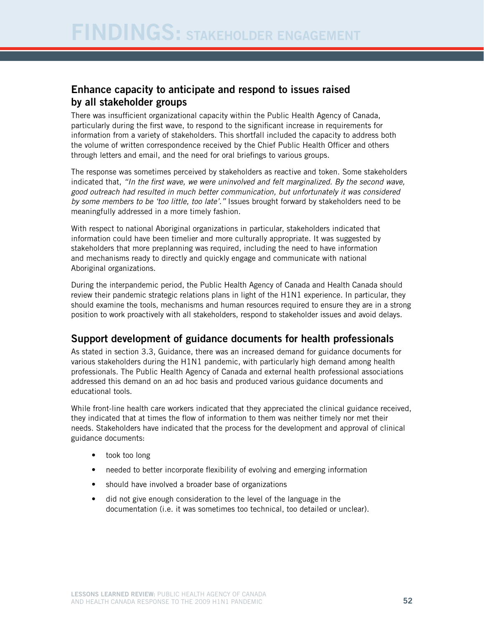#### Enhance capacity to anticipate and respond to issues raised by all stakeholder groups

There was insufficient organizational capacity within the Public Health Agency of Canada, particularly during the first wave, to respond to the significant increase in requirements for information from a variety of stakeholders. This shortfall included the capacity to address both the volume of written correspondence received by the Chief Public Health Officer and others through letters and email, and the need for oral briefings to various groups.

The response was sometimes perceived by stakeholders as reactive and token. Some stakeholders indicated that, *"In the first wave, we were uninvolved and felt marginalized. By the second wave, good outreach had resulted in much better communication, but unfortunately it was considered by some members to be 'too little, too late'."* Issues brought forward by stakeholders need to be meaningfully addressed in a more timely fashion.

With respect to national Aboriginal organizations in particular, stakeholders indicated that information could have been timelier and more culturally appropriate. It was suggested by stakeholders that more preplanning was required, including the need to have information and mechanisms ready to directly and quickly engage and communicate with national Aboriginal organizations.

During the interpandemic period, the Public Health Agency of Canada and Health Canada should review their pandemic strategic relations plans in light of the H1N1 experience. In particular, they should examine the tools, mechanisms and human resources required to ensure they are in a strong position to work proactively with all stakeholders, respond to stakeholder issues and avoid delays.

### Support development of guidance documents for health professionals

As stated in section 3.3, Guidance, there was an increased demand for guidance documents for various stakeholders during the H1N1 pandemic, with particularly high demand among health professionals. The Public Health Agency of Canada and external health professional associations addressed this demand on an ad hoc basis and produced various guidance documents and educational tools.

While front-line health care workers indicated that they appreciated the clinical guidance received, they indicated that at times the flow of information to them was neither timely nor met their needs. Stakeholders have indicated that the process for the development and approval of clinical guidance documents:

- took too long
- needed to better incorporate flexibility of evolving and emerging information
- should have involved a broader base of organizations
- did not give enough consideration to the level of the language in the documentation (i.e. it was sometimes too technical, too detailed or unclear).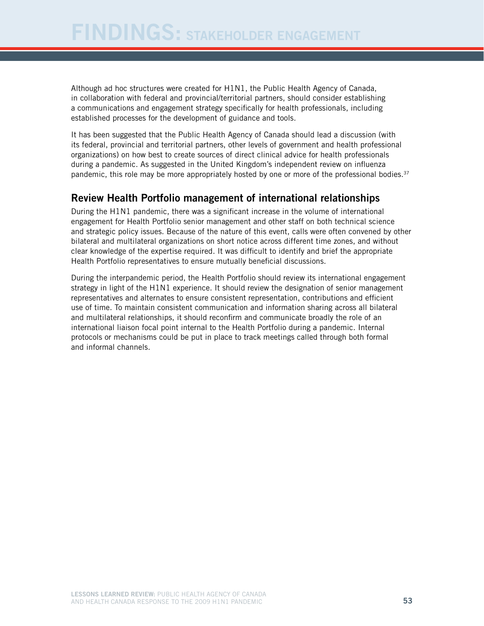Although ad hoc structures were created for H1N1, the Public Health Agency of Canada, in collaboration with federal and provincial/territorial partners, should consider establishing a communications and engagement strategy specifically for health professionals, including established processes for the development of guidance and tools.

It has been suggested that the Public Health Agency of Canada should lead a discussion (with its federal, provincial and territorial partners, other levels of government and health professional organizations) on how best to create sources of direct clinical advice for health professionals during a pandemic. As suggested in the United Kingdom's independent review on influenza pandemic, this role may be more appropriately hosted by one or more of the professional bodies.<sup>37</sup>

#### Review Health Portfolio management of international relationships

During the H1N1 pandemic, there was a significant increase in the volume of international engagement for Health Portfolio senior management and other staff on both technical science and strategic policy issues. Because of the nature of this event, calls were often convened by other bilateral and multilateral organizations on short notice across different time zones, and without clear knowledge of the expertise required. It was difficult to identify and brief the appropriate Health Portfolio representatives to ensure mutually beneficial discussions.

During the interpandemic period, the Health Portfolio should review its international engagement strategy in light of the H1N1 experience. It should review the designation of senior management representatives and alternates to ensure consistent representation, contributions and efficient use of time. To maintain consistent communication and information sharing across all bilateral and multilateral relationships, it should reconfirm and communicate broadly the role of an international liaison focal point internal to the Health Portfolio during a pandemic. Internal protocols or mechanisms could be put in place to track meetings called through both formal and informal channels.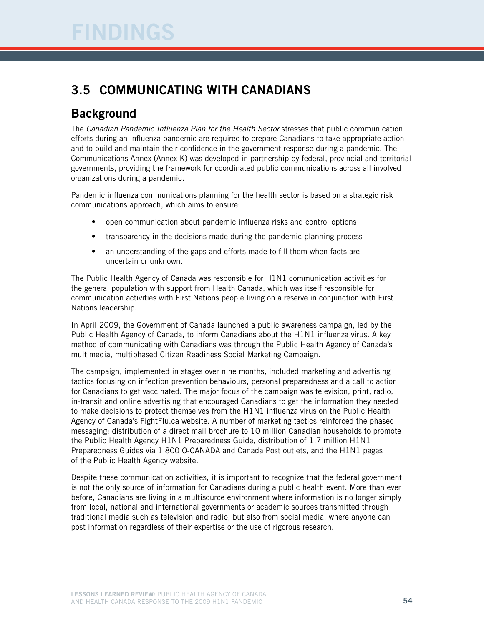## 3.5 Communicating with Canadians

## **Background**

The *Canadian Pandemic Influenza Plan for the Health Sector* stresses that public communication efforts during an influenza pandemic are required to prepare Canadians to take appropriate action and to build and maintain their confidence in the government response during a pandemic. The Communications Annex (Annex K) was developed in partnership by federal, provincial and territorial governments, providing the framework for coordinated public communications across all involved organizations during a pandemic.

Pandemic influenza communications planning for the health sector is based on a strategic risk communications approach, which aims to ensure:

- open communication about pandemic influenza risks and control options
- transparency in the decisions made during the pandemic planning process
- an understanding of the gaps and efforts made to fill them when facts are uncertain or unknown.

The Public Health Agency of Canada was responsible for H1N1 communication activities for the general population with support from Health Canada, which was itself responsible for communication activities with First Nations people living on a reserve in conjunction with First Nations leadership.

In April 2009, the Government of Canada launched a public awareness campaign, led by the Public Health Agency of Canada, to inform Canadians about the H1N1 influenza virus. A key method of communicating with Canadians was through the Public Health Agency of Canada's multimedia, multiphased Citizen Readiness Social Marketing Campaign.

The campaign, implemented in stages over nine months, included marketing and advertising tactics focusing on infection prevention behaviours, personal preparedness and a call to action for Canadians to get vaccinated. The major focus of the campaign was television, print, radio, in-transit and online advertising that encouraged Canadians to get the information they needed to make decisions to protect themselves from the H1N1 influenza virus on the Public Health Agency of Canada's FightFlu.ca website. A number of marketing tactics reinforced the phased messaging: distribution of a direct mail brochure to 10 million Canadian households to promote the Public Health Agency H1N1 Preparedness Guide, distribution of 1.7 million H1N1 Preparedness Guides via 1 800 O-CANADA and Canada Post outlets, and the H1N1 pages of the Public Health Agency website.

Despite these communication activities, it is important to recognize that the federal government is not the only source of information for Canadians during a public health event. More than ever before, Canadians are living in a multisource environment where information is no longer simply from local, national and international governments or academic sources transmitted through traditional media such as television and radio, but also from social media, where anyone can post information regardless of their expertise or the use of rigorous research.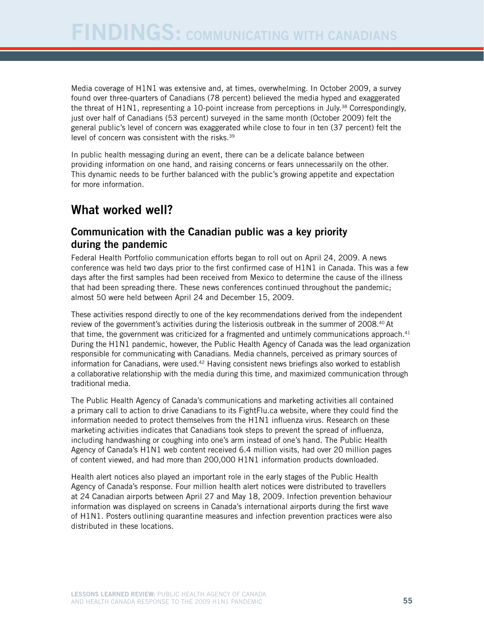Media coverage of H1N1 was extensive and, at times, overwhelming. In October 2009, a survey found over three-quarters of Canadians (78 percent) believed the media hyped and exaggerated the threat of  $H1N1$ , representing a 10-point increase from perceptions in July.<sup>38</sup> Correspondingly, just over half of Canadians (53 percent) surveyed in the same month (October 2009) felt the general public's level of concern was exaggerated while close to four in ten (37 percent) felt the level of concern was consistent with the risks.39

In public health messaging during an event, there can be a delicate balance between providing information on one hand, and raising concerns or fears unnecessarily on the other. This dynamic needs to be further balanced with the public's growing appetite and expectation for more information.

## What worked well?

### Communication with the Canadian public was a key priority during the pandemic

Federal Health Portfolio communication efforts began to roll out on April 24, 2009. A news conference was held two days prior to the first confirmed case of H1N1 in Canada. This was a few days after the first samples had been received from Mexico to determine the cause of the illness that had been spreading there. These news conferences continued throughout the pandemic; almost 50 were held between April 24 and December 15, 2009.

These activities respond directly to one of the key recommendations derived from the independent review of the government's activities during the listeriosis outbreak in the summer of 2008.40 At that time, the government was criticized for a fragmented and untimely communications approach.<sup>41</sup> During the H1N1 pandemic, however, the Public Health Agency of Canada was the lead organization responsible for communicating with Canadians. Media channels, perceived as primary sources of information for Canadians, were used. $42$  Having consistent news briefings also worked to establish a collaborative relationship with the media during this time, and maximized communication through traditional media.

The Public Health Agency of Canada's communications and marketing activities all contained a primary call to action to drive Canadians to its FightFlu.ca website, where they could find the information needed to protect themselves from the H1N1 influenza virus. Research on these marketing activities indicates that Canadians took steps to prevent the spread of influenza, including handwashing or coughing into one's arm instead of one's hand. The Public Health Agency of Canada's H1N1 web content received 6.4 million visits, had over 20 million pages of content viewed, and had more than 200,000 H1N1 information products downloaded.

Health alert notices also played an important role in the early stages of the Public Health Agency of Canada's response. Four million health alert notices were distributed to travellers at 24 Canadian airports between April 27 and May 18, 2009. Infection prevention behaviour information was displayed on screens in Canada's international airports during the first wave of H1N1. Posters outlining quarantine measures and infection prevention practices were also distributed in these locations.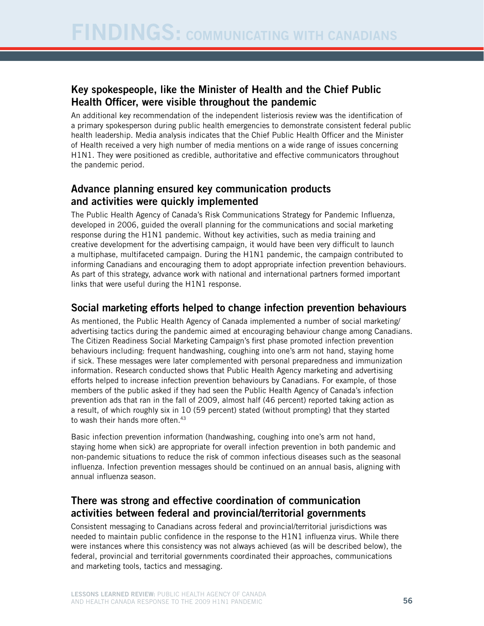### Key spokespeople, like the Minister of Health and the Chief Public Health Officer, were visible throughout the pandemic

An additional key recommendation of the independent listeriosis review was the identification of a primary spokesperson during public health emergencies to demonstrate consistent federal public health leadership. Media analysis indicates that the Chief Public Health Officer and the Minister of Health received a very high number of media mentions on a wide range of issues concerning H1N1. They were positioned as credible, authoritative and effective communicators throughout the pandemic period.

### Advance planning ensured key communication products and activities were quickly implemented

The Public Health Agency of Canada's Risk Communications Strategy for Pandemic Influenza, developed in 2006, guided the overall planning for the communications and social marketing response during the H1N1 pandemic. Without key activities, such as media training and creative development for the advertising campaign, it would have been very difficult to launch a multiphase, multifaceted campaign. During the H1N1 pandemic, the campaign contributed to informing Canadians and encouraging them to adopt appropriate infection prevention behaviours. As part of this strategy, advance work with national and international partners formed important links that were useful during the H1N1 response.

### Social marketing efforts helped to change infection prevention behaviours

As mentioned, the Public Health Agency of Canada implemented a number of social marketing/ advertising tactics during the pandemic aimed at encouraging behaviour change among Canadians. The Citizen Readiness Social Marketing Campaign's first phase promoted infection prevention behaviours including: frequent handwashing, coughing into one's arm not hand, staying home if sick. These messages were later complemented with personal preparedness and immunization information. Research conducted shows that Public Health Agency marketing and advertising efforts helped to increase infection prevention behaviours by Canadians. For example, of those members of the public asked if they had seen the Public Health Agency of Canada's infection prevention ads that ran in the fall of 2009, almost half (46 percent) reported taking action as a result, of which roughly six in 10 (59 percent) stated (without prompting) that they started to wash their hands more often.<sup>43</sup>

Basic infection prevention information (handwashing, coughing into one's arm not hand, staying home when sick) are appropriate for overall infection prevention in both pandemic and non-pandemic situations to reduce the risk of common infectious diseases such as the seasonal influenza. Infection prevention messages should be continued on an annual basis, aligning with annual influenza season.

### There was strong and effective coordination of communication activities between federal and provincial/territorial governments

Consistent messaging to Canadians across federal and provincial/territorial jurisdictions was needed to maintain public confidence in the response to the H1N1 influenza virus. While there were instances where this consistency was not always achieved (as will be described below), the federal, provincial and territorial governments coordinated their approaches, communications and marketing tools, tactics and messaging.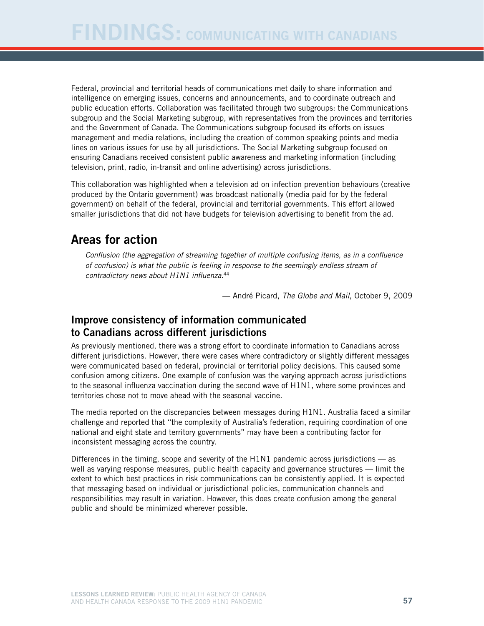Federal, provincial and territorial heads of communications met daily to share information and intelligence on emerging issues, concerns and announcements, and to coordinate outreach and public education efforts. Collaboration was facilitated through two subgroups: the Communications subgroup and the Social Marketing subgroup, with representatives from the provinces and territories and the Government of Canada. The Communications subgroup focused its efforts on issues management and media relations, including the creation of common speaking points and media lines on various issues for use by all jurisdictions. The Social Marketing subgroup focused on ensuring Canadians received consistent public awareness and marketing information (including television, print, radio, in-transit and online advertising) across jurisdictions.

This collaboration was highlighted when a television ad on infection prevention behaviours (creative produced by the Ontario government) was broadcast nationally (media paid for by the federal government) on behalf of the federal, provincial and territorial governments. This effort allowed smaller jurisdictions that did not have budgets for television advertising to benefit from the ad.

## Areas for action

*Conflusion (the aggregation of streaming together of multiple confusing items, as in a confluence of confusion) is what the public is feeling in response to the seemingly endless stream of contradictory news about H1N1 influenza.*<sup>44</sup>

— André Picard, *The Globe and Mail*, October 9, 2009

### Improve consistency of information communicated to Canadians across different jurisdictions

As previously mentioned, there was a strong effort to coordinate information to Canadians across different jurisdictions. However, there were cases where contradictory or slightly different messages were communicated based on federal, provincial or territorial policy decisions. This caused some confusion among citizens. One example of confusion was the varying approach across jurisdictions to the seasonal influenza vaccination during the second wave of H1N1, where some provinces and territories chose not to move ahead with the seasonal vaccine.

The media reported on the discrepancies between messages during H1N1. Australia faced a similar challenge and reported that "the complexity of Australia's federation, requiring coordination of one national and eight state and territory governments" may have been a contributing factor for inconsistent messaging across the country.

Differences in the timing, scope and severity of the H1N1 pandemic across jurisdictions — as well as varying response measures, public health capacity and governance structures — limit the extent to which best practices in risk communications can be consistently applied. It is expected that messaging based on individual or jurisdictional policies, communication channels and responsibilities may result in variation. However, this does create confusion among the general public and should be minimized wherever possible.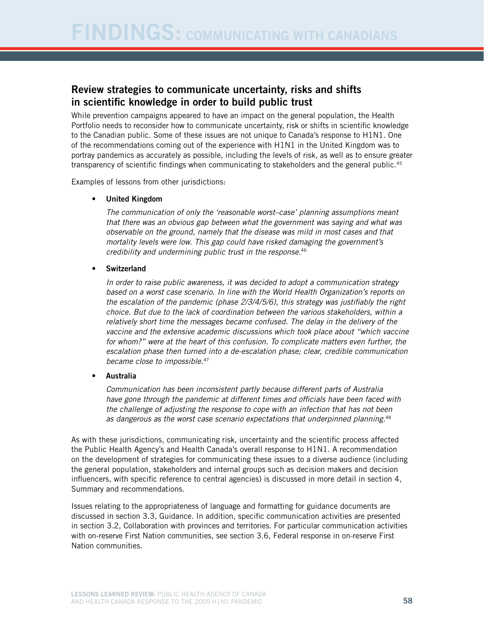### Review strategies to communicate uncertainty, risks and shifts in scientific knowledge in order to build public trust

While prevention campaigns appeared to have an impact on the general population, the Health Portfolio needs to reconsider how to communicate uncertainty, risk or shifts in scientific knowledge to the Canadian public. Some of these issues are not unique to Canada's response to H1N1. One of the recommendations coming out of the experience with H1N1 in the United Kingdom was to portray pandemics as accurately as possible, including the levels of risk, as well as to ensure greater transparency of scientific findings when communicating to stakeholders and the general public.<sup>45</sup>

Examples of lessons from other jurisdictions:

#### • United Kingdom

*The communication of only the 'reasonable worst–case' planning assumptions meant that there was an obvious gap between what the government was saying and what was observable on the ground, namely that the disease was mild in most cases and that mortality levels were low. This gap could have risked damaging the government's credibility and undermining public trust in the response.*<sup>46</sup>

**Switzerland** 

*In order to raise public awareness, it was decided to adopt a communication strategy based on a worst case scenario. In line with the World Health Organization's reports on the escalation of the pandemic (phase 2/3/4/5/6), this strategy was justifiably the right choice. But due to the lack of coordination between the various stakeholders, within a relatively short time the messages became confused. The delay in the delivery of the vaccine and the extensive academic discussions which took place about "which vaccine for whom?" were at the heart of this confusion. To complicate matters even further, the escalation phase then turned into a de-escalation phase; clear, credible communication became close to impossible.*<sup>47</sup>

#### **Australia**

*Communication has been inconsistent partly because different parts of Australia have gone through the pandemic at different times and officials have been faced with the challenge of adjusting the response to cope with an infection that has not been as dangerous as the worst case scenario expectations that underpinned planning.*<sup>48</sup>

As with these jurisdictions, communicating risk, uncertainty and the scientific process affected the Public Health Agency's and Health Canada's overall response to H1N1. A recommendation on the development of strategies for communicating these issues to a diverse audience (including the general population, stakeholders and internal groups such as decision makers and decision influencers, with specific reference to central agencies) is discussed in more detail in section 4, Summary and recommendations.

Issues relating to the appropriateness of language and formatting for guidance documents are discussed in section 3.3, Guidance. In addition, specific communication activities are presented in section 3.2, Collaboration with provinces and territories. For particular communication activities with on-reserve First Nation communities, see section 3.6, Federal response in on-reserve First Nation communities.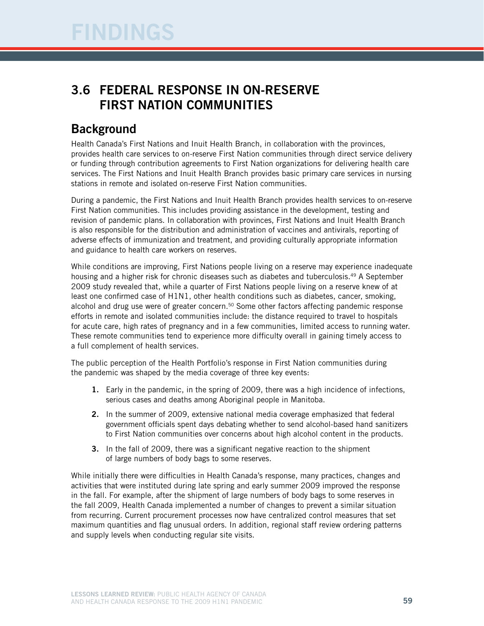## 3.6 Federal response in on-reserve First Nation communities

## **Background**

Health Canada's First Nations and Inuit Health Branch, in collaboration with the provinces, provides health care services to on-reserve First Nation communities through direct service delivery or funding through contribution agreements to First Nation organizations for delivering health care services. The First Nations and Inuit Health Branch provides basic primary care services in nursing stations in remote and isolated on-reserve First Nation communities.

During a pandemic, the First Nations and Inuit Health Branch provides health services to on-reserve First Nation communities. This includes providing assistance in the development, testing and revision of pandemic plans. In collaboration with provinces, First Nations and Inuit Health Branch is also responsible for the distribution and administration of vaccines and antivirals, reporting of adverse effects of immunization and treatment, and providing culturally appropriate information and guidance to health care workers on reserves.

While conditions are improving, First Nations people living on a reserve may experience inadequate housing and a higher risk for chronic diseases such as diabetes and tuberculosis.<sup>49</sup> A September 2009 study revealed that, while a quarter of First Nations people living on a reserve knew of at least one confirmed case of H1N1, other health conditions such as diabetes, cancer, smoking, alcohol and drug use were of greater concern.<sup>50</sup> Some other factors affecting pandemic response efforts in remote and isolated communities include: the distance required to travel to hospitals for acute care, high rates of pregnancy and in a few communities, limited access to running water. These remote communities tend to experience more difficulty overall in gaining timely access to a full complement of health services.

The public perception of the Health Portfolio's response in First Nation communities during the pandemic was shaped by the media coverage of three key events:

- 1. Early in the pandemic, in the spring of 2009, there was a high incidence of infections, serious cases and deaths among Aboriginal people in Manitoba.
- 2. In the summer of 2009, extensive national media coverage emphasized that federal government officials spent days debating whether to send alcohol-based hand sanitizers to First Nation communities over concerns about high alcohol content in the products.
- 3. In the fall of 2009, there was a significant negative reaction to the shipment of large numbers of body bags to some reserves.

While initially there were difficulties in Health Canada's response, many practices, changes and activities that were instituted during late spring and early summer 2009 improved the response in the fall. For example, after the shipment of large numbers of body bags to some reserves in the fall 2009, Health Canada implemented a number of changes to prevent a similar situation from recurring. Current procurement processes now have centralized control measures that set maximum quantities and flag unusual orders. In addition, regional staff review ordering patterns and supply levels when conducting regular site visits.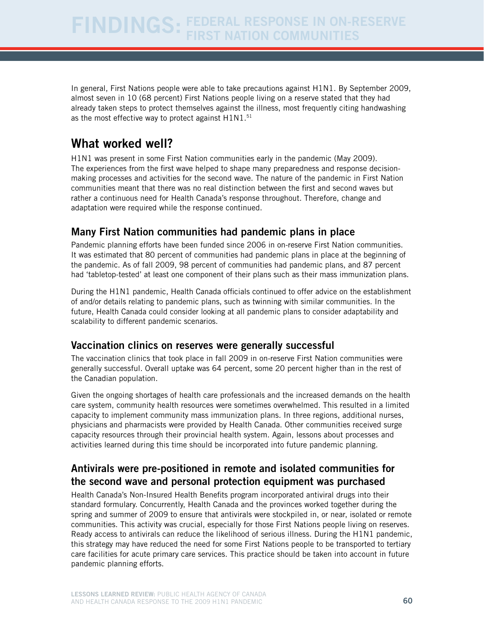In general, First Nations people were able to take precautions against H1N1. By September 2009, almost seven in 10 (68 percent) First Nations people living on a reserve stated that they had already taken steps to protect themselves against the illness, most frequently citing handwashing as the most effective way to protect against H1N1.<sup>51</sup>

## What worked well?

H1N1 was present in some First Nation communities early in the pandemic (May 2009). The experiences from the first wave helped to shape many preparedness and response decisionmaking processes and activities for the second wave. The nature of the pandemic in First Nation communities meant that there was no real distinction between the first and second waves but rather a continuous need for Health Canada's response throughout. Therefore, change and adaptation were required while the response continued.

### Many First Nation communities had pandemic plans in place

Pandemic planning efforts have been funded since 2006 in on-reserve First Nation communities. It was estimated that 80 percent of communities had pandemic plans in place at the beginning of the pandemic. As of fall 2009, 98 percent of communities had pandemic plans, and 87 percent had 'tabletop-tested' at least one component of their plans such as their mass immunization plans.

During the H1N1 pandemic, Health Canada officials continued to offer advice on the establishment of and/or details relating to pandemic plans, such as twinning with similar communities. In the future, Health Canada could consider looking at all pandemic plans to consider adaptability and scalability to different pandemic scenarios.

#### Vaccination clinics on reserves were generally successful

The vaccination clinics that took place in fall 2009 in on-reserve First Nation communities were generally successful. Overall uptake was 64 percent, some 20 percent higher than in the rest of the Canadian population.

Given the ongoing shortages of health care professionals and the increased demands on the health care system, community health resources were sometimes overwhelmed. This resulted in a limited capacity to implement community mass immunization plans. In three regions, additional nurses, physicians and pharmacists were provided by Health Canada. Other communities received surge capacity resources through their provincial health system. Again, lessons about processes and activities learned during this time should be incorporated into future pandemic planning.

### Antivirals were pre-positioned in remote and isolated communities for the second wave and personal protection equipment was purchased

Health Canada's Non-Insured Health Benefits program incorporated antiviral drugs into their standard formulary. Concurrently, Health Canada and the provinces worked together during the spring and summer of 2009 to ensure that antivirals were stockpiled in, or near, isolated or remote communities. This activity was crucial, especially for those First Nations people living on reserves. Ready access to antivirals can reduce the likelihood of serious illness. During the H1N1 pandemic, this strategy may have reduced the need for some First Nations people to be transported to tertiary care facilities for acute primary care services. This practice should be taken into account in future pandemic planning efforts.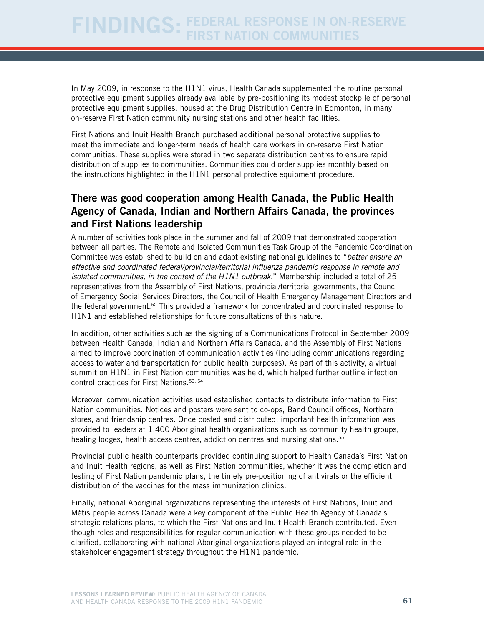In May 2009, in response to the H1N1 virus, Health Canada supplemented the routine personal protective equipment supplies already available by pre-positioning its modest stockpile of personal protective equipment supplies, housed at the Drug Distribution Centre in Edmonton, in many on-reserve First Nation community nursing stations and other health facilities.

First Nations and Inuit Health Branch purchased additional personal protective supplies to meet the immediate and longer-term needs of health care workers in on-reserve First Nation communities. These supplies were stored in two separate distribution centres to ensure rapid distribution of supplies to communities. Communities could order supplies monthly based on the instructions highlighted in the H1N1 personal protective equipment procedure.

### There was good cooperation among Health Canada, the Public Health Agency of Canada, Indian and Northern Affairs Canada, the provinces and First Nations leadership

A number of activities took place in the summer and fall of 2009 that demonstrated cooperation between all parties. The Remote and Isolated Communities Task Group of the Pandemic Coordination Committee was established to build on and adapt existing national guidelines to "*better ensure an effective and coordinated federal/provincial/territorial influenza pandemic response in remote and isolated communities, in the context of the H1N1 outbreak.*" Membership included a total of 25 representatives from the Assembly of First Nations, provincial/territorial governments, the Council of Emergency Social Services Directors, the Council of Health Emergency Management Directors and the federal government.<sup>52</sup> This provided a framework for concentrated and coordinated response to H1N1 and established relationships for future consultations of this nature.

In addition, other activities such as the signing of a Communications Protocol in September 2009 between Health Canada, Indian and Northern Affairs Canada, and the Assembly of First Nations aimed to improve coordination of communication activities (including communications regarding access to water and transportation for public health purposes). As part of this activity, a virtual summit on H1N1 in First Nation communities was held, which helped further outline infection control practices for First Nations.<sup>53, 54</sup>

Moreover, communication activities used established contacts to distribute information to First Nation communities. Notices and posters were sent to co-ops, Band Council offices, Northern stores, and friendship centres. Once posted and distributed, important health information was provided to leaders at 1,400 Aboriginal health organizations such as community health groups, healing lodges, health access centres, addiction centres and nursing stations.<sup>55</sup>

Provincial public health counterparts provided continuing support to Health Canada's First Nation and Inuit Health regions, as well as First Nation communities, whether it was the completion and testing of First Nation pandemic plans, the timely pre-positioning of antivirals or the efficient distribution of the vaccines for the mass immunization clinics.

Finally, national Aboriginal organizations representing the interests of First Nations, Inuit and Métis people across Canada were a key component of the Public Health Agency of Canada's strategic relations plans, to which the First Nations and Inuit Health Branch contributed. Even though roles and responsibilities for regular communication with these groups needed to be clarified, collaborating with national Aboriginal organizations played an integral role in the stakeholder engagement strategy throughout the H1N1 pandemic.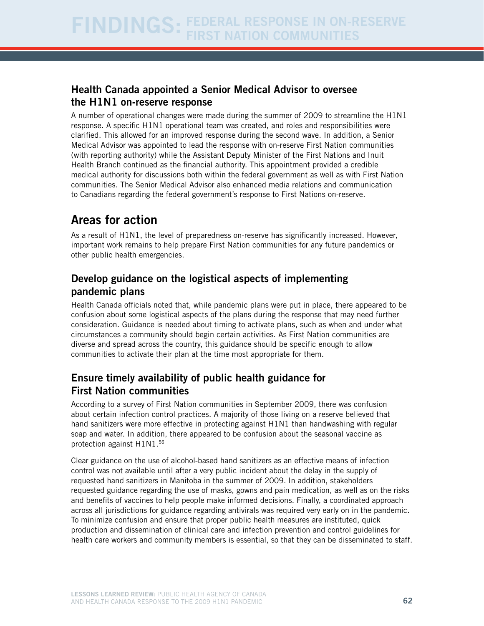### Health Canada appointed a Senior Medical Advisor to oversee the H1N1 on-reserve response

A number of operational changes were made during the summer of 2009 to streamline the H1N1 response. A specific H1N1 operational team was created, and roles and responsibilities were clarified. This allowed for an improved response during the second wave. In addition, a Senior Medical Advisor was appointed to lead the response with on-reserve First Nation communities (with reporting authority) while the Assistant Deputy Minister of the First Nations and Inuit Health Branch continued as the financial authority. This appointment provided a credible medical authority for discussions both within the federal government as well as with First Nation communities. The Senior Medical Advisor also enhanced media relations and communication to Canadians regarding the federal government's response to First Nations on-reserve.

## Areas for action

As a result of H1N1, the level of preparedness on-reserve has significantly increased. However, important work remains to help prepare First Nation communities for any future pandemics or other public health emergencies.

### Develop guidance on the logistical aspects of implementing pandemic plans

Health Canada officials noted that, while pandemic plans were put in place, there appeared to be confusion about some logistical aspects of the plans during the response that may need further consideration. Guidance is needed about timing to activate plans, such as when and under what circumstances a community should begin certain activities. As First Nation communities are diverse and spread across the country, this guidance should be specific enough to allow communities to activate their plan at the time most appropriate for them.

### Ensure timely availability of public health guidance for First Nation communities

According to a survey of First Nation communities in September 2009, there was confusion about certain infection control practices. A majority of those living on a reserve believed that hand sanitizers were more effective in protecting against H1N1 than handwashing with regular soap and water. In addition, there appeared to be confusion about the seasonal vaccine as protection against H1N1.56

Clear guidance on the use of alcohol-based hand sanitizers as an effective means of infection control was not available until after a very public incident about the delay in the supply of requested hand sanitizers in Manitoba in the summer of 2009. In addition, stakeholders requested guidance regarding the use of masks, gowns and pain medication, as well as on the risks and benefits of vaccines to help people make informed decisions. Finally, a coordinated approach across all jurisdictions for guidance regarding antivirals was required very early on in the pandemic. To minimize confusion and ensure that proper public health measures are instituted, quick production and dissemination of clinical care and infection prevention and control guidelines for health care workers and community members is essential, so that they can be disseminated to staff.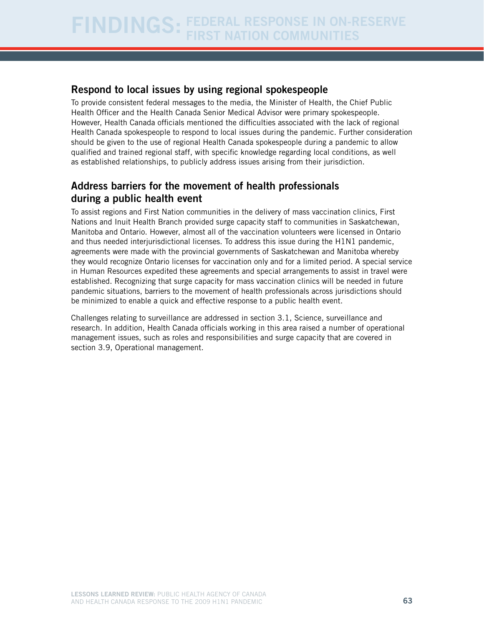### Respond to local issues by using regional spokespeople

To provide consistent federal messages to the media, the Minister of Health, the Chief Public Health Officer and the Health Canada Senior Medical Advisor were primary spokespeople. However, Health Canada officials mentioned the difficulties associated with the lack of regional Health Canada spokespeople to respond to local issues during the pandemic. Further consideration should be given to the use of regional Health Canada spokespeople during a pandemic to allow qualified and trained regional staff, with specific knowledge regarding local conditions, as well as established relationships, to publicly address issues arising from their jurisdiction.

### Address barriers for the movement of health professionals during a public health event

To assist regions and First Nation communities in the delivery of mass vaccination clinics, First Nations and Inuit Health Branch provided surge capacity staff to communities in Saskatchewan, Manitoba and Ontario. However, almost all of the vaccination volunteers were licensed in Ontario and thus needed interjurisdictional licenses. To address this issue during the H1N1 pandemic, agreements were made with the provincial governments of Saskatchewan and Manitoba whereby they would recognize Ontario licenses for vaccination only and for a limited period. A special service in Human Resources expedited these agreements and special arrangements to assist in travel were established. Recognizing that surge capacity for mass vaccination clinics will be needed in future pandemic situations, barriers to the movement of health professionals across jurisdictions should be minimized to enable a quick and effective response to a public health event.

Challenges relating to surveillance are addressed in section 3.1, Science, surveillance and research. In addition, Health Canada officials working in this area raised a number of operational management issues, such as roles and responsibilities and surge capacity that are covered in section 3.9, Operational management.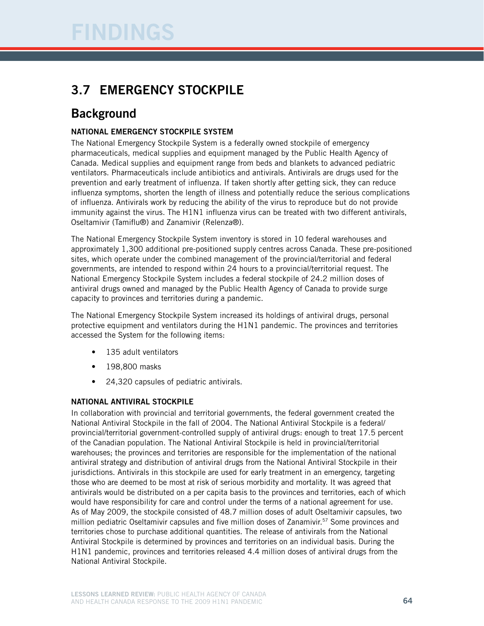## 3.7 Emergency stockpile

## **Background**

#### National Emergency Stockpile System

The National Emergency Stockpile System is a federally owned stockpile of emergency pharmaceuticals, medical supplies and equipment managed by the Public Health Agency of Canada. Medical supplies and equipment range from beds and blankets to advanced pediatric ventilators. Pharmaceuticals include antibiotics and antivirals. Antivirals are drugs used for the prevention and early treatment of influenza. If taken shortly after getting sick, they can reduce influenza symptoms, shorten the length of illness and potentially reduce the serious complications of influenza. Antivirals work by reducing the ability of the virus to reproduce but do not provide immunity against the virus. The H1N1 influenza virus can be treated with two different antivirals, Oseltamivir (Tamiflu®) and Zanamivir (Relenza®).

The National Emergency Stockpile System inventory is stored in 10 federal warehouses and approximately 1,300 additional pre-positioned supply centres across Canada. These pre-positioned sites, which operate under the combined management of the provincial/territorial and federal governments, are intended to respond within 24 hours to a provincial/territorial request. The National Emergency Stockpile System includes a federal stockpile of 24.2 million doses of antiviral drugs owned and managed by the Public Health Agency of Canada to provide surge capacity to provinces and territories during a pandemic.

The National Emergency Stockpile System increased its holdings of antiviral drugs, personal protective equipment and ventilators during the H1N1 pandemic. The provinces and territories accessed the System for the following items:

- 135 adult ventilators
- 198,800 masks
- 24,320 capsules of pediatric antivirals.

#### National Antiviral Stockpile

In collaboration with provincial and territorial governments, the federal government created the National Antiviral Stockpile in the fall of 2004. The National Antiviral Stockpile is a federal/ provincial/territorial government-controlled supply of antiviral drugs: enough to treat 17.5 percent of the Canadian population. The National Antiviral Stockpile is held in provincial/territorial warehouses; the provinces and territories are responsible for the implementation of the national antiviral strategy and distribution of antiviral drugs from the National Antiviral Stockpile in their jurisdictions. Antivirals in this stockpile are used for early treatment in an emergency, targeting those who are deemed to be most at risk of serious morbidity and mortality. It was agreed that antivirals would be distributed on a per capita basis to the provinces and territories, each of which would have responsibility for care and control under the terms of a national agreement for use. As of May 2009, the stockpile consisted of 48.7 million doses of adult Oseltamivir capsules, two million pediatric Oseltamivir capsules and five million doses of Zanamivir.<sup>57</sup> Some provinces and territories chose to purchase additional quantities. The release of antivirals from the National Antiviral Stockpile is determined by provinces and territories on an individual basis. During the H1N1 pandemic, provinces and territories released 4.4 million doses of antiviral drugs from the National Antiviral Stockpile.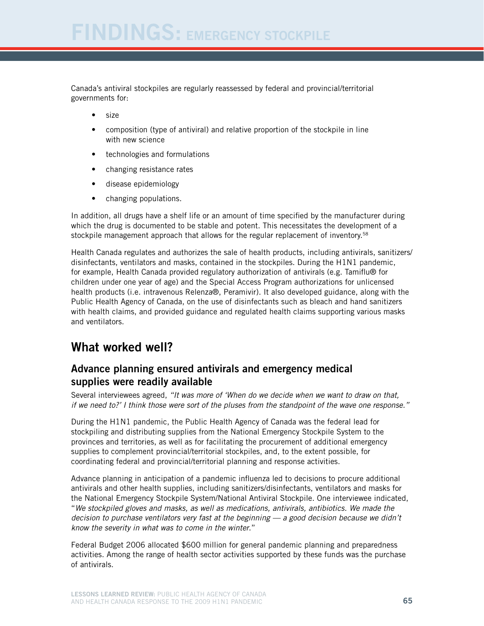Canada's antiviral stockpiles are regularly reassessed by federal and provincial/territorial governments for:

- size
- composition (type of antiviral) and relative proportion of the stockpile in line with new science
- technologies and formulations
- changing resistance rates
- disease epidemiology
- changing populations.

In addition, all drugs have a shelf life or an amount of time specified by the manufacturer during which the drug is documented to be stable and potent. This necessitates the development of a stockpile management approach that allows for the regular replacement of inventory.<sup>58</sup>

Health Canada regulates and authorizes the sale of health products, including antivirals, sanitizers/ disinfectants, ventilators and masks, contained in the stockpiles. During the H1N1 pandemic, for example, Health Canada provided regulatory authorization of antivirals (e.g. Tamiflu® for children under one year of age) and the Special Access Program authorizations for unlicensed health products (i.e. intravenous Relenza®, Peramivir). It also developed guidance, along with the Public Health Agency of Canada, on the use of disinfectants such as bleach and hand sanitizers with health claims, and provided guidance and regulated health claims supporting various masks and ventilators.

## What worked well?

#### Advance planning ensured antivirals and emergency medical supplies were readily available

Several interviewees agreed, *"It was more of 'When do we decide when we want to draw on that, if we need to?' I think those were sort of the pluses from the standpoint of the wave one response."*

During the H1N1 pandemic, the Public Health Agency of Canada was the federal lead for stockpiling and distributing supplies from the National Emergency Stockpile System to the provinces and territories, as well as for facilitating the procurement of additional emergency supplies to complement provincial/territorial stockpiles, and, to the extent possible, for coordinating federal and provincial/territorial planning and response activities.

Advance planning in anticipation of a pandemic influenza led to decisions to procure additional antivirals and other health supplies, including sanitizers/disinfectants, ventilators and masks for the National Emergency Stockpile System/National Antiviral Stockpile. One interviewee indicated, "*We stockpiled gloves and masks, as well as medications, antivirals, antibiotics. We made the decision to purchase ventilators very fast at the beginning — a good decision because we didn't know the severity in what was to come in the winter*."

Federal Budget 2006 allocated \$600 million for general pandemic planning and preparedness activities. Among the range of health sector activities supported by these funds was the purchase of antivirals.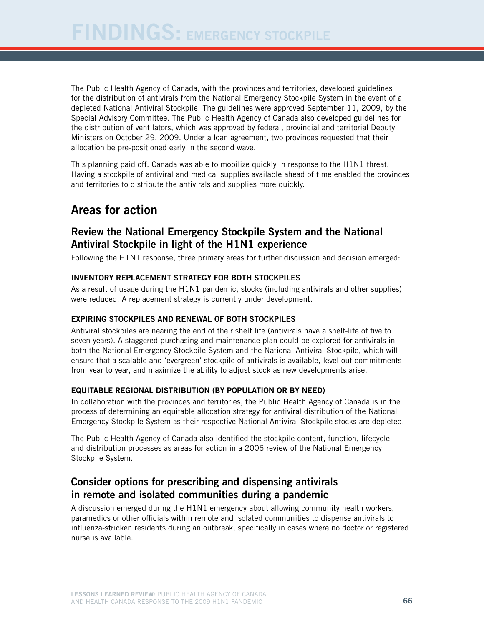The Public Health Agency of Canada, with the provinces and territories, developed guidelines for the distribution of antivirals from the National Emergency Stockpile System in the event of a depleted National Antiviral Stockpile. The guidelines were approved September 11, 2009, by the Special Advisory Committee. The Public Health Agency of Canada also developed guidelines for the distribution of ventilators, which was approved by federal, provincial and territorial Deputy Ministers on October 29, 2009. Under a loan agreement, two provinces requested that their allocation be pre-positioned early in the second wave.

This planning paid off. Canada was able to mobilize quickly in response to the H1N1 threat. Having a stockpile of antiviral and medical supplies available ahead of time enabled the provinces and territories to distribute the antivirals and supplies more quickly.

## Areas for action

### Review the National Emergency Stockpile System and the National Antiviral Stockpile in light of the H1N1 experience

Following the H1N1 response, three primary areas for further discussion and decision emerged:

#### Inventory replacement strategy for both stockpiles

As a result of usage during the H1N1 pandemic, stocks (including antivirals and other supplies) were reduced. A replacement strategy is currently under development.

#### Expiring stockpiles and renewal of both stockpiles

Antiviral stockpiles are nearing the end of their shelf life (antivirals have a shelf-life of five to seven years). A staggered purchasing and maintenance plan could be explored for antivirals in both the National Emergency Stockpile System and the National Antiviral Stockpile, which will ensure that a scalable and 'evergreen' stockpile of antivirals is available, level out commitments from year to year, and maximize the ability to adjust stock as new developments arise.

#### Equitable regional distribution (by population or by need)

In collaboration with the provinces and territories, the Public Health Agency of Canada is in the process of determining an equitable allocation strategy for antiviral distribution of the National Emergency Stockpile System as their respective National Antiviral Stockpile stocks are depleted.

The Public Health Agency of Canada also identified the stockpile content, function, lifecycle and distribution processes as areas for action in a 2006 review of the National Emergency Stockpile System.

### Consider options for prescribing and dispensing antivirals in remote and isolated communities during a pandemic

A discussion emerged during the H1N1 emergency about allowing community health workers, paramedics or other officials within remote and isolated communities to dispense antivirals to influenza-stricken residents during an outbreak, specifically in cases where no doctor or registered nurse is available.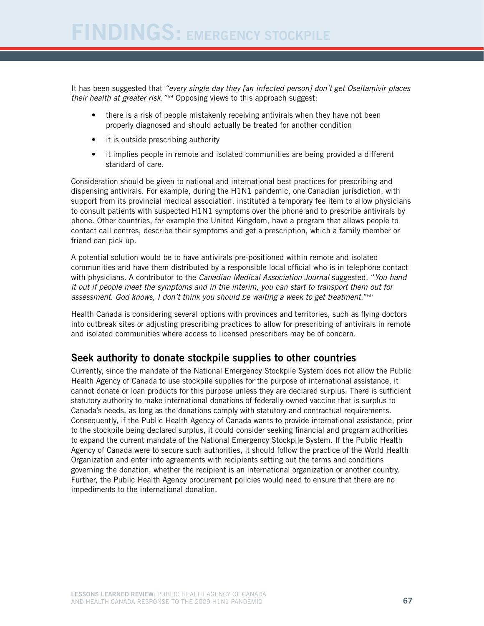It has been suggested that *"every single day they [an infected person] don't get Oseltamivir places their health at greater risk."*<sup>59</sup> Opposing views to this approach suggest:

- there is a risk of people mistakenly receiving antivirals when they have not been properly diagnosed and should actually be treated for another condition
- it is outside prescribing authority
- it implies people in remote and isolated communities are being provided a different standard of care.

Consideration should be given to national and international best practices for prescribing and dispensing antivirals. For example, during the H1N1 pandemic, one Canadian jurisdiction, with support from its provincial medical association, instituted a temporary fee item to allow physicians to consult patients with suspected H1N1 symptoms over the phone and to prescribe antivirals by phone. Other countries, for example the United Kingdom, have a program that allows people to contact call centres, describe their symptoms and get a prescription, which a family member or friend can pick up.

A potential solution would be to have antivirals pre-positioned within remote and isolated communities and have them distributed by a responsible local official who is in telephone contact with physicians. A contributor to the *Canadian Medical Association Journal* suggested, "*You hand it out if people meet the symptoms and in the interim, you can start to transport them out for assessment. God knows, I don't think you should be waiting a week to get treatment*."60

Health Canada is considering several options with provinces and territories, such as flying doctors into outbreak sites or adjusting prescribing practices to allow for prescribing of antivirals in remote and isolated communities where access to licensed prescribers may be of concern.

#### Seek authority to donate stockpile supplies to other countries

Currently, since the mandate of the National Emergency Stockpile System does not allow the Public Health Agency of Canada to use stockpile supplies for the purpose of international assistance, it cannot donate or loan products for this purpose unless they are declared surplus. There is sufficient statutory authority to make international donations of federally owned vaccine that is surplus to Canada's needs, as long as the donations comply with statutory and contractual requirements. Consequently, if the Public Health Agency of Canada wants to provide international assistance, prior to the stockpile being declared surplus, it could consider seeking financial and program authorities to expand the current mandate of the National Emergency Stockpile System. If the Public Health Agency of Canada were to secure such authorities, it should follow the practice of the World Health Organization and enter into agreements with recipients setting out the terms and conditions governing the donation, whether the recipient is an international organization or another country. Further, the Public Health Agency procurement policies would need to ensure that there are no impediments to the international donation.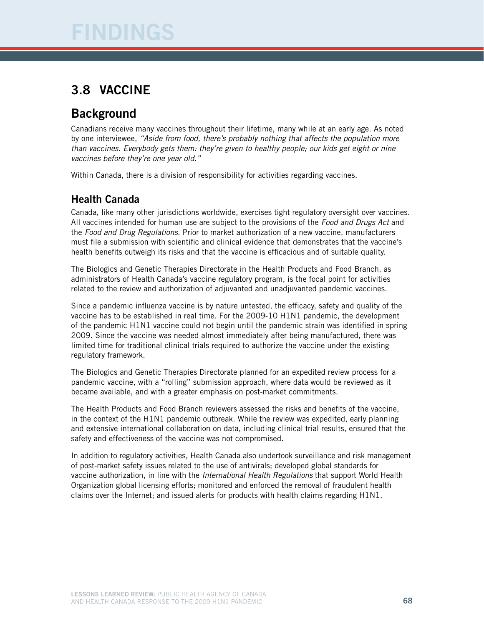## 3.8 Vaccine

## **Background**

Canadians receive many vaccines throughout their lifetime, many while at an early age. As noted by one interviewee, *"Aside from food, there's probably nothing that affects the population more than vaccines. Everybody gets them: they're given to healthy people; our kids get eight or nine vaccines before they're one year old."*

Within Canada, there is a division of responsibility for activities regarding vaccines.

### Health Canada

Canada, like many other jurisdictions worldwide, exercises tight regulatory oversight over vaccines. All vaccines intended for human use are subject to the provisions of the *Food and Drugs Act* and the *Food and Drug Regulations*. Prior to market authorization of a new vaccine, manufacturers must file a submission with scientific and clinical evidence that demonstrates that the vaccine's health benefits outweigh its risks and that the vaccine is efficacious and of suitable quality.

The Biologics and Genetic Therapies Directorate in the Health Products and Food Branch, as administrators of Health Canada's vaccine regulatory program, is the focal point for activities related to the review and authorization of adjuvanted and unadjuvanted pandemic vaccines.

Since a pandemic influenza vaccine is by nature untested, the efficacy, safety and quality of the vaccine has to be established in real time. For the 2009-10 H1N1 pandemic, the development of the pandemic H1N1 vaccine could not begin until the pandemic strain was identified in spring 2009. Since the vaccine was needed almost immediately after being manufactured, there was limited time for traditional clinical trials required to authorize the vaccine under the existing regulatory framework.

The Biologics and Genetic Therapies Directorate planned for an expedited review process for a pandemic vaccine, with a "rolling" submission approach, where data would be reviewed as it became available, and with a greater emphasis on post-market commitments.

The Health Products and Food Branch reviewers assessed the risks and benefits of the vaccine, in the context of the H1N1 pandemic outbreak. While the review was expedited, early planning and extensive international collaboration on data, including clinical trial results, ensured that the safety and effectiveness of the vaccine was not compromised.

In addition to regulatory activities, Health Canada also undertook surveillance and risk management of post-market safety issues related to the use of antivirals; developed global standards for vaccine authorization, in line with the *International Health Regulations* that support World Health Organization global licensing efforts; monitored and enforced the removal of fraudulent health claims over the Internet; and issued alerts for products with health claims regarding H1N1.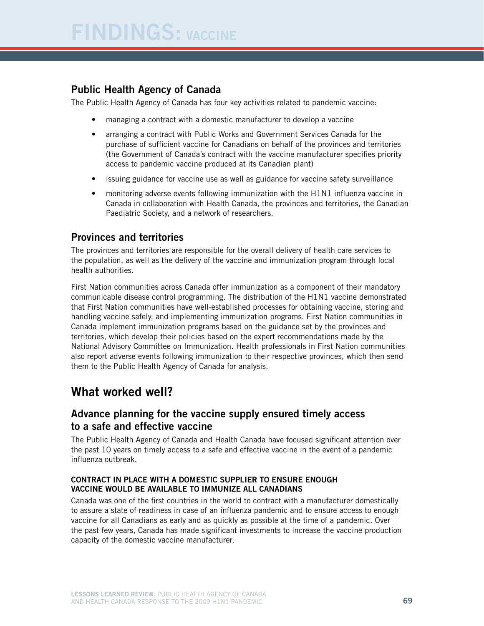## Public Health Agency of Canada

The Public Health Agency of Canada has four key activities related to pandemic vaccine:

- managing a contract with a domestic manufacturer to develop a vaccine
- arranging a contract with Public Works and Government Services Canada for the purchase of sufficient vaccine for Canadians on behalf of the provinces and territories (the Government of Canada's contract with the vaccine manufacturer specifies priority access to pandemic vaccine produced at its Canadian plant)
- issuing guidance for vaccine use as well as guidance for vaccine safety surveillance
- monitoring adverse events following immunization with the H1N1 influenza vaccine in Canada in collaboration with Health Canada, the provinces and territories, the Canadian Paediatric Society, and a network of researchers.

#### Provinces and territories

The provinces and territories are responsible for the overall delivery of health care services to the population, as well as the delivery of the vaccine and immunization program through local health authorities.

First Nation communities across Canada offer immunization as a component of their mandatory communicable disease control programming. The distribution of the H1N1 vaccine demonstrated that First Nation communities have well-established processes for obtaining vaccine, storing and handling vaccine safely, and implementing immunization programs. First Nation communities in Canada implement immunization programs based on the guidance set by the provinces and territories, which develop their policies based on the expert recommendations made by the National Advisory Committee on Immunization. Health professionals in First Nation communities also report adverse events following immunization to their respective provinces, which then send them to the Public Health Agency of Canada for analysis.

# What worked well?

### Advance planning for the vaccine supply ensured timely access to a safe and effective vaccine

The Public Health Agency of Canada and Health Canada have focused significant attention over the past 10 years on timely access to a safe and effective vaccine in the event of a pandemic influenza outbreak.

#### Contract in place with a domestic supplier to ensure enough vaccine would be available to immunize all Canadians

Canada was one of the first countries in the world to contract with a manufacturer domestically to assure a state of readiness in case of an influenza pandemic and to ensure access to enough vaccine for all Canadians as early and as quickly as possible at the time of a pandemic. Over the past few years, Canada has made significant investments to increase the vaccine production capacity of the domestic vaccine manufacturer.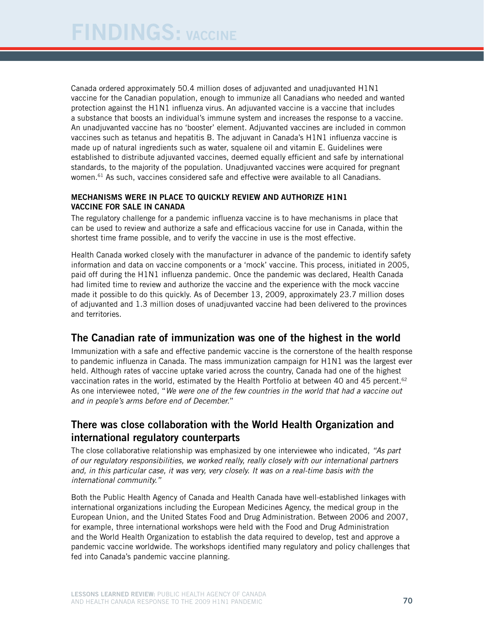Canada ordered approximately 50.4 million doses of adjuvanted and unadjuvanted H1N1 vaccine for the Canadian population, enough to immunize all Canadians who needed and wanted protection against the H1N1 influenza virus. An adjuvanted vaccine is a vaccine that includes a substance that boosts an individual's immune system and increases the response to a vaccine. An unadjuvanted vaccine has no 'booster' element. Adjuvanted vaccines are included in common vaccines such as tetanus and hepatitis B. The adjuvant in Canada's H1N1 influenza vaccine is made up of natural ingredients such as water, squalene oil and vitamin E. Guidelines were established to distribute adjuvanted vaccines, deemed equally efficient and safe by international standards, to the majority of the population. Unadjuvanted vaccines were acquired for pregnant women.<sup>61</sup> As such, vaccines considered safe and effective were available to all Canadians.

#### Mechanisms were in place to quickly review and authorize H1N1 vaccine for sale in Canada

The regulatory challenge for a pandemic influenza vaccine is to have mechanisms in place that can be used to review and authorize a safe and efficacious vaccine for use in Canada, within the shortest time frame possible, and to verify the vaccine in use is the most effective.

Health Canada worked closely with the manufacturer in advance of the pandemic to identify safety information and data on vaccine components or a 'mock' vaccine. This process, initiated in 2005, paid off during the H1N1 influenza pandemic. Once the pandemic was declared, Health Canada had limited time to review and authorize the vaccine and the experience with the mock vaccine made it possible to do this quickly. As of December 13, 2009, approximately 23.7 million doses of adjuvanted and 1.3 million doses of unadjuvanted vaccine had been delivered to the provinces and territories.

## The Canadian rate of immunization was one of the highest in the world

Immunization with a safe and effective pandemic vaccine is the cornerstone of the health response to pandemic influenza in Canada. The mass immunization campaign for H1N1 was the largest ever held. Although rates of vaccine uptake varied across the country, Canada had one of the highest vaccination rates in the world, estimated by the Health Portfolio at between 40 and 45 percent.<sup>62</sup> As one interviewee noted, "*We were one of the few countries in the world that had a vaccine out and in people's arms before end of December.*"

#### There was close collaboration with the World Health Organization and international regulatory counterparts

The close collaborative relationship was emphasized by one interviewee who indicated, *"As part of our regulatory responsibilities, we worked really, really closely with our international partners and, in this particular case, it was very, very closely. It was on a real-time basis with the international community."*

Both the Public Health Agency of Canada and Health Canada have well-established linkages with international organizations including the European Medicines Agency, the medical group in the European Union, and the United States Food and Drug Administration. Between 2006 and 2007, for example, three international workshops were held with the Food and Drug Administration and the World Health Organization to establish the data required to develop, test and approve a pandemic vaccine worldwide. The workshops identified many regulatory and policy challenges that fed into Canada's pandemic vaccine planning.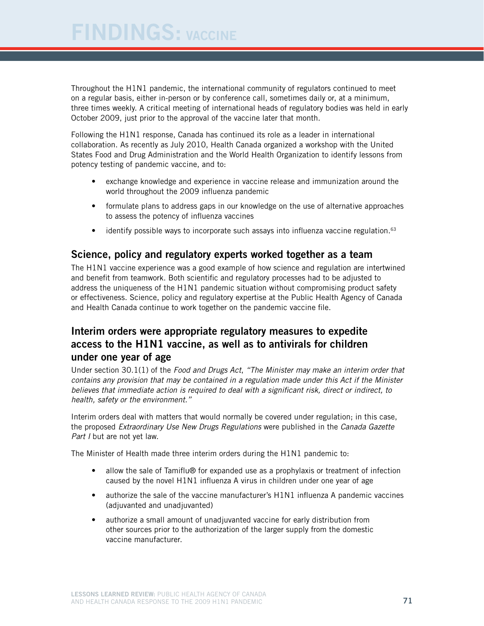Throughout the H1N1 pandemic, the international community of regulators continued to meet on a regular basis, either in-person or by conference call, sometimes daily or, at a minimum, three times weekly. A critical meeting of international heads of regulatory bodies was held in early October 2009, just prior to the approval of the vaccine later that month.

Following the H1N1 response, Canada has continued its role as a leader in international collaboration. As recently as July 2010, Health Canada organized a workshop with the United States Food and Drug Administration and the World Health Organization to identify lessons from potency testing of pandemic vaccine, and to:

- exchange knowledge and experience in vaccine release and immunization around the world throughout the 2009 influenza pandemic
- formulate plans to address gaps in our knowledge on the use of alternative approaches to assess the potency of influenza vaccines
- identify possible ways to incorporate such assays into influenza vaccine regulation.<sup>63</sup>

#### Science, policy and regulatory experts worked together as a team

The H1N1 vaccine experience was a good example of how science and regulation are intertwined and benefit from teamwork. Both scientific and regulatory processes had to be adjusted to address the uniqueness of the H1N1 pandemic situation without compromising product safety or effectiveness. Science, policy and regulatory expertise at the Public Health Agency of Canada and Health Canada continue to work together on the pandemic vaccine file.

### Interim orders were appropriate regulatory measures to expedite access to the H1N1 vaccine, as well as to antivirals for children under one year of age

Under section 30.1(1) of the *Food and Drugs Act*, *"The Minister may make an interim order that contains any provision that may be contained in a regulation made under this Act if the Minister believes that immediate action is required to deal with a significant risk, direct or indirect, to health, safety or the environment."*

Interim orders deal with matters that would normally be covered under regulation; in this case, the proposed *Extraordinary Use New Drugs Regulations* were published in the *Canada Gazette Part I* but are not yet law.

The Minister of Health made three interim orders during the H1N1 pandemic to:

- allow the sale of Tamiflu® for expanded use as a prophylaxis or treatment of infection caused by the novel H1N1 influenza A virus in children under one year of age
- authorize the sale of the vaccine manufacturer's H1N1 influenza A pandemic vaccines (adjuvanted and unadjuvanted)
- authorize a small amount of unadjuvanted vaccine for early distribution from other sources prior to the authorization of the larger supply from the domestic vaccine manufacturer.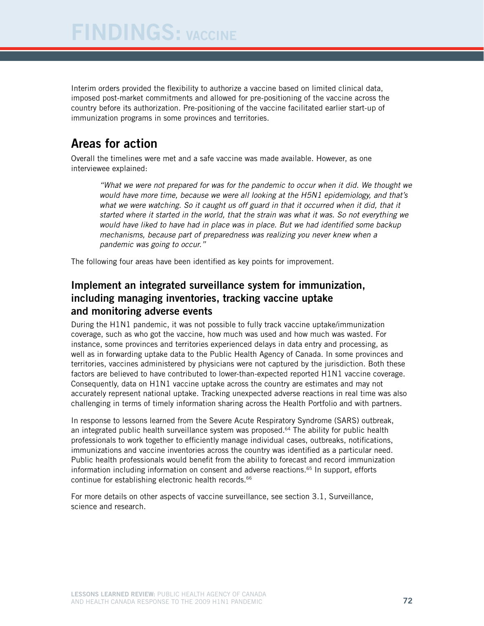Interim orders provided the flexibility to authorize a vaccine based on limited clinical data, imposed post-market commitments and allowed for pre-positioning of the vaccine across the country before its authorization. Pre-positioning of the vaccine facilitated earlier start-up of immunization programs in some provinces and territories.

# Areas for action

Overall the timelines were met and a safe vaccine was made available. However, as one interviewee explained:

*"What we were not prepared for was for the pandemic to occur when it did. We thought we would have more time, because we were all looking at the H5N1 epidemiology, and that's*  what we were watching. So it caught us off guard in that it occurred when it did, that it *started where it started in the world, that the strain was what it was. So not everything we would have liked to have had in place was in place. But we had identified some backup mechanisms, because part of preparedness was realizing you never knew when a pandemic was going to occur."*

The following four areas have been identified as key points for improvement.

### Implement an integrated surveillance system for immunization, including managing inventories, tracking vaccine uptake and monitoring adverse events

During the H1N1 pandemic, it was not possible to fully track vaccine uptake/immunization coverage, such as who got the vaccine, how much was used and how much was wasted. For instance, some provinces and territories experienced delays in data entry and processing, as well as in forwarding uptake data to the Public Health Agency of Canada. In some provinces and territories, vaccines administered by physicians were not captured by the jurisdiction. Both these factors are believed to have contributed to lower-than-expected reported H1N1 vaccine coverage. Consequently, data on H1N1 vaccine uptake across the country are estimates and may not accurately represent national uptake. Tracking unexpected adverse reactions in real time was also challenging in terms of timely information sharing across the Health Portfolio and with partners.

In response to lessons learned from the Severe Acute Respiratory Syndrome (SARS) outbreak, an integrated public health surveillance system was proposed.<sup>64</sup> The ability for public health professionals to work together to efficiently manage individual cases, outbreaks, notifications, immunizations and vaccine inventories across the country was identified as a particular need. Public health professionals would benefit from the ability to forecast and record immunization information including information on consent and adverse reactions.<sup>65</sup> In support, efforts continue for establishing electronic health records.<sup>66</sup>

For more details on other aspects of vaccine surveillance, see section 3.1, Surveillance, science and research.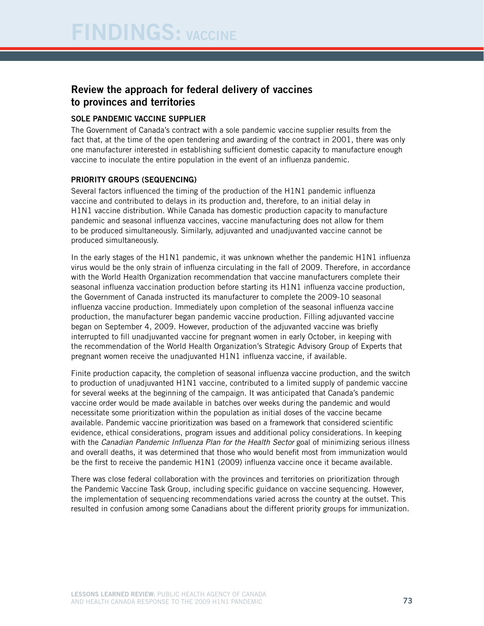### Review the approach for federal delivery of vaccines to provinces and territories

#### Sole pandemic vaccine supplier

The Government of Canada's contract with a sole pandemic vaccine supplier results from the fact that, at the time of the open tendering and awarding of the contract in 2001, there was only one manufacturer interested in establishing sufficient domestic capacity to manufacture enough vaccine to inoculate the entire population in the event of an influenza pandemic.

#### Priority groups (sequencing)

Several factors influenced the timing of the production of the H1N1 pandemic influenza vaccine and contributed to delays in its production and, therefore, to an initial delay in H1N1 vaccine distribution. While Canada has domestic production capacity to manufacture pandemic and seasonal influenza vaccines, vaccine manufacturing does not allow for them to be produced simultaneously. Similarly, adjuvanted and unadjuvanted vaccine cannot be produced simultaneously.

In the early stages of the H1N1 pandemic, it was unknown whether the pandemic H1N1 influenza virus would be the only strain of influenza circulating in the fall of 2009. Therefore, in accordance with the World Health Organization recommendation that vaccine manufacturers complete their seasonal influenza vaccination production before starting its H1N1 influenza vaccine production, the Government of Canada instructed its manufacturer to complete the 2009-10 seasonal influenza vaccine production. Immediately upon completion of the seasonal influenza vaccine production, the manufacturer began pandemic vaccine production. Filling adjuvanted vaccine began on September 4, 2009. However, production of the adjuvanted vaccine was briefly interrupted to fill unadjuvanted vaccine for pregnant women in early October, in keeping with the recommendation of the World Health Organization's Strategic Advisory Group of Experts that pregnant women receive the unadjuvanted H1N1 influenza vaccine, if available.

Finite production capacity, the completion of seasonal influenza vaccine production, and the switch to production of unadjuvanted H1N1 vaccine, contributed to a limited supply of pandemic vaccine for several weeks at the beginning of the campaign. It was anticipated that Canada's pandemic vaccine order would be made available in batches over weeks during the pandemic and would necessitate some prioritization within the population as initial doses of the vaccine became available. Pandemic vaccine prioritization was based on a framework that considered scientific evidence, ethical considerations, program issues and additional policy considerations. In keeping with the *Canadian Pandemic Influenza Plan for the Health Sector* goal of minimizing serious illness and overall deaths, it was determined that those who would benefit most from immunization would be the first to receive the pandemic H1N1 (2009) influenza vaccine once it became available.

There was close federal collaboration with the provinces and territories on prioritization through the Pandemic Vaccine Task Group, including specific guidance on vaccine sequencing. However, the implementation of sequencing recommendations varied across the country at the outset. This resulted in confusion among some Canadians about the different priority groups for immunization.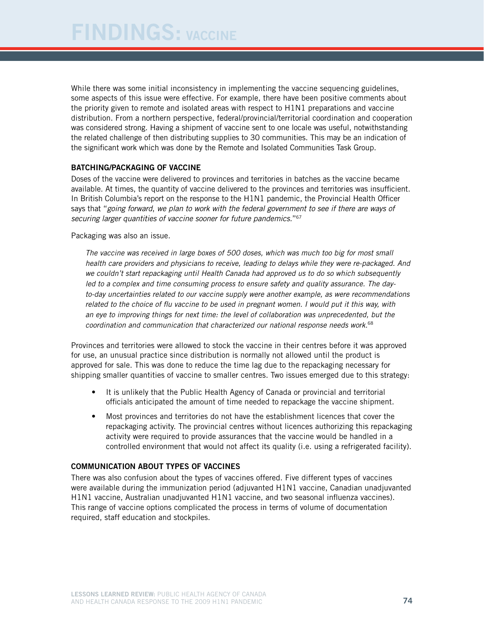While there was some initial inconsistency in implementing the vaccine sequencing guidelines, some aspects of this issue were effective. For example, there have been positive comments about the priority given to remote and isolated areas with respect to H1N1 preparations and vaccine distribution. From a northern perspective, federal/provincial/territorial coordination and cooperation was considered strong. Having a shipment of vaccine sent to one locale was useful, notwithstanding the related challenge of then distributing supplies to 30 communities. This may be an indication of the significant work which was done by the Remote and Isolated Communities Task Group.

#### Batching/packaging of vaccine

Doses of the vaccine were delivered to provinces and territories in batches as the vaccine became available. At times, the quantity of vaccine delivered to the provinces and territories was insufficient. In British Columbia's report on the response to the H1N1 pandemic, the Provincial Health Officer says that "*going forward*, *we plan to work with the federal government to see if there are ways of securing larger quantities of vaccine sooner for future pandemics.*"67

Packaging was also an issue.

*The vaccine was received in large boxes of 500 doses, which was much too big for most small health care providers and physicians to receive, leading to delays while they were re-packaged. And we couldn't start repackaging until Health Canada had approved us to do so which subsequently led to a complex and time consuming process to ensure safety and quality assurance. The dayto-day uncertainties related to our vaccine supply were another example, as were recommendations related to the choice of flu vaccine to be used in pregnant women. I would put it this way, with an eye to improving things for next time: the level of collaboration was unprecedented, but the coordination and communication that characterized our national response needs work.*<sup>68</sup>

Provinces and territories were allowed to stock the vaccine in their centres before it was approved for use, an unusual practice since distribution is normally not allowed until the product is approved for sale. This was done to reduce the time lag due to the repackaging necessary for shipping smaller quantities of vaccine to smaller centres. Two issues emerged due to this strategy:

- It is unlikely that the Public Health Agency of Canada or provincial and territorial officials anticipated the amount of time needed to repackage the vaccine shipment.
- Most provinces and territories do not have the establishment licences that cover the repackaging activity. The provincial centres without licences authorizing this repackaging activity were required to provide assurances that the vaccine would be handled in a controlled environment that would not affect its quality (i.e. using a refrigerated facility).

#### Communication about types of vaccines

There was also confusion about the types of vaccines offered. Five different types of vaccines were available during the immunization period (adjuvanted H1N1 vaccine, Canadian unadjuvanted H1N1 vaccine, Australian unadjuvanted H1N1 vaccine, and two seasonal influenza vaccines). This range of vaccine options complicated the process in terms of volume of documentation required, staff education and stockpiles.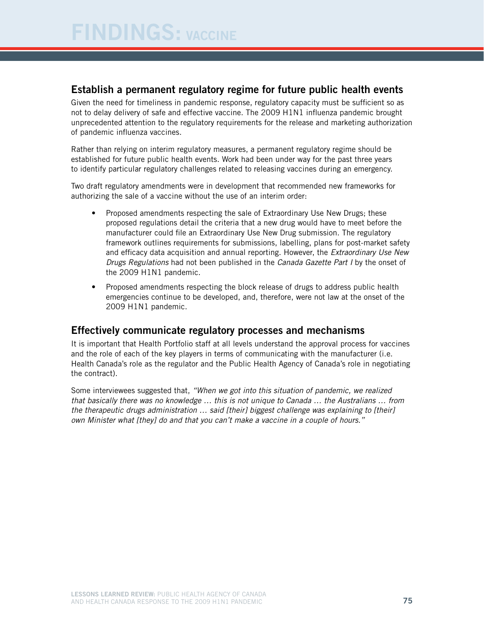#### Establish a permanent regulatory regime for future public health events

Given the need for timeliness in pandemic response, regulatory capacity must be sufficient so as not to delay delivery of safe and effective vaccine. The 2009 H1N1 influenza pandemic brought unprecedented attention to the regulatory requirements for the release and marketing authorization of pandemic influenza vaccines.

Rather than relying on interim regulatory measures, a permanent regulatory regime should be established for future public health events. Work had been under way for the past three years to identify particular regulatory challenges related to releasing vaccines during an emergency.

Two draft regulatory amendments were in development that recommended new frameworks for authorizing the sale of a vaccine without the use of an interim order:

- Proposed amendments respecting the sale of Extraordinary Use New Drugs; these proposed regulations detail the criteria that a new drug would have to meet before the manufacturer could file an Extraordinary Use New Drug submission. The regulatory framework outlines requirements for submissions, labelling, plans for post-market safety and efficacy data acquisition and annual reporting. However, the *Extraordinary Use New Drugs Regulations* had not been published in the *Canada Gazette Part I* by the onset of the 2009 H1N1 pandemic.
- Proposed amendments respecting the block release of drugs to address public health emergencies continue to be developed, and, therefore, were not law at the onset of the 2009 H1N1 pandemic.

#### Effectively communicate regulatory processes and mechanisms

It is important that Health Portfolio staff at all levels understand the approval process for vaccines and the role of each of the key players in terms of communicating with the manufacturer (i.e. Health Canada's role as the regulator and the Public Health Agency of Canada's role in negotiating the contract).

Some interviewees suggested that, *"When we got into this situation of pandemic, we realized that basically there was no knowledge … this is not unique to Canada … the Australians … from the therapeutic drugs administration … said [their] biggest challenge was explaining to [their] own Minister what [they] do and that you can't make a vaccine in a couple of hours."*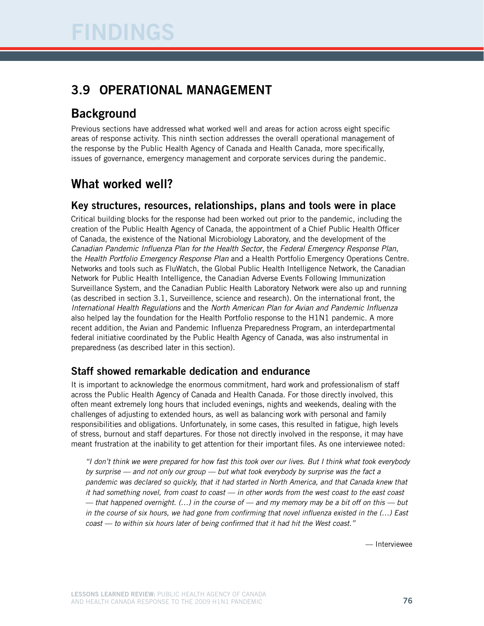# 3.9 Operational management

# **Background**

Previous sections have addressed what worked well and areas for action across eight specific areas of response activity. This ninth section addresses the overall operational management of the response by the Public Health Agency of Canada and Health Canada, more specifically, issues of governance, emergency management and corporate services during the pandemic.

# What worked well?

#### Key structures, resources, relationships, plans and tools were in place

Critical building blocks for the response had been worked out prior to the pandemic, including the creation of the Public Health Agency of Canada, the appointment of a Chief Public Health Officer of Canada, the existence of the National Microbiology Laboratory, and the development of the *Canadian Pandemic Influenza Plan for the Health Sector*, the *Federal Emergency Response Plan*, the *Health Portfolio Emergency Response Plan* and a Health Portfolio Emergency Operations Centre. Networks and tools such as FluWatch, the Global Public Health Intelligence Network, the Canadian Network for Public Health Intelligence, the Canadian Adverse Events Following Immunization Surveillance System, and the Canadian Public Health Laboratory Network were also up and running (as described in section 3.1, Surveillence, science and research). On the international front, the *International Health Regulations* and the *North American Plan for Avian and Pandemic Influenza* also helped lay the foundation for the Health Portfolio response to the H1N1 pandemic. A more recent addition, the Avian and Pandemic Influenza Preparedness Program, an interdepartmental federal initiative coordinated by the Public Health Agency of Canada, was also instrumental in preparedness (as described later in this section).

## Staff showed remarkable dedication and endurance

It is important to acknowledge the enormous commitment, hard work and professionalism of staff across the Public Health Agency of Canada and Health Canada. For those directly involved, this often meant extremely long hours that included evenings, nights and weekends, dealing with the challenges of adjusting to extended hours, as well as balancing work with personal and family responsibilities and obligations. Unfortunately, in some cases, this resulted in fatigue, high levels of stress, burnout and staff departures. For those not directly involved in the response, it may have meant frustration at the inability to get attention for their important files. As one interviewee noted:

*"I don't think we were prepared for how fast this took over our lives. But I think what took everybody by surprise — and not only our group — but what took everybody by surprise was the fact a pandemic was declared so quickly, that it had started in North America, and that Canada knew that it had something novel, from coast to coast — in other words from the west coast to the east coast — that happened overnight. (…) in the course of — and my memory may be a bit off on this — but in the course of six hours, we had gone from confirming that novel influenza existed in the (…) East coast — to within six hours later of being confirmed that it had hit the West coast."*

— Interviewee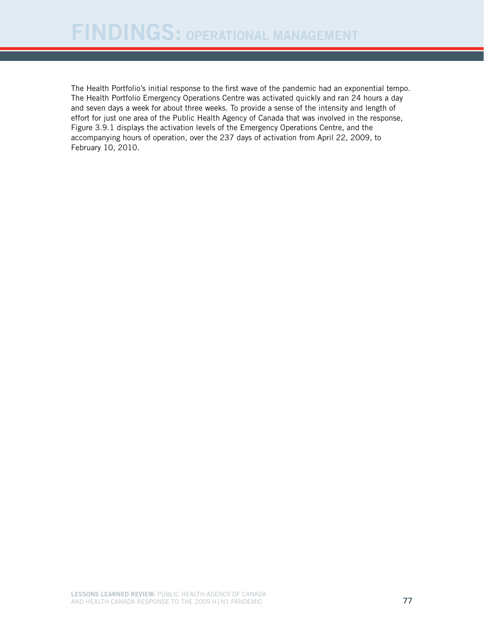The Health Portfolio's initial response to the first wave of the pandemic had an exponential tempo. The Health Portfolio Emergency Operations Centre was activated quickly and ran 24 hours a day and seven days a week for about three weeks. To provide a sense of the intensity and length of effort for just one area of the Public Health Agency of Canada that was involved in the response, Figure 3.9.1 displays the activation levels of the Emergency Operations Centre, and the accompanying hours of operation, over the 237 days of activation from April 22, 2009, to February 10, 2010.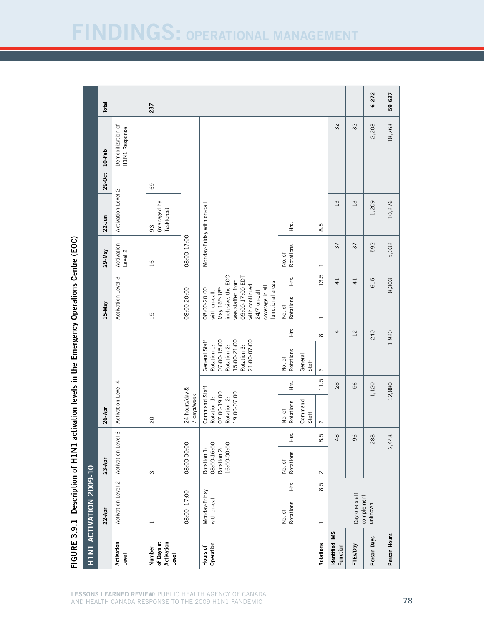# **VDINGS: OPERATIONAL MANAGEMENT**

| HIN1 ACTIVATION 2009-10                     |                               |     |                                                          |               |                                                                           |        |                                                                                                         |          |                                                                                                                                                                                      |                |                       |                                 |        |                                    |        |
|---------------------------------------------|-------------------------------|-----|----------------------------------------------------------|---------------|---------------------------------------------------------------------------|--------|---------------------------------------------------------------------------------------------------------|----------|--------------------------------------------------------------------------------------------------------------------------------------------------------------------------------------|----------------|-----------------------|---------------------------------|--------|------------------------------------|--------|
|                                             | $22-Apr$                      |     | $23-Apr$                                                 |               | 26-Apr                                                                    |        |                                                                                                         |          | 15-May                                                                                                                                                                               |                | 29-May                | 22-Jun                          | 29-Oct | 10-Feb                             | Total  |
| Activation<br>Level                         | Activation Level 2            |     | Activation Level 3                                       |               | Activation Level 4                                                        |        |                                                                                                         |          | Activation Level 3                                                                                                                                                                   |                | Activation<br>Level 2 | Activation Level 2              |        | Demobilization of<br>H1N1 Response |        |
| Activation<br>of Days at<br>Number<br>Level | $\overline{\phantom{0}}$      |     | $\infty$                                                 |               | $\overline{c}$                                                            |        |                                                                                                         |          | 15                                                                                                                                                                                   |                | $\overline{5}$        | (managed by<br>Taskforce)<br>93 | 69     |                                    | 237    |
|                                             | 08:00 -17:00                  |     | 08:00-00:00                                              |               | 24 hours/day &<br>7 days/week                                             |        |                                                                                                         |          | 08:00-20:00                                                                                                                                                                          |                | 08:00-17:00           |                                 |        |                                    |        |
| Operation<br>Hours of                       | Monday-Friday<br>with on-call |     | 08:00-16:00<br>Rotation 2:<br>16:00-00:00<br>Rotation 1: |               | Command Staff<br>19:00-07:00<br>07:00-19:00<br>Rotation 1:<br>Rotation 2: |        | 15:00-21:00<br>07:00-15:00<br>General Staff<br>21:00-07:00<br>Rotation 2:<br>Rotation 3:<br>Rotation 1: |          | inclusive, the EOC<br>09:00-17:00 EDT<br>was staffed from<br>functional areas.<br>with continued<br>coverage in all<br>May 16th-18th<br>08:00-20:00<br>24/7 on-call<br>with on-call. |                |                       | Monday-Friday with on-call      |        |                                    |        |
|                                             | No. of<br>Rotations           | НŚ. | No. of<br>Rotations                                      | 上<br>上        | Rotations<br>No.of                                                        | Hrs.   | Rotations<br>No.of                                                                                      | )<br>王   | No. of<br>Rotations                                                                                                                                                                  | 丘<br>上         | Rotations<br>No.of    | Ϋ́<br>Η                         |        |                                    |        |
|                                             |                               |     |                                                          |               | Command<br>Staff                                                          |        | General<br>Staff                                                                                        |          |                                                                                                                                                                                      |                |                       |                                 |        |                                    |        |
| <b>Rotations</b>                            | $\overline{\phantom{a}}$      | 8.5 | $\sim$                                                   | ূ<br>$\infty$ | $\sim$                                                                    | 11.5   | $\infty$                                                                                                | $\infty$ | $\overline{\phantom{0}}$                                                                                                                                                             | 13.5           | $\overline{ }$        | 8.5                             |        |                                    |        |
| Identified IMS<br>Function                  |                               |     |                                                          | $\frac{8}{4}$ |                                                                           | $28$   |                                                                                                         | 4        |                                                                                                                                                                                      | $\overline{4}$ | $\sqrt{37}$           | 13                              |        | 32                                 |        |
| FTEs/Day                                    | Day one staff<br>complement   |     |                                                          | 96            |                                                                           | 56     |                                                                                                         | 12       |                                                                                                                                                                                      | $\overline{4}$ | $\overline{37}$       | 13                              |        | 32                                 |        |
| Person Days                                 | unknown                       |     |                                                          | 288           |                                                                           | 1,120  |                                                                                                         | 240      |                                                                                                                                                                                      | 615            | 592                   | 1,209                           |        | 2,208                              | 6,272  |
| Person Hours                                |                               |     |                                                          | 2,448         |                                                                           | 12,880 |                                                                                                         | 1,920    |                                                                                                                                                                                      | 8,303          | 5,032                 | 10,276                          |        | 18,768                             | 59,627 |

Centre (EOC) FIGURE 3.9.1 Description of H1N1 activation levels in the Emergency Operations Centre (EOC) **Operations Emergency** N1 activation levels in the Description of H1 Figure 3.9.1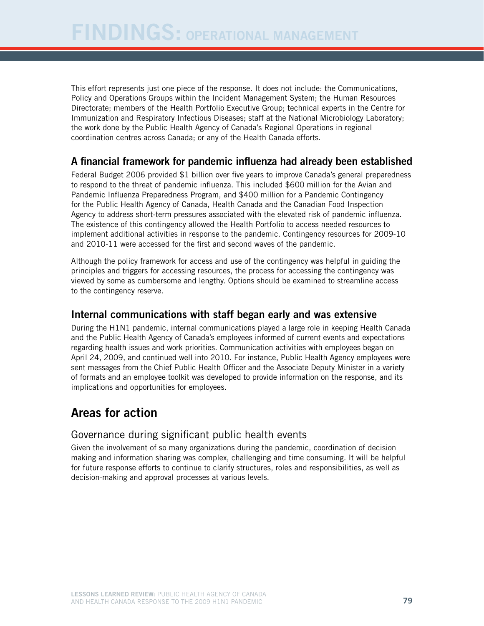This effort represents just one piece of the response. It does not include: the Communications, Policy and Operations Groups within the Incident Management System; the Human Resources Directorate; members of the Health Portfolio Executive Group; technical experts in the Centre for Immunization and Respiratory Infectious Diseases; staff at the National Microbiology Laboratory; the work done by the Public Health Agency of Canada's Regional Operations in regional coordination centres across Canada; or any of the Health Canada efforts.

## A financial framework for pandemic influenza had already been established

Federal Budget 2006 provided \$1 billion over five years to improve Canada's general preparedness to respond to the threat of pandemic influenza. This included \$600 million for the Avian and Pandemic Influenza Preparedness Program, and \$400 million for a Pandemic Contingency for the Public Health Agency of Canada, Health Canada and the Canadian Food Inspection Agency to address short-term pressures associated with the elevated risk of pandemic influenza. The existence of this contingency allowed the Health Portfolio to access needed resources to implement additional activities in response to the pandemic. Contingency resources for 2009-10 and 2010-11 were accessed for the first and second waves of the pandemic.

Although the policy framework for access and use of the contingency was helpful in guiding the principles and triggers for accessing resources, the process for accessing the contingency was viewed by some as cumbersome and lengthy. Options should be examined to streamline access to the contingency reserve.

#### Internal communications with staff began early and was extensive

During the H1N1 pandemic, internal communications played a large role in keeping Health Canada and the Public Health Agency of Canada's employees informed of current events and expectations regarding health issues and work priorities. Communication activities with employees began on April 24, 2009, and continued well into 2010. For instance, Public Health Agency employees were sent messages from the Chief Public Health Officer and the Associate Deputy Minister in a variety of formats and an employee toolkit was developed to provide information on the response, and its implications and opportunities for employees.

# Areas for action

## Governance during significant public health events

Given the involvement of so many organizations during the pandemic, coordination of decision making and information sharing was complex, challenging and time consuming. It will be helpful for future response efforts to continue to clarify structures, roles and responsibilities, as well as decision-making and approval processes at various levels.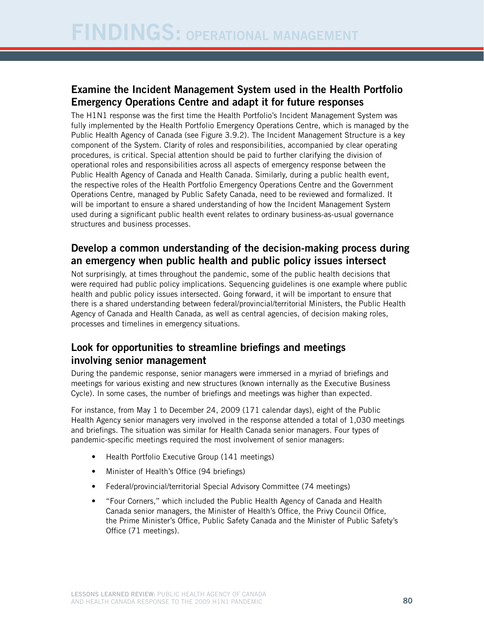## Examine the Incident Management System used in the Health Portfolio Emergency Operations Centre and adapt it for future responses

The H1N1 response was the first time the Health Portfolio's Incident Management System was fully implemented by the Health Portfolio Emergency Operations Centre, which is managed by the Public Health Agency of Canada (see Figure 3.9.2). The Incident Management Structure is a key component of the System. Clarity of roles and responsibilities, accompanied by clear operating procedures, is critical. Special attention should be paid to further clarifying the division of operational roles and responsibilities across all aspects of emergency response between the Public Health Agency of Canada and Health Canada. Similarly, during a public health event, the respective roles of the Health Portfolio Emergency Operations Centre and the Government Operations Centre, managed by Public Safety Canada, need to be reviewed and formalized. It will be important to ensure a shared understanding of how the Incident Management System used during a significant public health event relates to ordinary business-as-usual governance structures and business processes.

#### Develop a common understanding of the decision-making process during an emergency when public health and public policy issues intersect

Not surprisingly, at times throughout the pandemic, some of the public health decisions that were required had public policy implications. Sequencing guidelines is one example where public health and public policy issues intersected. Going forward, it will be important to ensure that there is a shared understanding between federal/provincial/territorial Ministers, the Public Health Agency of Canada and Health Canada, as well as central agencies, of decision making roles, processes and timelines in emergency situations.

## Look for opportunities to streamline briefings and meetings involving senior management

During the pandemic response, senior managers were immersed in a myriad of briefings and meetings for various existing and new structures (known internally as the Executive Business Cycle). In some cases, the number of briefings and meetings was higher than expected.

For instance, from May 1 to December 24, 2009 (171 calendar days), eight of the Public Health Agency senior managers very involved in the response attended a total of 1,030 meetings and briefings. The situation was similar for Health Canada senior managers. Four types of pandemic-specific meetings required the most involvement of senior managers:

- Health Portfolio Executive Group (141 meetings)
- Minister of Health's Office (94 briefings)
- **Federal/provincial/territorial Special Advisory Committee (74 meetings)**
- • "Four Corners," which included the Public Health Agency of Canada and Health Canada senior managers, the Minister of Health's Office, the Privy Council Office, the Prime Minister's Office, Public Safety Canada and the Minister of Public Safety's Office (71 meetings).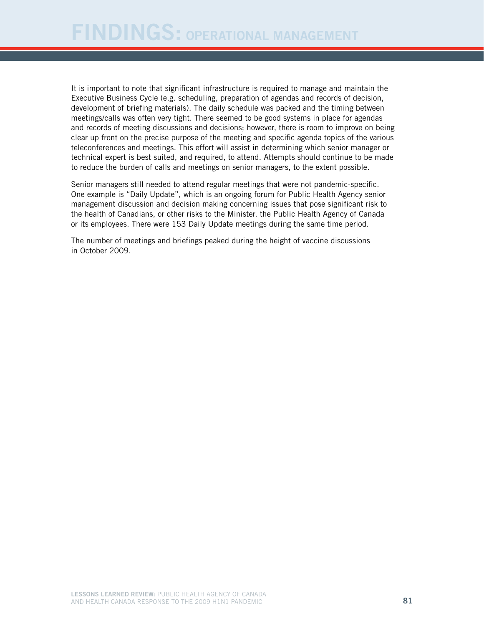It is important to note that significant infrastructure is required to manage and maintain the Executive Business Cycle (e.g. scheduling, preparation of agendas and records of decision, development of briefing materials). The daily schedule was packed and the timing between meetings/calls was often very tight. There seemed to be good systems in place for agendas and records of meeting discussions and decisions; however, there is room to improve on being clear up front on the precise purpose of the meeting and specific agenda topics of the various teleconferences and meetings. This effort will assist in determining which senior manager or technical expert is best suited, and required, to attend. Attempts should continue to be made to reduce the burden of calls and meetings on senior managers, to the extent possible.

Senior managers still needed to attend regular meetings that were not pandemic-specific. One example is "Daily Update", which is an ongoing forum for Public Health Agency senior management discussion and decision making concerning issues that pose significant risk to the health of Canadians, or other risks to the Minister, the Public Health Agency of Canada or its employees. There were 153 Daily Update meetings during the same time period.

The number of meetings and briefings peaked during the height of vaccine discussions in October 2009.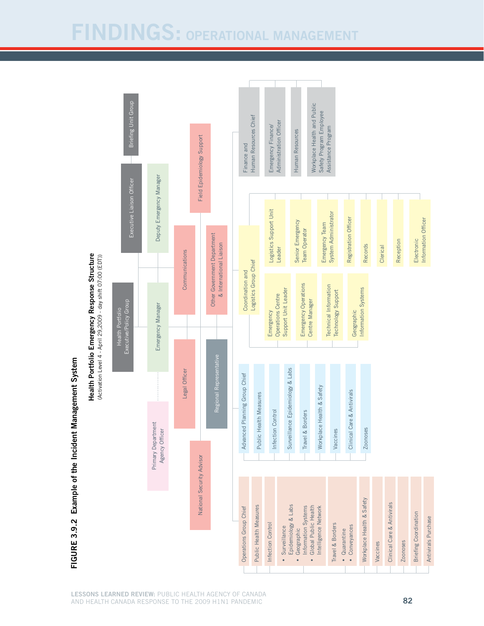# Findings: Operational management

Briefing Unit Group Executive/Policy Group Executive Liaison Officer Briefing Unit Group Workplace Health and Public Workplace Health and Public Safety Program Employee Safety Program Employee Human Resources Chief Human Resources Chief Administration Officer Administration Officer Emergency Finance/ Emergency Finance/ Assistance Program Assistance Program Human Resources Human Resources Field Epidemiology Support لاح المستقلة المستقلة المستقلة المستقلة المستقلة المستقلة المستقلة المستقلة المستقلة المستقلة المستقلة المستقلة المستقلة المستقلة المستقلة المستقلة المستقلة المستقلة المستقلة المستقلة المستقلة المستقلة المستقلة المستقلة ا Finance and Finance and Deputy Emergency Manager Deputy Emergency Manager Executive Liaison Officer Logistics Support Unit Logistics Support Unit System Administrator System Administrator Registration Officer Registration Officer Information Officer Information Officer Senior Emergency Senior Emergency Emergency Team Emergency Team **Team Operator** Team Operator Other Government Department Other Government Department **E**lectronic Reception Electronic & International Liaison Records Clerical & International Liaison Leader Communications **Communications** Health Portfolio Emergency Response Structure (Activation Level 4 - April 29,2009 - day shift 07:00 (EDT)) Structure (Activation Level 4 - April 29,2009 - day shift 07:00 (EDT))Logistics Group Chief Logistics Group Chief Coordination and Advanced Planning Group Chief Coordination and Emergency Operations Emergency Operations **Technical Information** Technical Information Information Systems Support Unit Leader Information Systems Support Unit Leader Technology Support Technology Support Operations Centre Operations Centre Centre Manager Executive/Policy Group Centre Manager Emergency Manager Emergency Manager Geographic Health Portfolio Emergency • Conveyances **Geographic Geographic Convertsion** Chinical Care & Antivirals Geographic **Emergency** Health Portfolio Emergency Regional Representative Regional Representative Surveillance Epidemiology & Labs Surveillance Epidemiology & Labs Legal Officer Legal Officer Advanced Planning Group Chief Workplace Health & Safety Workplace Health & Safety Clinical Care & Antivirals Clinical Care & Antivirals Public Health Measures Public Health Measures Infection Control Travel & Borders Infection Control Travel & Borders Primary Department Primary Department Agency Officer Vaccines Zoonoses Agency Officer National Security Advisor Workplace Health & Safety Workplace Health & Safety Clinical Care & Antivirals Clinical Care & Antivirals Operations Group Chief Public Health Measures Epidemiology & Labs Information Systems · Global Public Health • Global Public Health Intelligence Network Public Health Measures Epidemiology & Labs Operations Group Chief Information Systems Intelligence Network **Briefing Coordination** Briefing Coordination Antivirals Purchase Antivirals Purchase Infection Control Travel & Borders Infection Control Travel & Borders • Surveillance • Conveyances • Surveillance · Geographic • Geographic • Quarantine • Quarantine Vaccines Zoonoses

# Figure 3.9.2 Example of the Incident Management FIGURE 3.9.2 Example of the Incident Management System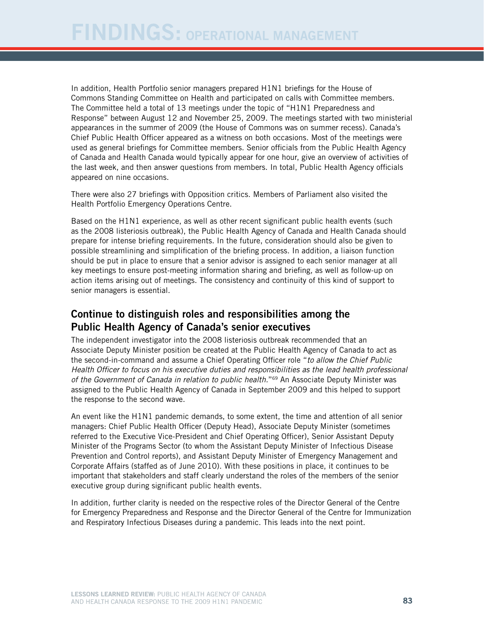In addition, Health Portfolio senior managers prepared H1N1 briefings for the House of Commons Standing Committee on Health and participated on calls with Committee members. The Committee held a total of 13 meetings under the topic of "H1N1 Preparedness and Response" between August 12 and November 25, 2009. The meetings started with two ministerial appearances in the summer of 2009 (the House of Commons was on summer recess). Canada's Chief Public Health Officer appeared as a witness on both occasions. Most of the meetings were used as general briefings for Committee members. Senior officials from the Public Health Agency of Canada and Health Canada would typically appear for one hour, give an overview of activities of the last week, and then answer questions from members. In total, Public Health Agency officials appeared on nine occasions.

There were also 27 briefings with Opposition critics. Members of Parliament also visited the Health Portfolio Emergency Operations Centre.

Based on the H1N1 experience, as well as other recent significant public health events (such as the 2008 listeriosis outbreak), the Public Health Agency of Canada and Health Canada should prepare for intense briefing requirements. In the future, consideration should also be given to possible streamlining and simplification of the briefing process. In addition, a liaison function should be put in place to ensure that a senior advisor is assigned to each senior manager at all key meetings to ensure post-meeting information sharing and briefing, as well as follow-up on action items arising out of meetings. The consistency and continuity of this kind of support to senior managers is essential.

#### Continue to distinguish roles and responsibilities among the Public Health Agency of Canada's senior executives

The independent investigator into the 2008 listeriosis outbreak recommended that an Associate Deputy Minister position be created at the Public Health Agency of Canada to act as the second-in-command and assume a Chief Operating Officer role "*to allow the Chief Public Health Officer to focus on his executive duties and responsibilities as the lead health professional of the Government of Canada in relation to public health.*"69 An Associate Deputy Minister was assigned to the Public Health Agency of Canada in September 2009 and this helped to support the response to the second wave.

An event like the H1N1 pandemic demands, to some extent, the time and attention of all senior managers: Chief Public Health Officer (Deputy Head), Associate Deputy Minister (sometimes referred to the Executive Vice-President and Chief Operating Officer), Senior Assistant Deputy Minister of the Programs Sector (to whom the Assistant Deputy Minister of Infectious Disease Prevention and Control reports), and Assistant Deputy Minister of Emergency Management and Corporate Affairs (staffed as of June 2010). With these positions in place, it continues to be important that stakeholders and staff clearly understand the roles of the members of the senior executive group during significant public health events.

In addition, further clarity is needed on the respective roles of the Director General of the Centre for Emergency Preparedness and Response and the Director General of the Centre for Immunization and Respiratory Infectious Diseases during a pandemic. This leads into the next point.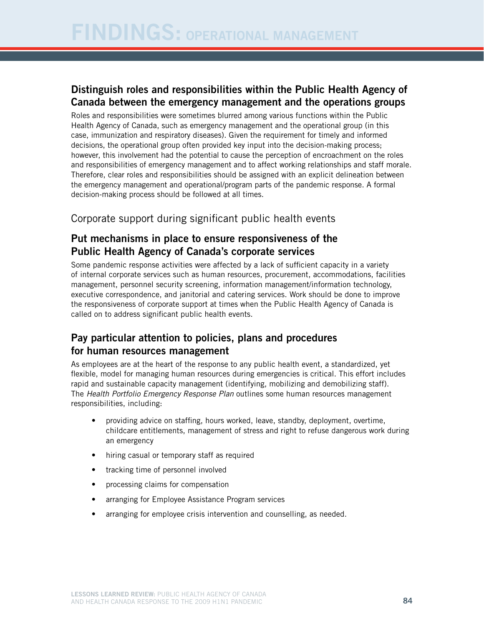## Distinguish roles and responsibilities within the Public Health Agency of Canada between the emergency management and the operations groups

Roles and responsibilities were sometimes blurred among various functions within the Public Health Agency of Canada, such as emergency management and the operational group (in this case, immunization and respiratory diseases). Given the requirement for timely and informed decisions, the operational group often provided key input into the decision-making process; however, this involvement had the potential to cause the perception of encroachment on the roles and responsibilities of emergency management and to affect working relationships and staff morale. Therefore, clear roles and responsibilities should be assigned with an explicit delineation between the emergency management and operational/program parts of the pandemic response. A formal decision-making process should be followed at all times.

### Corporate support during significant public health events

#### Put mechanisms in place to ensure responsiveness of the Public Health Agency of Canada's corporate services

Some pandemic response activities were affected by a lack of sufficient capacity in a variety of internal corporate services such as human resources, procurement, accommodations, facilities management, personnel security screening, information management/information technology, executive correspondence, and janitorial and catering services. Work should be done to improve the responsiveness of corporate support at times when the Public Health Agency of Canada is called on to address significant public health events.

## Pay particular attention to policies, plans and procedures for human resources management

As employees are at the heart of the response to any public health event, a standardized, yet flexible, model for managing human resources during emergencies is critical. This effort includes rapid and sustainable capacity management (identifying, mobilizing and demobilizing staff). The *Health Portfolio Emergency Response Plan* outlines some human resources management responsibilities, including:

- providing advice on staffing, hours worked, leave, standby, deployment, overtime, childcare entitlements, management of stress and right to refuse dangerous work during an emergency
- hiring casual or temporary staff as required
- tracking time of personnel involved
- processing claims for compensation
- arranging for Employee Assistance Program services
- arranging for employee crisis intervention and counselling, as needed.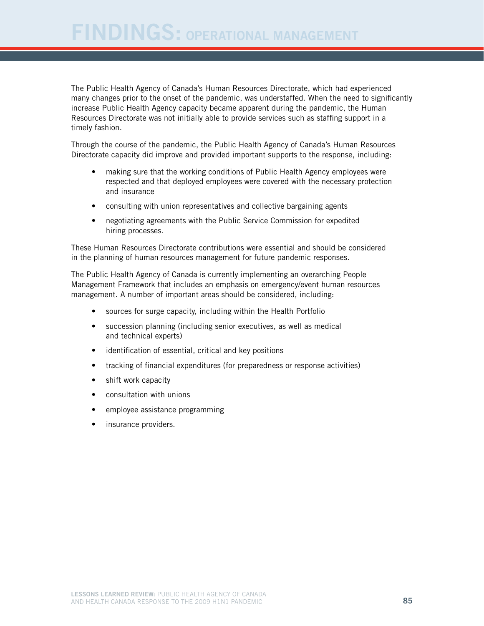The Public Health Agency of Canada's Human Resources Directorate, which had experienced many changes prior to the onset of the pandemic, was understaffed. When the need to significantly increase Public Health Agency capacity became apparent during the pandemic, the Human Resources Directorate was not initially able to provide services such as staffing support in a timely fashion.

Through the course of the pandemic, the Public Health Agency of Canada's Human Resources Directorate capacity did improve and provided important supports to the response, including:

- making sure that the working conditions of Public Health Agency employees were respected and that deployed employees were covered with the necessary protection and insurance
- consulting with union representatives and collective bargaining agents
- negotiating agreements with the Public Service Commission for expedited hiring processes.

These Human Resources Directorate contributions were essential and should be considered in the planning of human resources management for future pandemic responses.

The Public Health Agency of Canada is currently implementing an overarching People Management Framework that includes an emphasis on emergency/event human resources management. A number of important areas should be considered, including:

- sources for surge capacity, including within the Health Portfolio
- succession planning (including senior executives, as well as medical and technical experts)
- identification of essential, critical and key positions
- tracking of financial expenditures (for preparedness or response activities)
- shift work capacity
- • consultation with unions
- employee assistance programming
- insurance providers.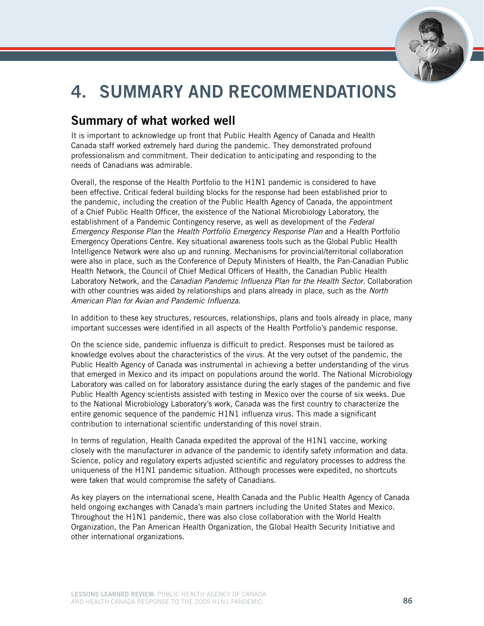

# 4. Summary and recommendations

# Summary of what worked well

It is important to acknowledge up front that Public Health Agency of Canada and Health Canada staff worked extremely hard during the pandemic. They demonstrated profound professionalism and commitment. Their dedication to anticipating and responding to the needs of Canadians was admirable.

Overall, the response of the Health Portfolio to the H1N1 pandemic is considered to have been effective. Critical federal building blocks for the response had been established prior to the pandemic, including the creation of the Public Health Agency of Canada, the appointment of a Chief Public Health Officer, the existence of the National Microbiology Laboratory, the establishment of a Pandemic Contingency reserve, as well as development of the *Federal Emergency Response Plan* the *Health Portfolio Emergency Response Plan* and a Health Portfolio Emergency Operations Centre. Key situational awareness tools such as the Global Public Health Intelligence Network were also up and running. Mechanisms for provincial/territorial collaboration were also in place, such as the Conference of Deputy Ministers of Health, the Pan-Canadian Public Health Network, the Council of Chief Medical Officers of Health, the Canadian Public Health Laboratory Network, and the *Canadian Pandemic Influenza Plan for the Health Sector*. Collaboration with other countries was aided by relationships and plans already in place, such as the *North American Plan for Avian and Pandemic Influenza*.

In addition to these key structures, resources, relationships, plans and tools already in place, many important successes were identified in all aspects of the Health Portfolio's pandemic response.

On the science side, pandemic influenza is difficult to predict. Responses must be tailored as knowledge evolves about the characteristics of the virus. At the very outset of the pandemic, the Public Health Agency of Canada was instrumental in achieving a better understanding of the virus that emerged in Mexico and its impact on populations around the world. The National Microbiology Laboratory was called on for laboratory assistance during the early stages of the pandemic and five Public Health Agency scientists assisted with testing in Mexico over the course of six weeks. Due to the National Microbiology Laboratory's work, Canada was the first country to characterize the entire genomic sequence of the pandemic H1N1 influenza virus. This made a significant contribution to international scientific understanding of this novel strain.

In terms of regulation, Health Canada expedited the approval of the H1N1 vaccine, working closely with the manufacturer in advance of the pandemic to identify safety information and data. Science, policy and regulatory experts adjusted scientific and regulatory processes to address the uniqueness of the H1N1 pandemic situation. Although processes were expedited, no shortcuts were taken that would compromise the safety of Canadians.

As key players on the international scene, Health Canada and the Public Health Agency of Canada held ongoing exchanges with Canada's main partners including the United States and Mexico. Throughout the H1N1 pandemic, there was also close collaboration with the World Health Organization, the Pan American Health Organization, the Global Health Security Initiative and other international organizations.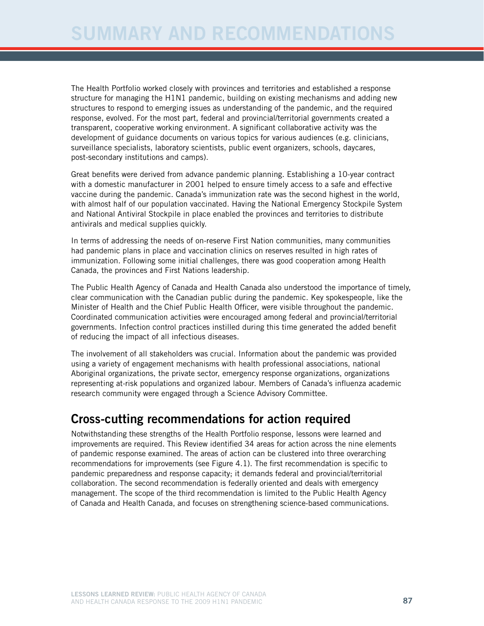The Health Portfolio worked closely with provinces and territories and established a response structure for managing the H1N1 pandemic, building on existing mechanisms and adding new structures to respond to emerging issues as understanding of the pandemic, and the required response, evolved. For the most part, federal and provincial/territorial governments created a transparent, cooperative working environment. A significant collaborative activity was the development of guidance documents on various topics for various audiences (e.g. clinicians, surveillance specialists, laboratory scientists, public event organizers, schools, daycares, post-secondary institutions and camps).

Great benefits were derived from advance pandemic planning. Establishing a 10-year contract with a domestic manufacturer in 2001 helped to ensure timely access to a safe and effective vaccine during the pandemic. Canada's immunization rate was the second highest in the world, with almost half of our population vaccinated. Having the National Emergency Stockpile System and National Antiviral Stockpile in place enabled the provinces and territories to distribute antivirals and medical supplies quickly.

In terms of addressing the needs of on-reserve First Nation communities, many communities had pandemic plans in place and vaccination clinics on reserves resulted in high rates of immunization. Following some initial challenges, there was good cooperation among Health Canada, the provinces and First Nations leadership.

The Public Health Agency of Canada and Health Canada also understood the importance of timely, clear communication with the Canadian public during the pandemic. Key spokespeople, like the Minister of Health and the Chief Public Health Officer, were visible throughout the pandemic. Coordinated communication activities were encouraged among federal and provincial/territorial governments. Infection control practices instilled during this time generated the added benefit of reducing the impact of all infectious diseases.

The involvement of all stakeholders was crucial. Information about the pandemic was provided using a variety of engagement mechanisms with health professional associations, national Aboriginal organizations, the private sector, emergency response organizations, organizations representing at-risk populations and organized labour. Members of Canada's influenza academic research community were engaged through a Science Advisory Committee.

## Cross-cutting recommendations for action required

Notwithstanding these strengths of the Health Portfolio response, lessons were learned and improvements are required. This Review identified 34 areas for action across the nine elements of pandemic response examined. The areas of action can be clustered into three overarching recommendations for improvements (see Figure 4.1). The first recommendation is specific to pandemic preparedness and response capacity; it demands federal and provincial/territorial collaboration. The second recommendation is federally oriented and deals with emergency management. The scope of the third recommendation is limited to the Public Health Agency of Canada and Health Canada, and focuses on strengthening science-based communications.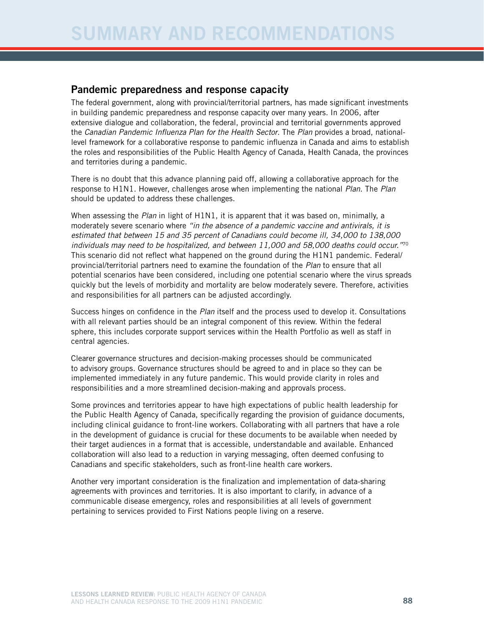#### Pandemic preparedness and response capacity

The federal government, along with provincial/territorial partners, has made significant investments in building pandemic preparedness and response capacity over many years. In 2006, after extensive dialogue and collaboration, the federal, provincial and territorial governments approved the *Canadian Pandemic Influenza Plan for the Health Sector*. The *Plan* provides a broad, nationallevel framework for a collaborative response to pandemic influenza in Canada and aims to establish the roles and responsibilities of the Public Health Agency of Canada, Health Canada, the provinces and territories during a pandemic.

There is no doubt that this advance planning paid off, allowing a collaborative approach for the response to H1N1. However, challenges arose when implementing the national *Plan*. The *Plan* should be updated to address these challenges.

When assessing the *Plan* in light of H1N1, it is apparent that it was based on, minimally, a moderately severe scenario where *"in the absence of a pandemic vaccine and antivirals, it is estimated that between 15 and 35 percent of Canadians could become ill, 34,000 to 138,000 individuals may need to be hospitalized, and between 11,000 and 58,000 deaths could occur."*<sup>70</sup> This scenario did not reflect what happened on the ground during the H1N1 pandemic. Federal/ provincial/territorial partners need to examine the foundation of the *Plan* to ensure that all potential scenarios have been considered, including one potential scenario where the virus spreads quickly but the levels of morbidity and mortality are below moderately severe. Therefore, activities and responsibilities for all partners can be adjusted accordingly.

Success hinges on confidence in the *Plan* itself and the process used to develop it. Consultations with all relevant parties should be an integral component of this review. Within the federal sphere, this includes corporate support services within the Health Portfolio as well as staff in central agencies.

Clearer governance structures and decision-making processes should be communicated to advisory groups. Governance structures should be agreed to and in place so they can be implemented immediately in any future pandemic. This would provide clarity in roles and responsibilities and a more streamlined decision-making and approvals process.

Some provinces and territories appear to have high expectations of public health leadership for the Public Health Agency of Canada, specifically regarding the provision of guidance documents, including clinical guidance to front-line workers. Collaborating with all partners that have a role in the development of guidance is crucial for these documents to be available when needed by their target audiences in a format that is accessible, understandable and available. Enhanced collaboration will also lead to a reduction in varying messaging, often deemed confusing to Canadians and specific stakeholders, such as front-line health care workers.

Another very important consideration is the finalization and implementation of data-sharing agreements with provinces and territories. It is also important to clarify, in advance of a communicable disease emergency, roles and responsibilities at all levels of government pertaining to services provided to First Nations people living on a reserve.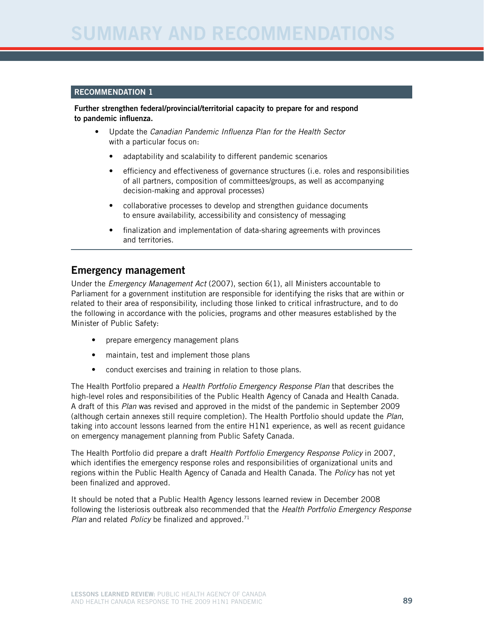# UMMARY AND RECOMMENDATI

#### Recommendation 1

Further strengthen federal/provincial/territorial capacity to prepare for and respond to pandemic influenza.

- Update the *Canadian Pandemic Influenza Plan for the Health Sector* with a particular focus on:
	- adaptability and scalability to different pandemic scenarios
	- efficiency and effectiveness of governance structures (i.e. roles and responsibilities of all partners, composition of committees/groups, as well as accompanying decision-making and approval processes)
	- collaborative processes to develop and strengthen guidance documents to ensure availability, accessibility and consistency of messaging
	- finalization and implementation of data-sharing agreements with provinces and territories.

#### Emergency management

Under the *Emergency Management Act* (2007), section 6(1), all Ministers accountable to Parliament for a government institution are responsible for identifying the risks that are within or related to their area of responsibility, including those linked to critical infrastructure, and to do the following in accordance with the policies, programs and other measures established by the Minister of Public Safety:

- prepare emergency management plans
- maintain, test and implement those plans
- conduct exercises and training in relation to those plans.

The Health Portfolio prepared a *Health Portfolio Emergency Response Plan* that describes the high-level roles and responsibilities of the Public Health Agency of Canada and Health Canada. A draft of this *Plan* was revised and approved in the midst of the pandemic in September 2009 (although certain annexes still require completion). The Health Portfolio should update the *Plan*, taking into account lessons learned from the entire H1N1 experience, as well as recent guidance on emergency management planning from Public Safety Canada.

The Health Portfolio did prepare a draft *Health Portfolio Emergency Response Policy* in 2007, which identifies the emergency response roles and responsibilities of organizational units and regions within the Public Health Agency of Canada and Health Canada. The *Policy* has not yet been finalized and approved.

It should be noted that a Public Health Agency lessons learned review in December 2008 following the listeriosis outbreak also recommended that the *Health Portfolio Emergency Response Plan* and related *Policy* be finalized and approved.<sup>71</sup>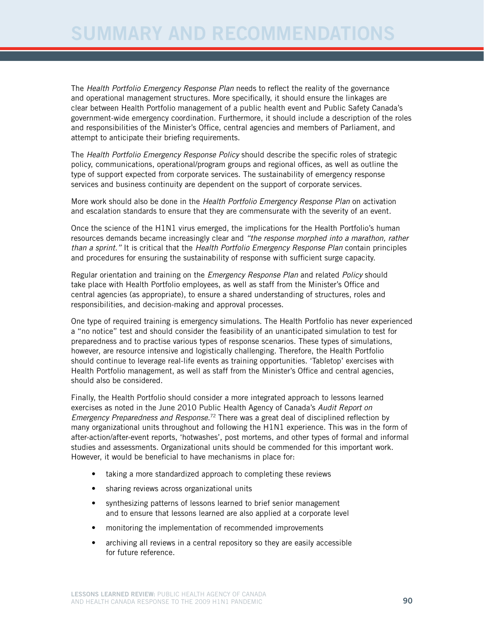The *Health Portfolio Emergency Response Plan* needs to reflect the reality of the governance and operational management structures. More specifically, it should ensure the linkages are clear between Health Portfolio management of a public health event and Public Safety Canada's government-wide emergency coordination. Furthermore, it should include a description of the roles and responsibilities of the Minister's Office, central agencies and members of Parliament, and attempt to anticipate their briefing requirements.

The *Health Portfolio Emergency Response Policy* should describe the specific roles of strategic policy, communications, operational/program groups and regional offices, as well as outline the type of support expected from corporate services. The sustainability of emergency response services and business continuity are dependent on the support of corporate services.

More work should also be done in the *Health Portfolio Emergency Response Plan* on activation and escalation standards to ensure that they are commensurate with the severity of an event.

Once the science of the H1N1 virus emerged, the implications for the Health Portfolio's human resources demands became increasingly clear and *"the response morphed into a marathon, rather than a sprint."* It is critical that the *Health Portfolio Emergency Response Plan* contain principles and procedures for ensuring the sustainability of response with sufficient surge capacity.

Regular orientation and training on the *Emergency Response Plan* and related *Policy* should take place with Health Portfolio employees, as well as staff from the Minister's Office and central agencies (as appropriate), to ensure a shared understanding of structures, roles and responsibilities, and decision-making and approval processes.

One type of required training is emergency simulations. The Health Portfolio has never experienced a "no notice" test and should consider the feasibility of an unanticipated simulation to test for preparedness and to practise various types of response scenarios. These types of simulations, however, are resource intensive and logistically challenging. Therefore, the Health Portfolio should continue to leverage real-life events as training opportunities. 'Tabletop' exercises with Health Portfolio management, as well as staff from the Minister's Office and central agencies, should also be considered.

Finally, the Health Portfolio should consider a more integrated approach to lessons learned exercises as noted in the June 2010 Public Health Agency of Canada's *Audit Report on Emergency Preparedness and Response*. <sup>72</sup> There was a great deal of disciplined reflection by many organizational units throughout and following the H1N1 experience. This was in the form of after-action/after-event reports, 'hotwashes', post mortems, and other types of formal and informal studies and assessments. Organizational units should be commended for this important work. However, it would be beneficial to have mechanisms in place for:

- taking a more standardized approach to completing these reviews
- sharing reviews across organizational units
- synthesizing patterns of lessons learned to brief senior management and to ensure that lessons learned are also applied at a corporate level
- monitoring the implementation of recommended improvements
- archiving all reviews in a central repository so they are easily accessible for future reference.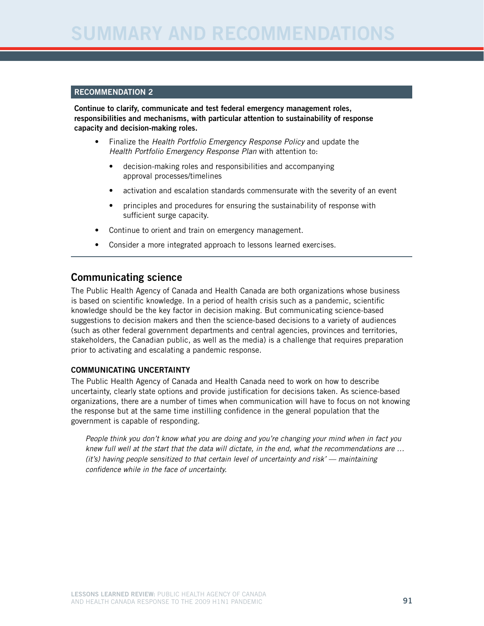#### Recommendation 2

Continue to clarify, communicate and test federal emergency management roles, responsibilities and mechanisms, with particular attention to sustainability of response capacity and decision-making roles.

- Finalize the *Health Portfolio Emergency Response Policy* and update the *Health Portfolio Emergency Response Plan* with attention to:
	- decision-making roles and responsibilities and accompanying approval processes/timelines
	- activation and escalation standards commensurate with the severity of an event
	- principles and procedures for ensuring the sustainability of response with sufficient surge capacity.
- Continue to orient and train on emergency management.
- Consider a more integrated approach to lessons learned exercises.

#### Communicating science

The Public Health Agency of Canada and Health Canada are both organizations whose business is based on scientific knowledge. In a period of health crisis such as a pandemic, scientific knowledge should be the key factor in decision making. But communicating science-based suggestions to decision makers and then the science-based decisions to a variety of audiences (such as other federal government departments and central agencies, provinces and territories, stakeholders, the Canadian public, as well as the media) is a challenge that requires preparation prior to activating and escalating a pandemic response.

#### Communicating uncertainty

The Public Health Agency of Canada and Health Canada need to work on how to describe uncertainty, clearly state options and provide justification for decisions taken. As science-based organizations, there are a number of times when communication will have to focus on not knowing the response but at the same time instilling confidence in the general population that the government is capable of responding.

*People think you don't know what you are doing and you're changing your mind when in fact you knew full well at the start that the data will dictate, in the end, what the recommendations are … (it's) having people sensitized to that certain level of uncertainty and risk' — maintaining confidence while in the face of uncertainty.*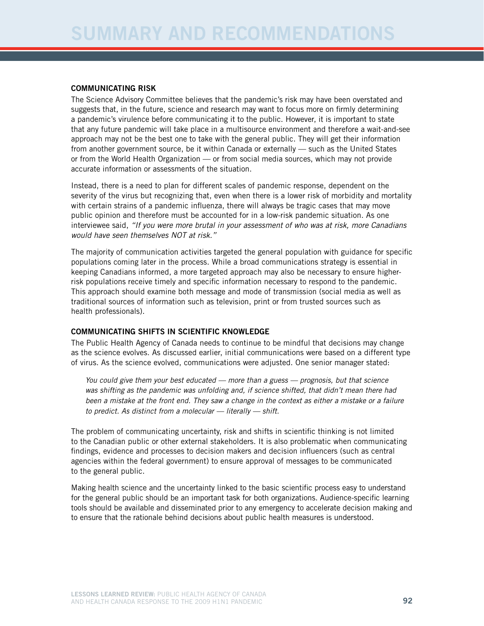#### Communicating risk

The Science Advisory Committee believes that the pandemic's risk may have been overstated and suggests that, in the future, science and research may want to focus more on firmly determining a pandemic's virulence before communicating it to the public. However, it is important to state that any future pandemic will take place in a multisource environment and therefore a wait-and-see approach may not be the best one to take with the general public. They will get their information from another government source, be it within Canada or externally — such as the United States or from the World Health Organization — or from social media sources, which may not provide accurate information or assessments of the situation.

Instead, there is a need to plan for different scales of pandemic response, dependent on the severity of the virus but recognizing that, even when there is a lower risk of morbidity and mortality with certain strains of a pandemic influenza, there will always be tragic cases that may move public opinion and therefore must be accounted for in a low-risk pandemic situation. As one interviewee said, *"If you were more brutal in your assessment of who was at risk, more Canadians would have seen themselves NOT at risk."* 

The majority of communication activities targeted the general population with guidance for specific populations coming later in the process. While a broad communications strategy is essential in keeping Canadians informed, a more targeted approach may also be necessary to ensure higherrisk populations receive timely and specific information necessary to respond to the pandemic. This approach should examine both message and mode of transmission (social media as well as traditional sources of information such as television, print or from trusted sources such as health professionals).

#### Communicating shifts in scientific knowledge

The Public Health Agency of Canada needs to continue to be mindful that decisions may change as the science evolves. As discussed earlier, initial communications were based on a different type of virus. As the science evolved, communications were adjusted. One senior manager stated:

*You could give them your best educated — more than a guess — prognosis, but that science was shifting as the pandemic was unfolding and, if science shifted, that didn't mean there had been a mistake at the front end. They saw a change in the context as either a mistake or a failure to predict. As distinct from a molecular — literally — shift.* 

The problem of communicating uncertainty, risk and shifts in scientific thinking is not limited to the Canadian public or other external stakeholders. It is also problematic when communicating findings, evidence and processes to decision makers and decision influencers (such as central agencies within the federal government) to ensure approval of messages to be communicated to the general public.

Making health science and the uncertainty linked to the basic scientific process easy to understand for the general public should be an important task for both organizations. Audience-specific learning tools should be available and disseminated prior to any emergency to accelerate decision making and to ensure that the rationale behind decisions about public health measures is understood.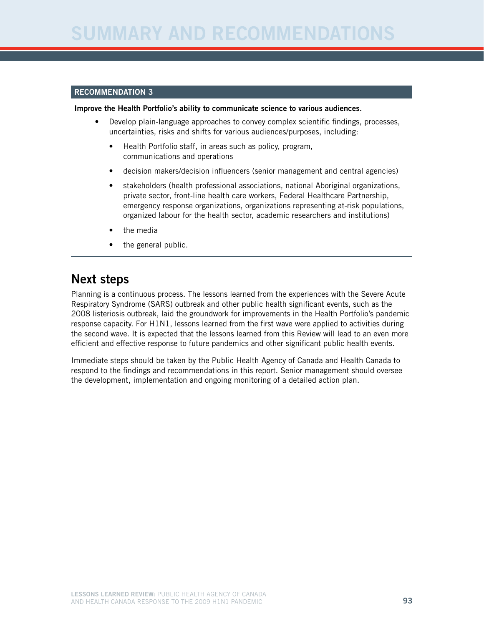#### Recommendation 3

#### Improve the Health Portfolio's ability to communicate science to various audiences.

- Develop plain-language approaches to convey complex scientific findings, processes, uncertainties, risks and shifts for various audiences/purposes, including:
	- Health Portfolio staff, in areas such as policy, program, communications and operations
	- decision makers/decision influencers (senior management and central agencies)
	- stakeholders (health professional associations, national Aboriginal organizations, private sector, front-line health care workers, Federal Healthcare Partnership, emergency response organizations, organizations representing at-risk populations, organized labour for the health sector, academic researchers and institutions)
	- the media
	- the general public.

# Next steps

Planning is a continuous process. The lessons learned from the experiences with the Severe Acute Respiratory Syndrome (SARS) outbreak and other public health significant events, such as the 2008 listeriosis outbreak, laid the groundwork for improvements in the Health Portfolio's pandemic response capacity. For H1N1, lessons learned from the first wave were applied to activities during the second wave. It is expected that the lessons learned from this Review will lead to an even more efficient and effective response to future pandemics and other significant public health events.

Immediate steps should be taken by the Public Health Agency of Canada and Health Canada to respond to the findings and recommendations in this report. Senior management should oversee the development, implementation and ongoing monitoring of a detailed action plan.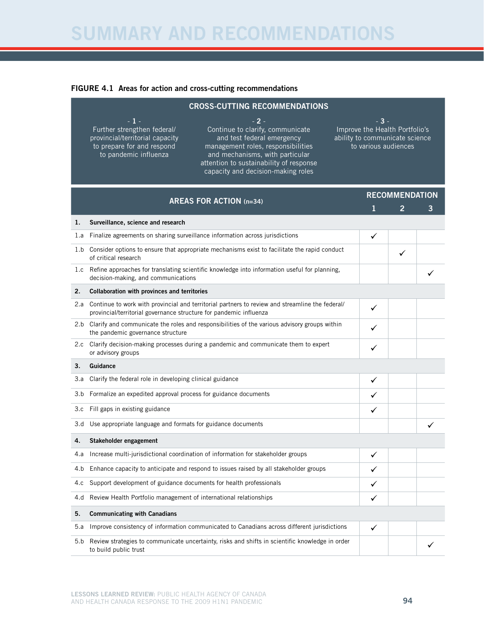# Summary and Recommendations

#### FIGURE 4.1 Areas for action and cross-cutting recommendations

|     | <b>CROSS-CUTTING RECOMMENDATIONS</b>                                                                                                                                                                                                                                                                                                                                |                                                                                                   |                            |   |  |  |  |
|-----|---------------------------------------------------------------------------------------------------------------------------------------------------------------------------------------------------------------------------------------------------------------------------------------------------------------------------------------------------------------------|---------------------------------------------------------------------------------------------------|----------------------------|---|--|--|--|
|     | - 1 -<br>- 2 -<br>Continue to clarify, communicate<br>Further strengthen federal/<br>provincial/territorial capacity<br>and test federal emergency<br>to prepare for and respond<br>management roles, responsibilities<br>to pandemic influenza<br>and mechanisms, with particular<br>attention to sustainability of response<br>capacity and decision-making roles | - 3 -<br>Improve the Health Portfolio's<br>ability to communicate science<br>to various audiences |                            |   |  |  |  |
|     | <b>AREAS FOR ACTION (n=34)</b>                                                                                                                                                                                                                                                                                                                                      | 1                                                                                                 | <b>RECOMMENDATION</b><br>2 | 3 |  |  |  |
| 1.  | Surveillance, science and research                                                                                                                                                                                                                                                                                                                                  |                                                                                                   |                            |   |  |  |  |
| 1.a | Finalize agreements on sharing surveillance information across jurisdictions                                                                                                                                                                                                                                                                                        | ✓                                                                                                 |                            |   |  |  |  |
|     | 1.b Consider options to ensure that appropriate mechanisms exist to facilitate the rapid conduct<br>of critical research                                                                                                                                                                                                                                            |                                                                                                   | ✓                          |   |  |  |  |
|     | 1.c Refine approaches for translating scientific knowledge into information useful for planning,<br>decision-making, and communications                                                                                                                                                                                                                             |                                                                                                   |                            |   |  |  |  |
| 2.  | Collaboration with provinces and territories                                                                                                                                                                                                                                                                                                                        |                                                                                                   |                            |   |  |  |  |
| 2.a | Continue to work with provincial and territorial partners to review and streamline the federal/<br>provincial/territorial governance structure for pandemic influenza                                                                                                                                                                                               | ✓                                                                                                 |                            |   |  |  |  |
|     | 2.b Clarify and communicate the roles and responsibilities of the various advisory groups within<br>the pandemic governance structure                                                                                                                                                                                                                               |                                                                                                   |                            |   |  |  |  |
| 2.c | Clarify decision-making processes during a pandemic and communicate them to expert<br>or advisory groups                                                                                                                                                                                                                                                            | ✓                                                                                                 |                            |   |  |  |  |
| 3.  | Guidance                                                                                                                                                                                                                                                                                                                                                            |                                                                                                   |                            |   |  |  |  |
| 3.a | Clarify the federal role in developing clinical guidance                                                                                                                                                                                                                                                                                                            | ✓                                                                                                 |                            |   |  |  |  |
| 3.b | Formalize an expedited approval process for guidance documents                                                                                                                                                                                                                                                                                                      | ✓                                                                                                 |                            |   |  |  |  |
| 3.c | Fill gaps in existing guidance                                                                                                                                                                                                                                                                                                                                      | ✓                                                                                                 |                            |   |  |  |  |
| 3.d | Use appropriate language and formats for guidance documents                                                                                                                                                                                                                                                                                                         |                                                                                                   |                            |   |  |  |  |
| 4.  | Stakeholder engagement                                                                                                                                                                                                                                                                                                                                              |                                                                                                   |                            |   |  |  |  |
|     | Increase multi-jurisdictional coordination of information for stakeholder groups                                                                                                                                                                                                                                                                                    | ✓                                                                                                 |                            |   |  |  |  |
| 4.b | Enhance capacity to anticipate and respond to issues raised by all stakeholder groups                                                                                                                                                                                                                                                                               | ✓                                                                                                 |                            |   |  |  |  |
| 4.c | Support development of guidance documents for health professionals                                                                                                                                                                                                                                                                                                  | ✓                                                                                                 |                            |   |  |  |  |
| 4.d | Review Health Portfolio management of international relationships                                                                                                                                                                                                                                                                                                   | ✓                                                                                                 |                            |   |  |  |  |
| 5.  | <b>Communicating with Canadians</b>                                                                                                                                                                                                                                                                                                                                 |                                                                                                   |                            |   |  |  |  |
| 5.a | Improve consistency of information communicated to Canadians across different jurisdictions                                                                                                                                                                                                                                                                         | ✓                                                                                                 |                            |   |  |  |  |
| 5.b | Review strategies to communicate uncertainty, risks and shifts in scientific knowledge in order<br>to build public trust                                                                                                                                                                                                                                            |                                                                                                   |                            |   |  |  |  |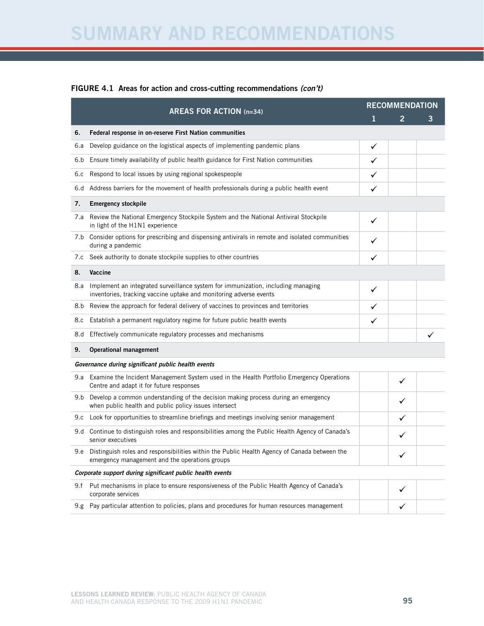# Summary and Recommendations

#### FIGURE 4.1 Areas for action and cross-cutting recommendations *(con't)*

|      | <b>AREAS FOR ACTION (n=34)</b>                                                                                                                         | <b>RECOMMENDATION</b> |              |   |  |
|------|--------------------------------------------------------------------------------------------------------------------------------------------------------|-----------------------|--------------|---|--|
|      |                                                                                                                                                        | ı                     | 2            | 3 |  |
| 6.   | Federal response in on-reserve First Nation communities                                                                                                |                       |              |   |  |
| 6.a  | Develop guidance on the logistical aspects of implementing pandemic plans                                                                              | ✓                     |              |   |  |
| 6.b  | Ensure timely availability of public health guidance for First Nation communities                                                                      | ✓                     |              |   |  |
| 6.c  | Respond to local issues by using regional spokespeople                                                                                                 | ✓                     |              |   |  |
| 6.d  | Address barriers for the movement of health professionals during a public health event                                                                 | ✓                     |              |   |  |
| 7.   | <b>Emergency stockpile</b>                                                                                                                             |                       |              |   |  |
| 7.a  | Review the National Emergency Stockpile System and the National Antiviral Stockpile<br>in light of the H1N1 experience                                 | ✓                     |              |   |  |
| 7.b  | Consider options for prescribing and dispensing antivirals in remote and isolated communities<br>during a pandemic                                     |                       |              |   |  |
| 7.c  | Seek authority to donate stockpile supplies to other countries                                                                                         | ✓                     |              |   |  |
| 8.   | Vaccine                                                                                                                                                |                       |              |   |  |
| 8.a  | Implement an integrated surveillance system for immunization, including managing<br>inventories, tracking vaccine uptake and monitoring adverse events | ✓                     |              |   |  |
| 8.b  | Review the approach for federal delivery of vaccines to provinces and territories                                                                      | ✓                     |              |   |  |
| 8.c  | Establish a permanent regulatory regime for future public health events                                                                                | ✓                     |              |   |  |
| 8.d  | Effectively communicate regulatory processes and mechanisms                                                                                            |                       |              |   |  |
| 9.   | <b>Operational management</b>                                                                                                                          |                       |              |   |  |
|      | Governance during significant public health events                                                                                                     |                       |              |   |  |
| 9.a  | Examine the Incident Management System used in the Health Portfolio Emergency Operations<br>Centre and adapt it for future responses                   |                       | ✓            |   |  |
| 9.b  | Develop a common understanding of the decision making process during an emergency<br>when public health and public policy issues intersect             |                       | ✓            |   |  |
| 9.c  | Look for opportunities to streamline briefings and meetings involving senior management                                                                |                       | ✓            |   |  |
| 9.d  | Continue to distinguish roles and responsibilities among the Public Health Agency of Canada's<br>senior executives                                     |                       | ✓            |   |  |
|      | 9.e Distinguish roles and responsibilities within the Public Health Agency of Canada between the<br>emergency management and the operations groups     |                       |              |   |  |
|      | Corporate support during significant public health events                                                                                              |                       |              |   |  |
| 9.f  | Put mechanisms in place to ensure responsiveness of the Public Health Agency of Canada's<br>corporate services                                         |                       | ✓            |   |  |
| 9.g. | Pay particular attention to policies, plans and procedures for human resources management                                                              |                       | $\checkmark$ |   |  |
|      |                                                                                                                                                        |                       |              |   |  |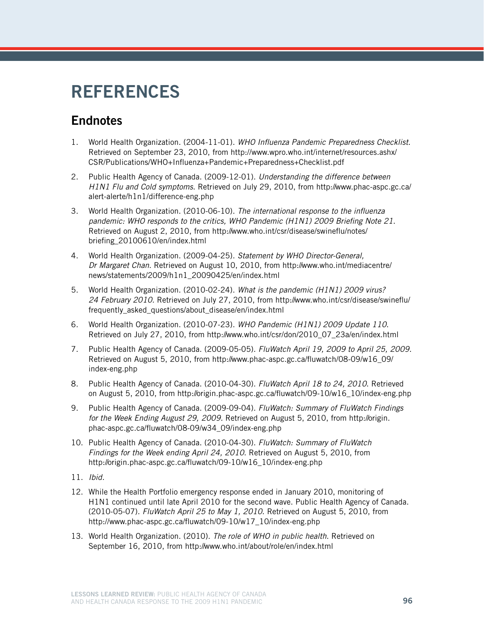# **REFERENCES**

# **Endnotes**

- 1. World Health Organization. (2004-11-01). *WHO Influenza Pandemic Preparedness Checklist*. Retrieved on September 23, 2010, from http://www.wpro.who.int/internet/resources.ashx/ CSR/Publications/WHO+Influenza+Pandemic+Preparedness+Checklist.pdf
- 2. Public Health Agency of Canada. (2009-12-01). *Understanding the difference between H1N1 Flu and Cold symptoms*. Retrieved on July 29, 2010, from http://www.phac-aspc.gc.ca/ alert-alerte/h1n1/difference-eng.php
- 3. World Health Organization. (2010-06-10). *The international response to the influenza pandemic: WHO responds to the critics, WHO Pandemic (H1N1) 2009 Briefing Note 21*. Retrieved on August 2, 2010, from http://www.who.int/csr/disease/swineflu/notes/ briefing\_20100610/en/index.html
- 4. World Health Organization. (2009-04-25). *Statement by WHO Director-General, Dr Margaret Chan*. Retrieved on August 10, 2010, from http://www.who.int/mediacentre/ news/statements/2009/h1n1\_20090425/en/index.html
- 5. World Health Organization. (2010-02-24). *What is the pandemic (H1N1) 2009 virus? 24 February 2010.* Retrieved on July 27, 2010, from http://www.who.int/csr/disease/swineflu/ frequently asked questions/about disease/en/index.html
- 6. World Health Organization. (2010-07-23). *WHO Pandemic (H1N1) 2009 Update 110*. Retrieved on July 27, 2010, from http://www.who.int/csr/don/2010\_07\_23a/en/index.html
- 7. Public Health Agency of Canada. (2009-05-05). *FluWatch April 19, 2009 to April 25, 2009.* Retrieved on August 5, 2010, from http://www.phac-aspc.gc.ca/fluwatch/08-09/w16\_09/ index-eng.php
- 8. Public Health Agency of Canada. (2010-04-30). *FluWatch April 18 to 24, 2010*. Retrieved on August 5, 2010, from http://origin.phac-aspc.gc.ca/fluwatch/09-10/w16\_10/index-eng.php
- 9. Public Health Agency of Canada. (2009-09-04). *FluWatch: Summary of FluWatch Findings for the Week Ending August 29, 2009.* Retrieved on August 5, 2010, from http://origin. phac-aspc.gc.ca/fluwatch/08-09/w34\_09/index-eng.php
- 10. Public Health Agency of Canada. (2010-04-30). *FluWatch: Summary of FluWatch Findings for the Week ending April 24, 2010*. Retrieved on August 5, 2010, from http://origin.phac-aspc.gc.ca/fluwatch/09-10/w16\_10/index-eng.php
- 11. *Ibid.*
- 12. While the Health Portfolio emergency response ended in January 2010, monitoring of H1N1 continued until late April 2010 for the second wave. Public Health Agency of Canada. (2010-05-07). *FluWatch April 25 to May 1, 2010*. Retrieved on August 5, 2010, from http://www.phac-aspc.gc.ca/fluwatch/09-10/w17\_10/index-eng.php
- 13. World Health Organization. (2010). *The role of WHO in public health*. Retrieved on September 16, 2010, from http://www.who.int/about/role/en/index.html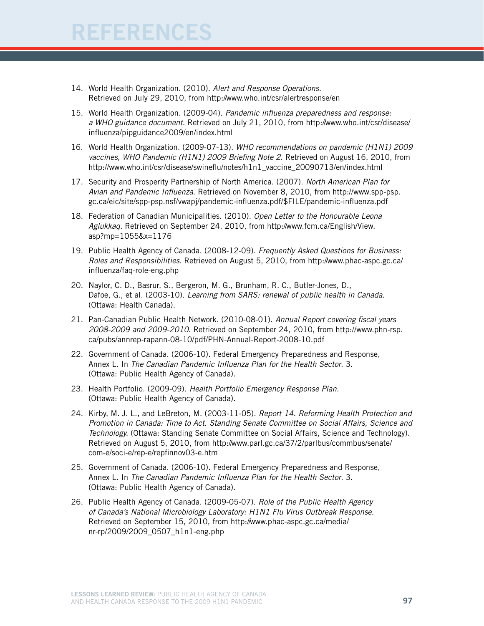# $\ensuremath{\mathsf{E}}\mathsf{FERENCES}$

- 14. World Health Organization. (2010). *Alert and Response Operations.* Retrieved on July 29, 2010, from http://www.who.int/csr/alertresponse/en
- 15. World Health Organization. (2009-04). *Pandemic influenza preparedness and response: a WHO guidance document*. Retrieved on July 21, 2010, from http://www.who.int/csr/disease/ influenza/pipguidance2009/en/index.html
- 16. World Health Organization. (2009-07-13). *WHO recommendations on pandemic (H1N1) 2009 vaccines, WHO Pandemic (H1N1) 2009 Briefing Note 2*. Retrieved on August 16, 2010, from http://www.who.int/csr/disease/swineflu/notes/h1n1\_vaccine\_20090713/en/index.html
- 17. Security and Prosperity Partnership of North America. (2007). *North American Plan for Avian and Pandemic Influenza*. Retrieved on November 8, 2010, from http://www.spp-psp. gc.ca/eic/site/spp-psp.nsf/vwapj/pandemic-influenza.pdf/\$FILE/pandemic-influenza.pdf
- 18. Federation of Canadian Municipalities. (2010). *Open Letter to the Honourable Leona Aglukkaq.* Retrieved on September 24, 2010, from http://www.fcm.ca/English/View. asp?mp=1055&x=1176
- 19. Public Health Agency of Canada. (2008-12-09). *Frequently Asked Questions for Business: Roles and Responsibilities.* Retrieved on August 5, 2010, from http://www.phac-aspc.gc.ca/ influenza/faq-role-eng.php
- 20. Naylor, C. D., Basrur, S., Bergeron, M. G., Brunham, R. C., Butler-Jones, D., Dafoe, G., et al. (2003-10). *Learning from SARS: renewal of public health in Canada*. (Ottawa: Health Canada).
- 21. Pan-Canadian Public Health Network. (2010-08-01). *Annual Report covering fiscal years 2008-2009 and 2009-2010*. Retrieved on September 24, 2010, from http://www.phn-rsp. ca/pubs/annrep-rapann-08-10/pdf/PHN-Annual-Report-2008-10.pdf
- 22. Government of Canada. (2006-10). Federal Emergency Preparedness and Response, Annex L. In *The Canadian Pandemic Influenza Plan for the Health Sector*. 3. (Ottawa: Public Health Agency of Canada).
- 23. Health Portfolio. (2009-09). *Health Portfolio Emergency Response Plan.* (Ottawa: Public Health Agency of Canada).
- 24. Kirby, M. J. L., and LeBreton, M. (2003-11-05). *Report 14. Reforming Health Protection and Promotion in Canada: Time to Act. Standing Senate Committee on Social Affairs, Science and Technology.* (Ottawa: Standing Senate Committee on Social Affairs, Science and Technology). Retrieved on August 5, 2010, from http://www.parl.gc.ca/37/2/parlbus/commbus/senate/ com-e/soci-e/rep-e/repfinnov03-e.htm
- 25. Government of Canada. (2006-10). Federal Emergency Preparedness and Response, Annex L. In *The Canadian Pandemic Influenza Plan for the Health Sector*. 3. (Ottawa: Public Health Agency of Canada).
- 26. Public Health Agency of Canada. (2009-05-07). *Role of the Public Health Agency of Canada's National Microbiology Laboratory: H1N1 Flu Virus Outbreak Response.* Retrieved on September 15, 2010, from http://www.phac-aspc.gc.ca/media/ nr-rp/2009/2009\_0507\_h1n1-eng.php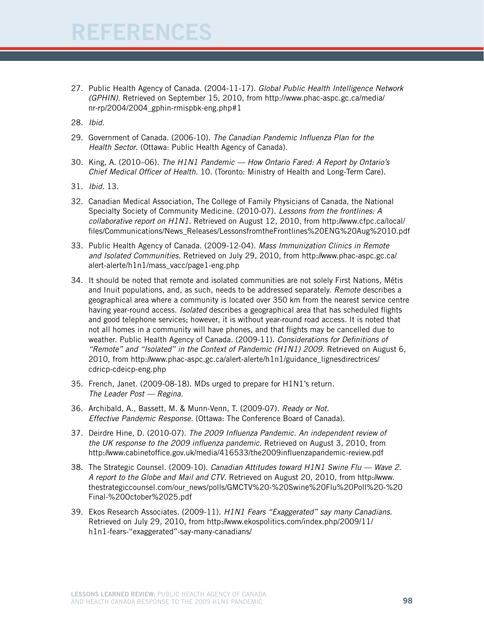- 27. Public Health Agency of Canada. (2004-11-17). *Global Public Health Intelligence Network (GPHIN).* Retrieved on September 15, 2010, from http://www.phac-aspc.gc.ca/media/ nr-rp/2004/2004\_gphin-rmispbk-eng.php#1
- 28. *Ibid.*
- 29. Government of Canada. (2006-10). *The Canadian Pandemic Influenza Plan for the Health Sector*. (Ottawa: Public Health Agency of Canada).
- 30. King, A. (2010–06). *The H1N1 Pandemic How Ontario Fared: A Report by Ontario's Chief Medical Officer of Health.* 10. (Toronto: Ministry of Health and Long-Term Care).
- 31. *Ibid.* 13.
- 32. Canadian Medical Association, The College of Family Physicians of Canada, the National Specialty Society of Community Medicine. (2010-07). *Lessons from the frontlines: A collaborative report on H1N1.* Retrieved on August 12, 2010, from http://www.cfpc.ca/local/ files/Communications/News\_Releases/LessonsfromtheFrontlines%20ENG%20Aug%2010.pdf
- 33. Public Health Agency of Canada. (2009-12-04). *Mass Immunization Clinics in Remote and Isolated Communities*. Retrieved on July 29, 2010, from http://www.phac-aspc.gc.ca/ alert-alerte/h1n1/mass\_vacc/page1-eng.php
- 34. It should be noted that remote and isolated communities are not solely First Nations, Métis and Inuit populations, and, as such, needs to be addressed separately. *Remote* describes a geographical area where a community is located over 350 km from the nearest service centre having year-round access. *Isolated* describes a geographical area that has scheduled flights and good telephone services; however, it is without year-round road access. It is noted that not all homes in a community will have phones, and that flights may be cancelled due to weather. Public Health Agency of Canada. (2009-11). *Considerations for Definitions of "Remote" and "Isolated" in the Context of Pandemic (H1N1) 2009*. Retrieved on August 6, 2010, from http://www.phac-aspc.gc.ca/alert-alerte/h1n1/guidance\_lignesdirectrices/ cdricp-cdeicp-eng.php
- 35. French, Janet. (2009-08-18). MDs urged to prepare for H1N1's return*. The Leader Post — Regina.*
- 36. Archibald, A., Bassett, M. & Munn-Venn, T. (2009-07)*. Ready or Not. Effective Pandemic Response.* (Ottawa: The Conference Board of Canada).
- 37. Deirdre Hine, D. (2010-07). *The 2009 Influenza Pandemic. An independent review of the UK response to the 2009 influenza pandemic.* Retrieved on August 3, 2010, from http://www.cabinetoffice.gov.uk/media/416533/the2009influenzapandemic-review.pdf
- 38. The Strategic Counsel. (2009-10). *Canadian Attitudes toward H1N1 Swine Flu Wave 2. A report to the Globe and Mail and CTV*. Retrieved on August 20, 2010, from http://www. thestrategiccounsel.com/our\_news/polls/GMCTV%20-%20Swine%20Flu%20Poll%20-%20 Final-%20October%2025.pdf
- 39. Ekos Research Associates. (2009-11). *H1N1 Fears "Exaggerated" say many Canadians*. Retrieved on July 29, 2010, from http://www.ekospolitics.com/index.php/2009/11/ h1n1-fears-"exaggerated"-say-many-canadians/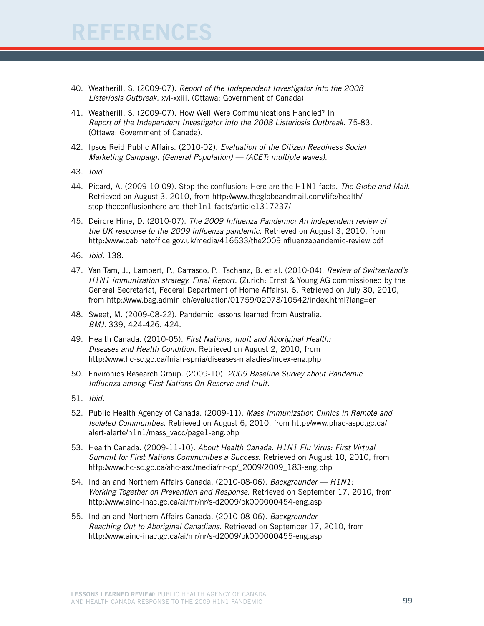# FERENCES

- 40. Weatherill, S. (2009-07). *Report of the Independent Investigator into the 2008 Listeriosis Outbreak.* xvi-xxiii. (Ottawa: Government of Canada)
- 41. Weatherill, S. (2009-07). How Well Were Communications Handled? In *Report of the Independent Investigator into the 2008 Listeriosis Outbreak*. 75-83. (Ottawa: Government of Canada).
- 42. Ipsos Reid Public Affairs. (2010-02). *Evaluation of the Citizen Readiness Social Marketing Campaign (General Population) — (ACET: multiple waves)*.
- 43. *Ibid*
- 44. Picard, A. (2009-10-09). Stop the conflusion: Here are the H1N1 facts. *The Globe and Mail*. Retrieved on August 3, 2010, from http://www.theglobeandmail.com/life/health/ stop-theconflusionhere-are-theh1n1-facts/article1317237/
- 45. Deirdre Hine, D. (2010-07). *The 2009 Influenza Pandemic: An independent review of the UK response to the 2009 influenza pandemic.* Retrieved on August 3, 2010, from http://www.cabinetoffice.gov.uk/media/416533/the2009influenzapandemic-review.pdf
- 46. *Ibid.* 138.
- 47. Van Tam, J., Lambert, P., Carrasco, P., Tschanz, B. et al. (2010-04). *Review of Switzerland's H1N1 immunization strategy. Final Report*. (Zurich: Ernst & Young AG commissioned by the General Secretariat, Federal Department of Home Affairs). 6. Retrieved on July 30, 2010, from http://www.bag.admin.ch/evaluation/01759/02073/10542/index.html?lang=en
- 48. Sweet, M. (2009-08-22). Pandemic lessons learned from Australia. *BMJ.* 339, 424-426. 424.
- 49. Health Canada. (2010-05). *First Nations, Inuit and Aboriginal Health: Diseases and Health Condition.* Retrieved on August 2, 2010, from http://www.hc-sc.gc.ca/fniah-spnia/diseases-maladies/index-eng.php
- 50. Environics Research Group. (2009-10). *2009 Baseline Survey about Pandemic Influenza among First Nations On-Reserve and Inuit*.
- 51. *Ibid.*
- 52. Public Health Agency of Canada. (2009-11). *Mass Immunization Clinics in Remote and Isolated Communities*. Retrieved on August 6, 2010, from http://www.phac-aspc.gc.ca/ alert-alerte/h1n1/mass\_vacc/page1-eng.php
- 53. Health Canada. (2009-11-10). *About Health Canada. H1N1 Flu Virus: First Virtual Summit for First Nations Communities a Success.* Retrieved on August 10, 2010, from http://www.hc-sc.gc.ca/ahc-asc/media/nr-cp/\_2009/2009\_183-eng.php
- 54. Indian and Northern Affairs Canada. (2010-08-06). *Backgrounder H1N1: Working Together on Prevention and Response.* Retrieved on September 17, 2010, from http://www.ainc-inac.gc.ca/ai/mr/nr/s-d2009/bk000000454-eng.asp
- 55. Indian and Northern Affairs Canada. (2010-08-06). *Backgrounder Reaching Out to Aboriginal Canadians.* Retrieved on September 17, 2010, from http://www.ainc-inac.gc.ca/ai/mr/nr/s-d2009/bk000000455-eng.asp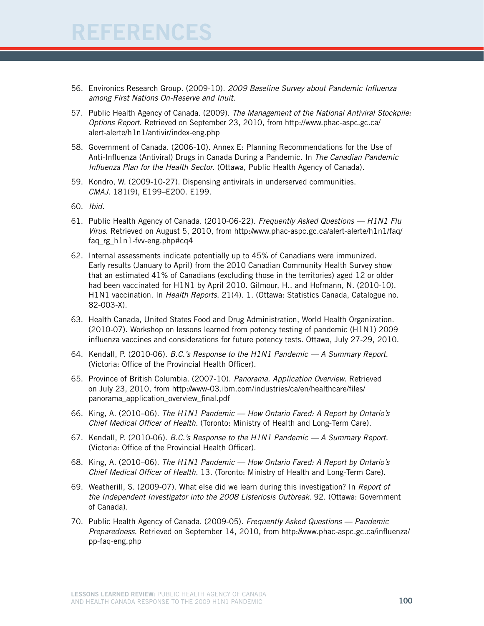# FERENCES

- 56. Environics Research Group. (2009-10). *2009 Baseline Survey about Pandemic Influenza among First Nations On-Reserve and Inuit*.
- 57. Public Health Agency of Canada. (2009). *The Management of the National Antiviral Stockpile: Options Report*. Retrieved on September 23, 2010, from http://www.phac-aspc.gc.ca/ alert-alerte/h1n1/antivir/index-eng.php
- 58. Government of Canada. (2006-10). Annex E: Planning Recommendations for the Use of Anti-Influenza (Antiviral) Drugs in Canada During a Pandemic. In *The Canadian Pandemic Influenza Plan for the Health Sector*. (Ottawa, Public Health Agency of Canada).
- 59. Kondro, W. (2009-10-27). Dispensing antivirals in underserved communities. *CMAJ.* 181(9), E199–E200. E199.
- 60. *Ibid.*
- 61. Public Health Agency of Canada. (2010-06-22). *Frequently Asked Questions H1N1 Flu Virus.* Retrieved on August 5, 2010, from http://www.phac-aspc.gc.ca/alert-alerte/h1n1/faq/ faq\_rg\_h1n1-fvv-eng.php#cq4
- 62. Internal assessments indicate potentially up to 45% of Canadians were immunized. Early results (January to April) from the 2010 Canadian Community Health Survey show that an estimated 41% of Canadians (excluding those in the territories) aged 12 or older had been vaccinated for H1N1 by April 2010. Gilmour, H., and Hofmann, N. (2010-10). H1N1 vaccination. In *Health Reports*. 21(4). 1. (Ottawa: Statistics Canada, Catalogue no. 82-003-X).
- 63. Health Canada, United States Food and Drug Administration, World Health Organization. (2010-07). Workshop on lessons learned from potency testing of pandemic (H1N1) 2009 influenza vaccines and considerations for future potency tests. Ottawa, July 27-29, 2010.
- 64. Kendall, P. (2010-06). *B.C.'s Response to the H1N1 Pandemic A Summary Report.* (Victoria: Office of the Provincial Health Officer).
- 65. Province of British Columbia. (2007-10). *Panorama. Application Overview*. Retrieved on July 23, 2010, from http://www-03.ibm.com/industries/ca/en/healthcare/files/ panorama\_application\_overview\_final.pdf
- 66. King, A. (2010–06). *The H1N1 Pandemic How Ontario Fared: A Report by Ontario's Chief Medical Officer of Health.* (Toronto: Ministry of Health and Long-Term Care).
- 67. Kendall, P. (2010-06). *B.C.'s Response to the H1N1 Pandemic A Summary Report.* (Victoria: Office of the Provincial Health Officer).
- 68. King, A. (2010–06). *The H1N1 Pandemic How Ontario Fared: A Report by Ontario's Chief Medical Officer of Health.* 13. (Toronto: Ministry of Health and Long-Term Care).
- 69. Weatherill, S. (2009-07). What else did we learn during this investigation? In *Report of the Independent Investigator into the 2008 Listeriosis Outbreak.* 92. (Ottawa: Government of Canada).
- 70. Public Health Agency of Canada. (2009-05). *Frequently Asked Questions Pandemic Preparedness*. Retrieved on September 14, 2010, from http://www.phac-aspc.gc.ca/influenza/ pp-faq-eng.php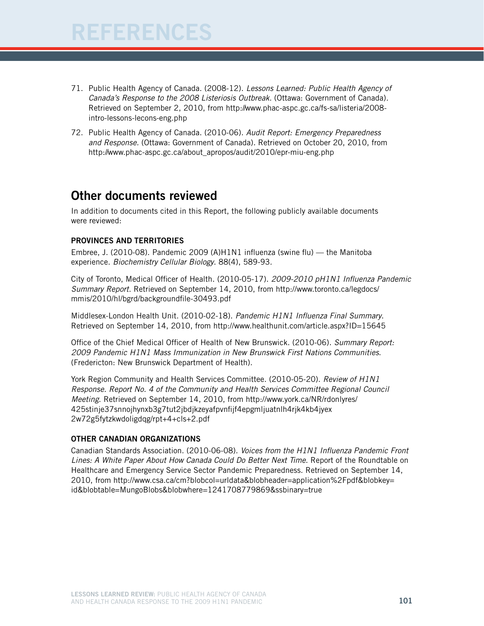# FERENCES

- 71. Public Health Agency of Canada. (2008-12). *Lessons Learned: Public Health Agency of Canada's Response to the 2008 Listeriosis Outbreak.* (Ottawa: Government of Canada)*.*  Retrieved on September 2, 2010, from http://www.phac-aspc.gc.ca/fs-sa/listeria/2008 intro-lessons-lecons-eng.php
- 72. Public Health Agency of Canada. (2010-06). *Audit Report: Emergency Preparedness and Response.* (Ottawa: Government of Canada)*.* Retrieved on October 20, 2010, from http://www.phac-aspc.gc.ca/about\_apropos/audit/2010/epr-miu-eng.php

## Other documents reviewed

In addition to documents cited in this Report, the following publicly available documents were reviewed:

#### Provinces and territories

Embree, J. (2010-08). Pandemic 2009 (A)H1N1 influenza (swine flu) — the Manitoba experience. *Biochemistry Cellular Biology*. 88(4), 589-93.

City of Toronto, Medical Officer of Health. (2010-05-17). *2009-2010 pH1N1 Influenza Pandemic Summary Report*. Retrieved on September 14, 2010, from http://www.toronto.ca/legdocs/ mmis/2010/hl/bgrd/backgroundfile-30493.pdf

Middlesex-London Health Unit. (2010-02-18). *Pandemic H1N1 Influenza Final Summary*. Retrieved on September 14, 2010, from http://www.healthunit.com/article.aspx?ID=15645

Office of the Chief Medical Officer of Health of New Brunswick. (2010-06). *Summary Report: 2009 Pandemic H1N1 Mass Immunization in New Brunswick First Nations Communities*. (Fredericton: New Brunswick Department of Health).

York Region Community and Health Services Committee. (2010-05-20). *Review of H1N1 Response. Report No. 4 of the Community and Health Services Committee Regional Council Meeting*. Retrieved on September 14, 2010, from http://www.york.ca/NR/rdonlyres/ 425stinje37snnojhynxb3g7tut2jbdjkzeyafpvnfijf4epgmljuatnlh4rjk4kb4jyex 2w72g5fytzkwdoligdqg/rpt+4+cls+2.pdf

#### Other Canadian organizations

Canadian Standards Association. (2010-06-08). *Voices from the H1N1 Influenza Pandemic Front Lines: A White Paper About How Canada Could Do Better Next Time*. Report of the Roundtable on Healthcare and Emergency Service Sector Pandemic Preparedness. Retrieved on September 14, 2010, from http://www.csa.ca/cm?blobcol=urldata&blobheader=application%2Fpdf&blobkey= id&blobtable=MungoBlobs&blobwhere=1241708779869&ssbinary=true